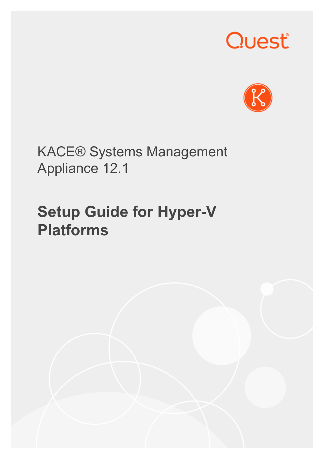# Quest®



KACE® Systems Management Appliance 12.1

## **Setup Guide for Hyper-V Platforms**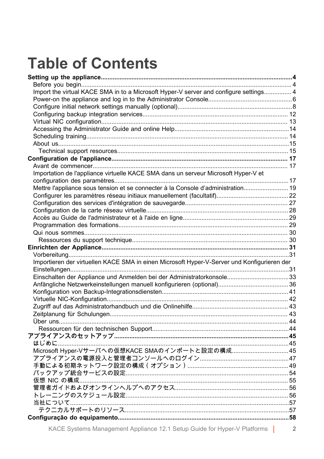## **Table of Contents**

| Import the virtual KACE SMA in to a Microsoft Hyper-V server and configure settings 4       |  |
|---------------------------------------------------------------------------------------------|--|
|                                                                                             |  |
|                                                                                             |  |
|                                                                                             |  |
|                                                                                             |  |
|                                                                                             |  |
|                                                                                             |  |
|                                                                                             |  |
|                                                                                             |  |
|                                                                                             |  |
|                                                                                             |  |
| Importation de l'appliance virtuelle KACE SMA dans un serveur Microsoft Hyper-V et          |  |
|                                                                                             |  |
| Mettre l'appliance sous tension et se connecter à la Console d'administration 19            |  |
|                                                                                             |  |
|                                                                                             |  |
|                                                                                             |  |
|                                                                                             |  |
|                                                                                             |  |
|                                                                                             |  |
|                                                                                             |  |
|                                                                                             |  |
|                                                                                             |  |
| Importieren der virtuellen KACE SMA in einen Microsoft Hyper-V-Server und Konfigurieren der |  |
|                                                                                             |  |
| Einschalten der Appliance und Anmelden bei der Administratorkonsole33                       |  |
|                                                                                             |  |
|                                                                                             |  |
|                                                                                             |  |
|                                                                                             |  |
|                                                                                             |  |
|                                                                                             |  |
|                                                                                             |  |
|                                                                                             |  |
|                                                                                             |  |
| Microsoft Hyper-Vサーバへの仮想KACE SMAのインポートと設定の構成45                                              |  |
|                                                                                             |  |
|                                                                                             |  |
|                                                                                             |  |
|                                                                                             |  |
|                                                                                             |  |
|                                                                                             |  |
|                                                                                             |  |
|                                                                                             |  |
|                                                                                             |  |
|                                                                                             |  |

KACE Systems Management Appliance 12.1 Setup Guide for Hyper-V Platforms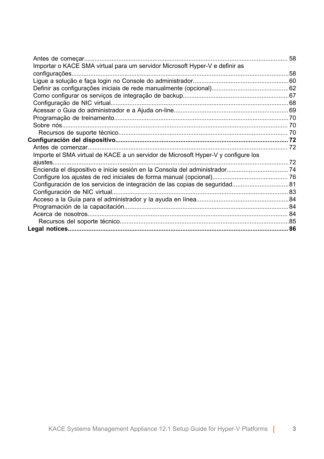| Importar o KACE SMA virtual para um servidor Microsoft Hyper-V e definir as       |  |
|-----------------------------------------------------------------------------------|--|
|                                                                                   |  |
|                                                                                   |  |
|                                                                                   |  |
|                                                                                   |  |
|                                                                                   |  |
|                                                                                   |  |
|                                                                                   |  |
|                                                                                   |  |
|                                                                                   |  |
|                                                                                   |  |
|                                                                                   |  |
| Importe el SMA virtual de KACE a un servidor de Microsoft Hyper-V y configure los |  |
|                                                                                   |  |
| Encienda el dispositivo e inicie sesión en la Consola del administrador 74        |  |
|                                                                                   |  |
| Configuración de los servicios de integración de las copias de seguridad 81       |  |
|                                                                                   |  |
|                                                                                   |  |
|                                                                                   |  |
|                                                                                   |  |
|                                                                                   |  |
|                                                                                   |  |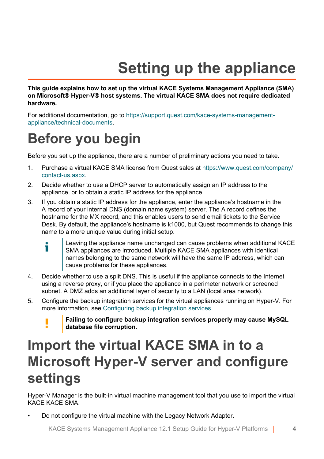## **Setting up the appliance**

<span id="page-3-0"></span>**This guide explains how to set up the virtual KACE Systems Management Appliance (SMA) on Microsoft® Hyper-V® host systems. The virtual KACE SMA does not require dedicated hardware.**

For additional documentation, go to [https://support.quest.com/kace-systems-management](https://support.quest.com/kace-systems-management-appliance/technical-documents)[appliance/technical-documents.](https://support.quest.com/kace-systems-management-appliance/technical-documents)

### <span id="page-3-1"></span>**Before you begin**

Before you set up the appliance, there are a number of preliminary actions you need to take.

- 1. Purchase a virtual KACE SMA license from Quest sales at [https://www.quest.com/company/](https://www.quest.com/company/contact-us.aspx) [contact-us.aspx](https://www.quest.com/company/contact-us.aspx).
- 2. Decide whether to use a DHCP server to automatically assign an IP address to the appliance, or to obtain a static IP address for the appliance.
- 3. If you obtain a static IP address for the appliance, enter the appliance's hostname in the A record of your internal DNS (domain name system) server. The A record defines the hostname for the MX record, and this enables users to send email tickets to the Service Desk. By default, the appliance's hostname is k1000, but Quest recommends to change this name to a more unique value during initial setup.
	- Leaving the appliance name unchanged can cause problems when additional KACE i SMA appliances are introduced. Multiple KACE SMA appliances with identical names belonging to the same network will have the same IP address, which can cause problems for these appliances.
- 4. Decide whether to use a split DNS. This is useful if the appliance connects to the Internet using a reverse proxy, or if you place the appliance in a perimeter network or screened subnet. A DMZ adds an additional layer of security to a LAN (local area network).
- 5. Configure the backup integration services for the virtual appliances running on Hyper-V. For more information, see [Configuring backup integration services.](#page-11-0)



### <span id="page-3-2"></span>**Import the virtual KACE SMA in to a Microsoft Hyper-V server and configure settings**

Hyper-V Manager is the built-in virtual machine management tool that you use to import the virtual KACE KACE SMA.

• Do not configure the virtual machine with the Legacy Network Adapter.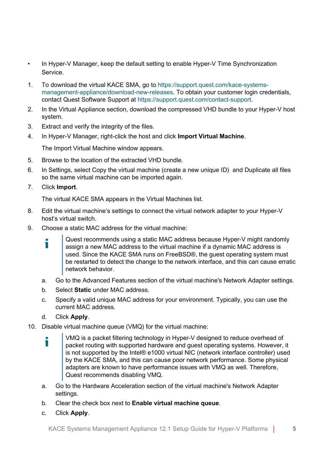- In Hyper-V Manager, keep the default setting to enable Hyper-V Time Synchronization Service.
- 1. To download the virtual KACE SMA, go to [https://support.quest.com/kace-systems](https://support.quest.com/kace-systems-management-appliance/download-new-releases)[management-appliance/download-new-releases](https://support.quest.com/kace-systems-management-appliance/download-new-releases). To obtain your customer login credentials, contact Quest Software Support at<https://support.quest.com/contact-support>.
- 2. In the Virtual Appliance section, download the compressed VHD bundle to your Hyper-V host system.
- 3. Extract and verify the integrity of the files.
- 4. In Hyper-V Manager, right-click the host and click **Import Virtual Machine**.

The Import Virtual Machine window appears.

- 5. Browse to the location of the extracted VHD bundle.
- 6. In Settings, select Copy the virtual machine (create a new unique ID) and Duplicate all files so the same virtual machine can be imported again.
- 7. Click **Import**.

The virtual KACE SMA appears in the Virtual Machines list.

- 8. Edit the virtual machine's settings to connect the virtual network adapter to your Hyper-V host's virtual switch.
- 9. Choose a static MAC address for the virtual machine:
	- Quest recommends using a static MAC address because Hyper-V might randomly Ť. assign a new MAC address to the virtual machine if a dynamic MAC address is used. Since the KACE SMA runs on FreeBSD®, the guest operating system must be restarted to detect the change to the network interface, and this can cause erratic network behavior.
	- a. Go to the Advanced Features section of the virtual machine's Network Adapter settings.
	- b. Select **Static** under MAC address.
	- c. Specify a valid unique MAC address for your environment. Typically, you can use the current MAC address.
	- d. Click **Apply**.
- 10. Disable virtual machine queue (VMQ) for the virtual machine:
	- VMQ is a packet filtering technology in Hyper-V designed to reduce overhead of Ť packet routing with supported hardware and guest operating systems. However, it is not supported by the Intel® e1000 virtual NIC (network interface controller) used by the KACE SMA, and this can cause poor network performance. Some physical adapters are known to have performance issues with VMQ as well. Therefore, Quest recommends disabling VMQ.
	- a. Go to the Hardware Acceleration section of the virtual machine's Network Adapter settings.
	- b. Clear the check box next to **Enable virtual machine queue**.
	- c. Click **Apply**.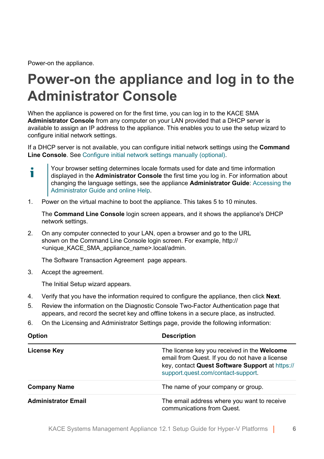Power-on the appliance.

т

### <span id="page-5-0"></span>**Power-on the appliance and log in to the Administrator Console**

When the appliance is powered on for the first time, you can log in to the KACE SMA **Administrator Console** from any computer on your LAN provided that a DHCP server is available to assign an IP address to the appliance. This enables you to use the setup wizard to configure initial network settings.

If a DHCP server is not available, you can configure initial network settings using the **Command Line Console**. See [Configure initial network settings manually \(optional\).](#page-7-0)

Your browser setting determines locale formats used for date and time information displayed in the **Administrator Console** the first time you log in. For information about changing the language settings, see the appliance **Administrator Guide**: [Accessing the](#page-13-0) [Administrator Guide and online Help](#page-13-0).

1. Power on the virtual machine to boot the appliance. This takes 5 to 10 minutes.

The **Command Line Console** login screen appears, and it shows the appliance's DHCP network settings.

2. On any computer connected to your LAN, open a browser and go to the URL shown on the Command Line Console login screen. For example, http:// <unique\_KACE\_SMA\_appliance\_name>.local/admin.

The Software Transaction Agreement page appears.

3. Accept the agreement.

The Initial Setup wizard appears.

- 4. Verify that you have the information required to configure the appliance, then click **Next**.
- 5. Review the information on the Diagnostic Console Two-Factor Authentication page that appears, and record the secret key and offline tokens in a secure place, as instructed.
- 6. On the Licensing and Administrator Settings page, provide the following information:

| <b>Option</b>              | <b>Description</b>                                                                                                                                                                     |  |  |
|----------------------------|----------------------------------------------------------------------------------------------------------------------------------------------------------------------------------------|--|--|
| License Key                | The license key you received in the Welcome<br>email from Quest. If you do not have a license<br>key, contact Quest Software Support at https://<br>support.quest.com/contact-support. |  |  |
| <b>Company Name</b>        | The name of your company or group.                                                                                                                                                     |  |  |
| <b>Administrator Email</b> | The email address where you want to receive<br>communications from Quest.                                                                                                              |  |  |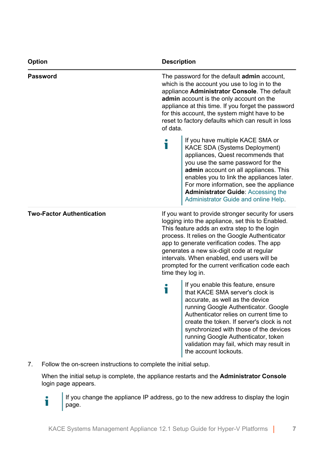| Option                           | <b>Description</b>                                                                                                                                                                                                                                                                                                                                                       |                                                                                                                                                                                                                                                                                                                                                                                                                            |  |
|----------------------------------|--------------------------------------------------------------------------------------------------------------------------------------------------------------------------------------------------------------------------------------------------------------------------------------------------------------------------------------------------------------------------|----------------------------------------------------------------------------------------------------------------------------------------------------------------------------------------------------------------------------------------------------------------------------------------------------------------------------------------------------------------------------------------------------------------------------|--|
| Password                         | The password for the default <b>admin</b> account,<br>which is the account you use to log in to the<br>appliance Administrator Console. The default<br>admin account is the only account on the<br>appliance at this time. If you forget the password<br>for this account, the system might have to be<br>reset to factory defaults which can result in loss<br>of data. |                                                                                                                                                                                                                                                                                                                                                                                                                            |  |
|                                  | i                                                                                                                                                                                                                                                                                                                                                                        | If you have multiple KACE SMA or<br>KACE SDA (Systems Deployment)<br>appliances, Quest recommends that<br>you use the same password for the<br>admin account on all appliances. This<br>enables you to link the appliances later.<br>For more information, see the appliance<br><b>Administrator Guide: Accessing the</b><br>Administrator Guide and online Help                                                           |  |
| <b>Two-Factor Authentication</b> |                                                                                                                                                                                                                                                                                                                                                                          | If you want to provide stronger security for users<br>logging into the appliance, set this to Enabled.<br>This feature adds an extra step to the login<br>process. It relies on the Google Authenticator<br>app to generate verification codes. The app<br>generates a new six-digit code at regular<br>intervals. When enabled, end users will be<br>prompted for the current verification code each<br>time they log in. |  |
|                                  | i                                                                                                                                                                                                                                                                                                                                                                        | If you enable this feature, ensure<br>that KACE SMA server's clock is<br>accurate, as well as the device<br>running Google Authenticator. Google<br>Authenticator relies on current time to<br>create the token. If server's clock is not<br>synchronized with those of the devices<br>running Google Authenticator, token<br>validation may fail, which may result in<br>the account lockouts.                            |  |

7. Follow the on-screen instructions to complete the initial setup.

When the initial setup is complete, the appliance restarts and the **Administrator Console** login page appears.

If you change the appliance IP address, go to the new address to display the login i page.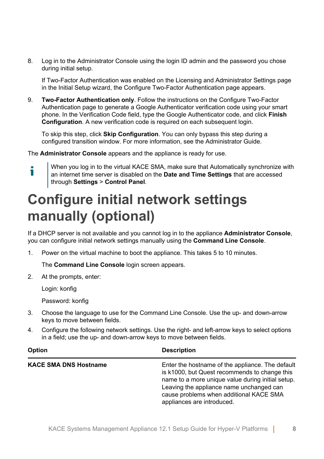8. Log in to the Administrator Console using the login ID admin and the password you chose during initial setup.

If Two-Factor Authentication was enabled on the Licensing and Administrator Settings page in the Initial Setup wizard, the Configure Two-Factor Authentication page appears.

9. **Two-Factor Authentication only**. Follow the instructions on the Configure Two-Factor Authentication page to generate a Google Authenticator verification code using your smart phone. In the Verification Code field, type the Google Authenticator code, and click **Finish Configuration.** A new verification code is required on each subsequent login.

To skip this step, click **Skip Configuration**. You can only bypass this step during a configured transition window. For more information, see the Administrator Guide.

The **Administrator Console** appears and the appliance is ready for use.

Ť

When you log in to the virtual KACE SMA, make sure that Automatically synchronize with an internet time server is disabled on the **Date and Time Settings** that are accessed through **Settings** > **Control Panel**.

### <span id="page-7-0"></span>**Configure initial network settings manually (optional)**

If a DHCP server is not available and you cannot log in to the appliance **Administrator Console**, you can configure initial network settings manually using the **Command Line Console**.

1. Power on the virtual machine to boot the appliance. This takes 5 to 10 minutes.

The **Command Line Console** login screen appears.

2. At the prompts, enter:

Login: konfig

Password: konfig

- 3. Choose the language to use for the Command Line Console. Use the up- and down-arrow keys to move between fields.
- 4. Configure the following network settings. Use the right- and left-arrow keys to select options in a field; use the up- and down-arrow keys to move between fields.

| Option                       | <b>Description</b>                                                                                                                                                                                                                                                          |  |  |
|------------------------------|-----------------------------------------------------------------------------------------------------------------------------------------------------------------------------------------------------------------------------------------------------------------------------|--|--|
| <b>KACE SMA DNS Hostname</b> | Enter the hostname of the appliance. The default<br>is k1000, but Quest recommends to change this<br>name to a more unique value during initial setup.<br>Leaving the appliance name unchanged can<br>cause problems when additional KACE SMA<br>appliances are introduced. |  |  |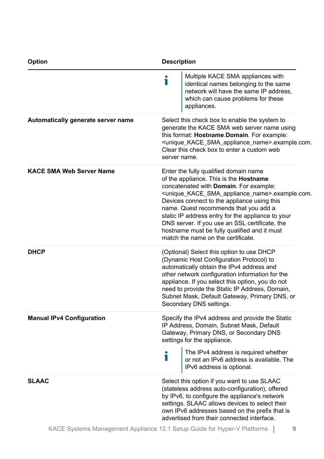| Option                             | <b>Description</b>                                                                                                                                                                                                                                                                                                                                                                                                                                                                                                    |  |  |
|------------------------------------|-----------------------------------------------------------------------------------------------------------------------------------------------------------------------------------------------------------------------------------------------------------------------------------------------------------------------------------------------------------------------------------------------------------------------------------------------------------------------------------------------------------------------|--|--|
|                                    | Multiple KACE SMA appliances with<br>Т<br>identical names belonging to the same<br>network will have the same IP address,<br>which can cause problems for these<br>appliances.                                                                                                                                                                                                                                                                                                                                        |  |  |
| Automatically generate server name | Select this check box to enable the system to<br>generate the KACE SMA web server name using<br>this format: Hostname.Domain. For example:<br><unique_kace_sma_appliance_name>.example.com.<br/>Clear this check box to enter a custom web<br/>server name.</unique_kace_sma_appliance_name>                                                                                                                                                                                                                          |  |  |
| <b>KACE SMA Web Server Name</b>    | Enter the fully qualified domain name<br>of the appliance. This is the <b>Hostname</b><br>concatenated with <b>Domain</b> . For example:<br><unique_kace_sma_appliance_name>.example.com.<br/>Devices connect to the appliance using this<br/>name. Quest recommends that you add a<br/>static IP address entry for the appliance to your<br/>DNS server. If you use an SSL certificate, the<br/>hostname must be fully qualified and it must<br/>match the name on the certificate.</unique_kace_sma_appliance_name> |  |  |
| <b>DHCP</b>                        | (Optional) Select this option to use DHCP<br>(Dynamic Host Configuration Protocol) to<br>automatically obtain the IPv4 address and<br>other network configuration information for the<br>appliance. If you select this option, you do not<br>need to provide the Static IP Address, Domain,<br>Subnet Mask, Default Gateway, Primary DNS, or<br>Secondary DNS settings.                                                                                                                                               |  |  |
| <b>Manual IPv4 Configuration</b>   | Specify the IPv4 address and provide the Static<br>IP Address, Domain, Subnet Mask, Default<br>Gateway, Primary DNS, or Secondary DNS<br>settings for the appliance.<br>The IPv4 address is required whether                                                                                                                                                                                                                                                                                                          |  |  |
|                                    | Т<br>or not an IPv6 address is available. The<br>IPv6 address is optional.                                                                                                                                                                                                                                                                                                                                                                                                                                            |  |  |
| <b>SLAAC</b>                       | Select this option if you want to use SLAAC<br>(stateless address auto-configuration), offered<br>by IPv6, to configure the appliance's network<br>settings. SLAAC allows devices to select their<br>own IPv6 addresses based on the prefix that is<br>advertised from their connected interface.                                                                                                                                                                                                                     |  |  |
|                                    | .                                                                                                                                                                                                                                                                                                                                                                                                                                                                                                                     |  |  |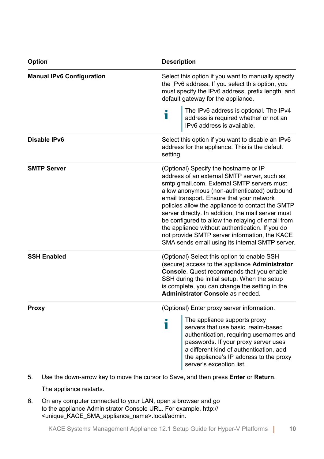| Option                           | <b>Description</b>                                                                                                                                                                                                                                                                                                                                                                                                                                                                                                                                    |                                                                                                                                                                                                                                          |  |
|----------------------------------|-------------------------------------------------------------------------------------------------------------------------------------------------------------------------------------------------------------------------------------------------------------------------------------------------------------------------------------------------------------------------------------------------------------------------------------------------------------------------------------------------------------------------------------------------------|------------------------------------------------------------------------------------------------------------------------------------------------------------------------------------------------------------------------------------------|--|
| <b>Manual IPv6 Configuration</b> | Select this option if you want to manually specify<br>the IPv6 address. If you select this option, you<br>must specify the IPv6 address, prefix length, and<br>default gateway for the appliance.                                                                                                                                                                                                                                                                                                                                                     |                                                                                                                                                                                                                                          |  |
|                                  | i                                                                                                                                                                                                                                                                                                                                                                                                                                                                                                                                                     | The IPv6 address is optional. The IPv4<br>address is required whether or not an<br>IPv6 address is available.                                                                                                                            |  |
| Disable IPv6                     | Select this option if you want to disable an IPv6<br>address for the appliance. This is the default<br>setting.                                                                                                                                                                                                                                                                                                                                                                                                                                       |                                                                                                                                                                                                                                          |  |
| <b>SMTP Server</b>               | (Optional) Specify the hostname or IP<br>address of an external SMTP server, such as<br>smtp.gmail.com. External SMTP servers must<br>allow anonymous (non-authenticated) outbound<br>email transport. Ensure that your network<br>policies allow the appliance to contact the SMTP<br>server directly. In addition, the mail server must<br>be configured to allow the relaying of email from<br>the appliance without authentication. If you do<br>not provide SMTP server information, the KACE<br>SMA sends email using its internal SMTP server. |                                                                                                                                                                                                                                          |  |
| <b>SSH Enabled</b>               | (Optional) Select this option to enable SSH<br>(secure) access to the appliance Administrator<br><b>Console.</b> Quest recommends that you enable<br>SSH during the initial setup. When the setup<br>is complete, you can change the setting in the<br>Administrator Console as needed.                                                                                                                                                                                                                                                               |                                                                                                                                                                                                                                          |  |
| Proxy                            | (Optional) Enter proxy server information.<br>The appliance supports proxy                                                                                                                                                                                                                                                                                                                                                                                                                                                                            |                                                                                                                                                                                                                                          |  |
|                                  | i                                                                                                                                                                                                                                                                                                                                                                                                                                                                                                                                                     | servers that use basic, realm-based<br>authentication, requiring usernames and<br>passwords. If your proxy server uses<br>a different kind of authentication, add<br>the appliance's IP address to the proxy<br>server's exception list. |  |

5. Use the down-arrow key to move the cursor to Save, and then press **Enter** or **Return**.

The appliance restarts.

6. On any computer connected to your LAN, open a browser and go to the appliance Administrator Console URL. For example, http:// <unique\_KACE\_SMA\_appliance\_name>.local/admin.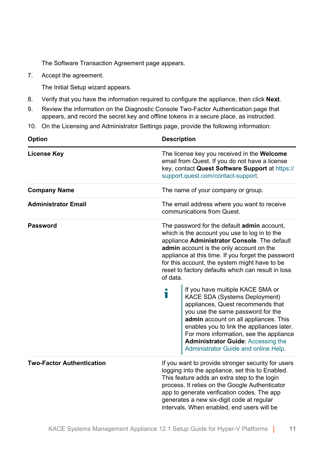The Software Transaction Agreement page appears.

7. Accept the agreement.

The Initial Setup wizard appears.

- 8. Verify that you have the information required to configure the appliance, then click **Next**.
- 9. Review the information on the Diagnostic Console Two-Factor Authentication page that appears, and record the secret key and offline tokens in a secure place, as instructed.
- 10. On the Licensing and Administrator Settings page, provide the following information:

| <b>Option</b>                    | <b>Description</b>                                                                                                                                                                                                                                                                                                                                                       |  |  |
|----------------------------------|--------------------------------------------------------------------------------------------------------------------------------------------------------------------------------------------------------------------------------------------------------------------------------------------------------------------------------------------------------------------------|--|--|
| <b>License Key</b>               | The license key you received in the Welcome<br>email from Quest. If you do not have a license<br>key, contact Quest Software Support at https://<br>support.quest.com/contact-support.                                                                                                                                                                                   |  |  |
| <b>Company Name</b>              | The name of your company or group.                                                                                                                                                                                                                                                                                                                                       |  |  |
| <b>Administrator Email</b>       | The email address where you want to receive<br>communications from Quest                                                                                                                                                                                                                                                                                                 |  |  |
| Password                         | The password for the default <b>admin</b> account,<br>which is the account you use to log in to the<br>appliance Administrator Console. The default<br>admin account is the only account on the<br>appliance at this time. If you forget the password<br>for this account, the system might have to be<br>reset to factory defaults which can result in loss<br>of data. |  |  |
|                                  | If you have multiple KACE SMA or<br>Ť<br>KACE SDA (Systems Deployment)<br>appliances, Quest recommends that<br>you use the same password for the<br>admin account on all appliances. This<br>enables you to link the appliances later.<br>For more information, see the appliance<br><b>Administrator Guide: Accessing the</b><br>Administrator Guide and online Help    |  |  |
| <b>Two-Factor Authentication</b> | If you want to provide stronger security for users<br>logging into the appliance, set this to Enabled.<br>This feature adds an extra step to the login<br>process. It relies on the Google Authenticator<br>app to generate verification codes. The app<br>generates a new six-digit code at regular<br>intervals. When enabled, end users will be                       |  |  |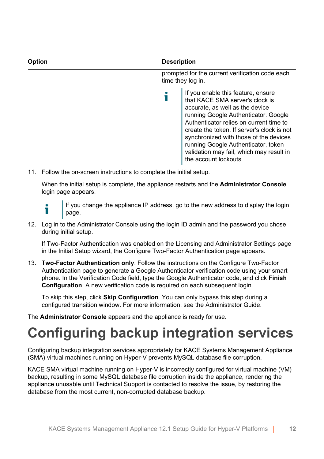| Option | <b>Description</b>                                                                                                                                                                                                                        |  |  |
|--------|-------------------------------------------------------------------------------------------------------------------------------------------------------------------------------------------------------------------------------------------|--|--|
|        | prompted for the current verification code each<br>time they log in.                                                                                                                                                                      |  |  |
|        | If you enable this feature, ensure<br>that KACE SMA server's clock is<br>accurate, as well as the device<br>running Google Authenticator. Google<br>Authenticator relies on current time to<br>create the token. If server's clock is not |  |  |

synchronized with those of the devices running Google Authenticator, token validation may fail, which may result in the account lockouts.

11. Follow the on-screen instructions to complete the initial setup.

When the initial setup is complete, the appliance restarts and the **Administrator Console** login page appears.

i

If you change the appliance IP address, go to the new address to display the login page.

12. Log in to the Administrator Console using the login ID admin and the password you chose during initial setup.

If Two-Factor Authentication was enabled on the Licensing and Administrator Settings page in the Initial Setup wizard, the Configure Two-Factor Authentication page appears.

13. **Two-Factor Authentication only**. Follow the instructions on the Configure Two-Factor Authentication page to generate a Google Authenticator verification code using your smart phone. In the Verification Code field, type the Google Authenticator code, and click **Finish Configuration**. A new verification code is required on each subsequent login.

To skip this step, click **Skip Configuration**. You can only bypass this step during a configured transition window. For more information, see the Administrator Guide.

The **Administrator Console** appears and the appliance is ready for use.

### <span id="page-11-0"></span>**Configuring backup integration services**

Configuring backup integration services appropriately for KACE Systems Management Appliance (SMA) virtual machines running on Hyper-V prevents MySQL database file corruption.

KACE SMA virtual machine running on Hyper-V is incorrectly configured for virtual machine (VM) backup, resulting in some MySQL database file corruption inside the appliance, rendering the appliance unusable until Technical Support is contacted to resolve the issue, by restoring the database from the most current, non-corrupted database backup.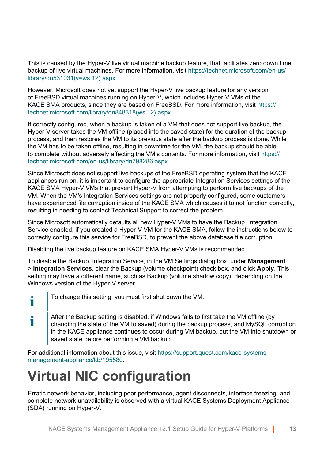This is caused by the Hyper-V live virtual machine backup feature, that facilitates zero down time backup of live virtual machines. For more information, visit [https://technet.microsoft.com/en-us/](https://technet.microsoft.com/en-us/library/dn531031(v=ws.12).aspx) [library/dn531031\(v=ws.12\).aspx.](https://technet.microsoft.com/en-us/library/dn531031(v=ws.12).aspx)

However, Microsoft does not yet support the Hyper-V live backup feature for any version of FreeBSD virtual machines running on Hyper-V, which includes Hyper-V VMs of the KACE SMA products, since they are based on FreeBSD. For more information, visit [https://](https://technet.microsoft.com/library/dn848318(ws.12).aspx) [technet.microsoft.com/library/dn848318\(ws.12\).aspx](https://technet.microsoft.com/library/dn848318(ws.12).aspx).

If correctly configured, when a backup is taken of a VM that does not support live backup, the Hyper-V server takes the VM offline (placed into the saved state) for the duration of the backup process, and then restores the VM to its previous state after the backup process is done. While the VM has to be taken offline, resulting in downtime for the VM, the backup should be able to complete without adversely affecting the VM's contents. For more information, visit [https://](https://technet.microsoft.com/en-us/library/dn798286.aspx) [technet.microsoft.com/en-us/library/dn798286.aspx](https://technet.microsoft.com/en-us/library/dn798286.aspx).

Since Microsoft does not support live backups of the FreeBSD operating system that the KACE appliances run on, it is important to configure the appropriate Integration Services settings of the KACE SMA Hyper-V VMs that prevent Hyper-V from attempting to perform live backups of the VM. When the VM's Integration Services settings are not properly configured, some customers have experienced file corruption inside of the KACE SMA which causes it to not function correctly, resulting in needing to contact Technical Support to correct the problem.

Since Microsoft automatically defaults all new Hyper-V VMs to have the Backup Integration Service enabled, if you created a Hyper-V VM for the KACE SMA, follow the instructions below to correctly configure this service for FreeBSD, to prevent the above database file corruption.

Disabling the live backup feature on KACE SMA Hyper-V VMs is recommended.

To disable the Backup Integration Service, in the VM Settings dialog box, under **Management** > **Integration Services**, clear the Backup (volume checkpoint) check box, and click **Apply**. This setting may have a different name, such as Backup (volume shadow copy), depending on the Windows version of the Hyper-V server.

To change this setting, you must first shut down the VM.

i

After the Backup setting is disabled, if Windows fails to first take the VM offline (by i changing the state of the VM to saved) during the backup process, and MySQL corruption in the KACE appliance continues to occur during VM backup, put the VM into shutdown or saved state before performing a VM backup.

For additional information about this issue, visit [https://support.quest.com/kace-systems](https://support.quest.com/kace-systems-management-appliance/kb/195580)[management-appliance/kb/195580](https://support.quest.com/kace-systems-management-appliance/kb/195580).

### <span id="page-12-0"></span>**Virtual NIC configuration**

Erratic network behavior, including poor performance, agent disconnects, interface freezing, and complete network unavailability is observed with a virtual KACE Systems Deployment Appliance (SDA) running on Hyper-V.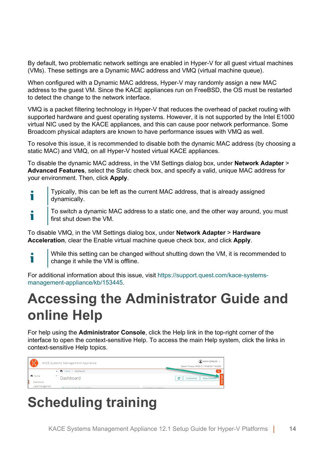By default, two problematic network settings are enabled in Hyper-V for all guest virtual machines (VMs). These settings are a Dynamic MAC address and VMQ (virtual machine queue).

When configured with a Dynamic MAC address, Hyper-V may randomly assign a new MAC address to the guest VM. Since the KACE appliances run on FreeBSD, the OS must be restarted to detect the change to the network interface.

VMQ is a packet filtering technology in Hyper-V that reduces the overhead of packet routing with supported hardware and guest operating systems. However, it is not supported by the Intel E1000 virtual NIC used by the KACE appliances, and this can cause poor network performance. Some Broadcom physical adapters are known to have performance issues with VMQ as well.

To resolve this issue, it is recommended to disable both the dynamic MAC address (by choosing a static MAC) and VMQ, on all Hyper-V hosted virtual KACE appliances.

To disable the dynamic MAC address, in the VM Settings dialog box, under **Network Adapter** > **Advanced Features**, select the Static check box, and specify a valid, unique MAC address for your environment. Then, click **Apply**.

- Typically, this can be left as the current MAC address, that is already assigned Ť dynamically.
- To switch a dynamic MAC address to a static one, and the other way around, you must i first shut down the VM.

To disable VMQ, in the VM Settings dialog box, under **Network Adapter** > **Hardware Acceleration**, clear the Enable virtual machine queue check box, and click **Apply**.

Т

While this setting can be changed without shutting down the VM, it is recommended to change it while the VM is offline.

For additional information about this issue, visit [https://support.quest.com/kace-systems](https://support.quest.com/kace-systems-management-appliance/kb/153445)[management-appliance/kb/153445](https://support.quest.com/kace-systems-management-appliance/kb/153445).

### <span id="page-13-0"></span>**Accessing the Administrator Guide and online Help**

For help using the **Administrator Console**, click the Help link in the top-right corner of the interface to open the context-sensitive Help. To access the main Help system, click the links in context-sensitive Help topics.

| $\mathbf{P}$     |  | KACE Systems Management Appliance           | admin (Default) v<br>Session Timeout: 00:59:13 + 07/28/2017 16:53:29 |
|------------------|--|---------------------------------------------|----------------------------------------------------------------------|
|                  |  | < <sup>h</sup> Home > Dashboard             |                                                                      |
| h Home           |  | Dashboard                                   | c<br><b>View Details</b><br>Customize                                |
| Dashboard        |  |                                             |                                                                      |
| Label Management |  | <b>March Margaret and American American</b> | <b>Longon Morris Andeles</b>                                         |

### <span id="page-13-1"></span>**Scheduling training**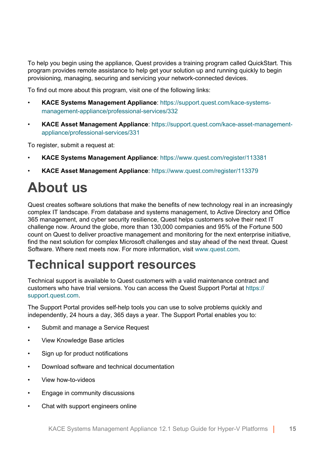To help you begin using the appliance, Quest provides a training program called QuickStart. This program provides remote assistance to help get your solution up and running quickly to begin provisioning, managing, securing and servicing your network-connected devices.

To find out more about this program, visit one of the following links:

- **KACE Systems Management Appliance**: [https://support.quest.com/kace-systems](https://support.quest.com/kace-systems-management-appliance/professional-services/332)[management-appliance/professional-services/332](https://support.quest.com/kace-systems-management-appliance/professional-services/332)
- **KACE Asset Management Appliance**: [https://support.quest.com/kace-asset-management](https://support.quest.com/kace-asset-management-appliance/professional-services/331)[appliance/professional-services/331](https://support.quest.com/kace-asset-management-appliance/professional-services/331)

To register, submit a request at:

- **KACE Systems Management Appliance**: <https://www.quest.com/register/113381>
- **KACE Asset Management Appliance**: <https://www.quest.com/register/113379>

### <span id="page-14-0"></span>**About us**

Quest creates software solutions that make the benefits of new technology real in an increasingly complex IT landscape. From database and systems management, to Active Directory and Office 365 management, and cyber security resilience, Quest helps customers solve their next IT challenge now. Around the globe, more than 130,000 companies and 95% of the Fortune 500 count on Quest to deliver proactive management and monitoring for the next enterprise initiative, find the next solution for complex Microsoft challenges and stay ahead of the next threat. Quest Software. Where next meets now. For more information, visit [www.quest.com](https://www.quest.com/company/contact-us.aspx).

### <span id="page-14-1"></span>**Technical support resources**

Technical support is available to Quest customers with a valid maintenance contract and customers who have trial versions. You can access the Quest Support Portal at [https://](https://support.quest.com/) [support.quest.com.](https://support.quest.com/)

The Support Portal provides self-help tools you can use to solve problems quickly and independently, 24 hours a day, 365 days a year. The Support Portal enables you to:

- Submit and manage a Service Request
- View Knowledge Base articles
- Sign up for product notifications
- Download software and technical documentation
- View how-to-videos
- Engage in community discussions
- Chat with support engineers online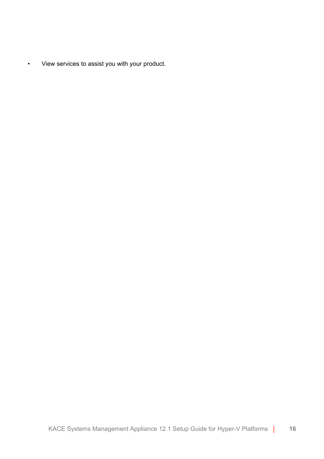• View services to assist you with your product.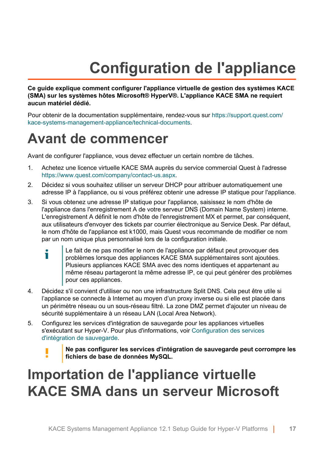## **Configuration de l'appliance**

<span id="page-16-0"></span>**Ce guide explique comment configurer l'appliance virtuelle de gestion des systèmes KACE (SMA) sur les systèmes hôtes Microsoft® HyperV®. L'appliance KACE SMA ne requiert aucun matériel dédié.**

Pour obtenir de la documentation supplémentaire, rendez-vous sur [https://support.quest.com/](https://support.quest.com/kace-systems-management-appliance/technical-documents) [kace-systems-management-appliance/technical-documents.](https://support.quest.com/kace-systems-management-appliance/technical-documents)

### <span id="page-16-1"></span>**Avant de commencer**

Avant de configurer l'appliance, vous devez effectuer un certain nombre de tâches.

- 1. Achetez une licence virtuelle KACE SMA auprès du service commercial Quest à l'adresse <https://www.quest.com/company/contact-us.aspx>.
- 2. Décidez si vous souhaitez utiliser un serveur DHCP pour attribuer automatiquement une adresse IP à l'appliance, ou si vous préférez obtenir une adresse IP statique pour l'appliance.
- 3. Si vous obtenez une adresse IP statique pour l'appliance, saisissez le nom d'hôte de l'appliance dans l'enregistrement A de votre serveur DNS (Domain Name System) interne. L'enregistrement A définit le nom d'hôte de l'enregistrement MX et permet, par conséquent, aux utilisateurs d'envoyer des tickets par courrier électronique au Service Desk. Par défaut, le nom d'hôte de l'appliance est k1000, mais Quest vous recommande de modifier ce nom par un nom unique plus personnalisé lors de la configuration initiale.
	- Le fait de ne pas modifier le nom de l'appliance par défaut peut provoquer des i problèmes lorsque des appliances KACE SMA supplémentaires sont ajoutées. Plusieurs appliances KACE SMA avec des noms identiques et appartenant au même réseau partageront la même adresse IP, ce qui peut générer des problèmes pour ces appliances.
- 4. Décidez s'il convient d'utiliser ou non une infrastructure Split DNS. Cela peut être utile si l'appliance se connecte à Internet au moyen d'un proxy inverse ou si elle est placée dans un périmètre réseau ou un sous-réseau filtré. La zone DMZ permet d'ajouter un niveau de sécurité supplémentaire à un réseau LAN (Local Area Network).
- 5. Configurez les services d'intégration de sauvegarde pour les appliances virtuelles s'exécutant sur Hyper-V. Pour plus d'informations, voir [Configuration des services](#page-26-0) [d'intégration de sauvegarde](#page-26-0).
	- **Ne pas configurer les services d'intégration de sauvegarde peut corrompre les fichiers de base de données MySQL.**

### <span id="page-16-2"></span>**Importation de l'appliance virtuelle KACE SMA dans un serveur Microsoft**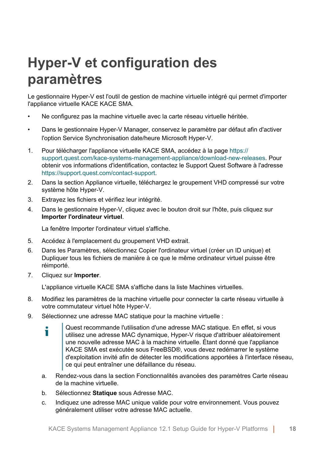### **Hyper-V et configuration des paramètres**

Le gestionnaire Hyper-V est l'outil de gestion de machine virtuelle intégré qui permet d'importer l'appliance virtuelle KACE KACE SMA.

- Ne configurez pas la machine virtuelle avec la carte réseau virtuelle héritée.
- Dans le gestionnaire Hyper-V Manager, conservez le paramètre par défaut afin d'activer l'option Service Synchronisation date/heure Microsoft Hyper-V.
- 1. Pour télécharger l'appliance virtuelle KACE SMA, accédez à la page [https://](https://support.quest.com/kace-systems-management-appliance/download-new-releases) [support.quest.com/kace-systems-management-appliance/download-new-releases.](https://support.quest.com/kace-systems-management-appliance/download-new-releases) Pour obtenir vos informations d'identification, contactez le Support Quest Software à l'adresse <https://support.quest.com/contact-support>.
- 2. Dans la section Appliance virtuelle, téléchargez le groupement VHD compressé sur votre système hôte Hyper-V.
- 3. Extrayez les fichiers et vérifiez leur intégrité.
- 4. Dans le gestionnaire Hyper-V, cliquez avec le bouton droit sur l'hôte, puis cliquez sur **Importer l'ordinateur virtuel**.

La fenêtre Importer l'ordinateur virtuel s'affiche.

- 5. Accédez à l'emplacement du groupement VHD extrait.
- 6. Dans les Paramètres, sélectionnez Copier l'ordinateur virtuel (créer un ID unique) et Dupliquer tous les fichiers de manière à ce que le même ordinateur virtuel puisse être réimporté.
- 7. Cliquez sur **Importer**.

L'appliance virtuelle KACE SMA s'affiche dans la liste Machines virtuelles.

- 8. Modifiez les paramètres de la machine virtuelle pour connecter la carte réseau virtuelle à votre commutateur virtuel hôte Hyper-V.
- 9. Sélectionnez une adresse MAC statique pour la machine virtuelle :
	- Quest recommande l'utilisation d'une adresse MAC statique. En effet, si vous i utilisez une adresse MAC dynamique, Hyper-V risque d'attribuer aléatoirement une nouvelle adresse MAC à la machine virtuelle. Étant donné que l'appliance KACE SMA est exécutée sous FreeBSD®, vous devez redémarrer le système d'exploitation invité afin de détecter les modifications apportées à l'interface réseau, ce qui peut entraîner une défaillance du réseau.
	- a. Rendez-vous dans la section Fonctionnalités avancées des paramètres Carte réseau de la machine virtuelle.
	- b. Sélectionnez **Statique** sous Adresse MAC.
	- c. Indiquez une adresse MAC unique valide pour votre environnement. Vous pouvez généralement utiliser votre adresse MAC actuelle.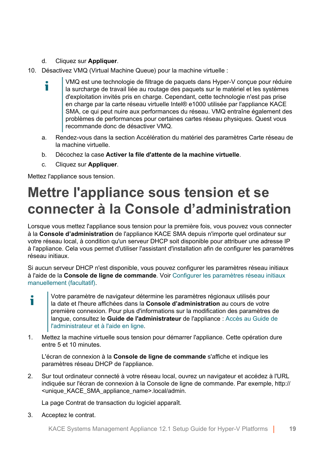#### d. Cliquez sur **Appliquer**.

- 10. Désactivez VMQ (Virtual Machine Queue) pour la machine virtuelle :
	- VMQ est une technologie de filtrage de paquets dans Hyper-V conçue pour réduire i la surcharge de travail liée au routage des paquets sur le matériel et les systèmes d'exploitation invités pris en charge. Cependant, cette technologie n'est pas prise en charge par la carte réseau virtuelle Intel® e1000 utilisée par l'appliance KACE SMA, ce qui peut nuire aux performances du réseau. VMQ entraîne également des problèmes de performances pour certaines cartes réseau physiques. Quest vous recommande donc de désactiver VMQ.
	- a. Rendez-vous dans la section Accélération du matériel des paramètres Carte réseau de la machine virtuelle.
	- b. Décochez la case **Activer la file d'attente de la machine virtuelle**.
	- c. Cliquez sur **Appliquer**.

Mettez l'appliance sous tension.

### <span id="page-18-0"></span>**Mettre l'appliance sous tension et se connecter à la Console d'administration**

Lorsque vous mettez l'appliance sous tension pour la première fois, vous pouvez vous connecter à la **Console d'administration** de l'appliance KACE SMA depuis n'importe quel ordinateur sur votre réseau local, à condition qu'un serveur DHCP soit disponible pour attribuer une adresse IP à l'appliance. Cela vous permet d'utiliser l'assistant d'installation afin de configurer les paramètres réseau initiaux.

Si aucun serveur DHCP n'est disponible, vous pouvez configurer les paramètres réseau initiaux à l'aide de la **Console de ligne de commande**. Voir [Configurer les paramètres réseau initiaux](#page-21-0) [manuellement \(facultatif\).](#page-21-0)

- Votre paramètre de navigateur détermine les paramètres régionaux utilisés pour Ť la date et l'heure affichées dans la **Console d'administration** au cours de votre première connexion. Pour plus d'informations sur la modification des paramètres de langue, consultez le **Guide de l'administrateur** de l'appliance : [Accès au Guide de](#page-28-0) [l'administrateur et à l'aide en ligne](#page-28-0).
- 1. Mettez la machine virtuelle sous tension pour démarrer l'appliance. Cette opération dure entre 5 et 10 minutes.

L'écran de connexion à la **Console de ligne de commande** s'affiche et indique les paramètres réseau DHCP de l'appliance.

2. Sur tout ordinateur connecté à votre réseau local, ouvrez un navigateur et accédez à l'URL indiquée sur l'écran de connexion à la Console de ligne de commande. Par exemple, http:// <unique\_KACE\_SMA\_appliance\_name>.local/admin.

La page Contrat de transaction du logiciel apparaît.

3. Acceptez le contrat.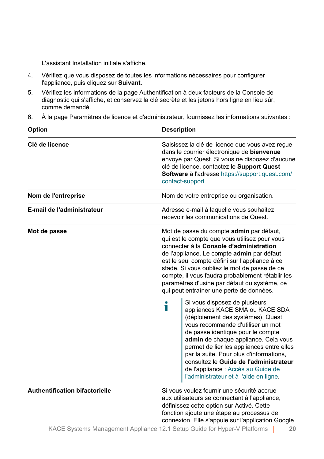L'assistant Installation initiale s'affiche.

- 4. Vérifiez que vous disposez de toutes les informations nécessaires pour configurer l'appliance, puis cliquez sur **Suivant**.
- 5. Vérifiez les informations de la page Authentification à deux facteurs de la Console de diagnostic qui s'affiche, et conservez la clé secrète et les jetons hors ligne en lieu sûr, comme demandé.
- 6. À la page Paramètres de licence et d'administrateur, fournissez les informations suivantes :  $\equiv$

 $\sim$ 

| <b>Option</b>                         | <b>Description</b>                                                                                                                                                                                                                                                                                                                                                                                                                                                                                                                                                                                                                                                                                                                                                                                                                                                                     |  |  |
|---------------------------------------|----------------------------------------------------------------------------------------------------------------------------------------------------------------------------------------------------------------------------------------------------------------------------------------------------------------------------------------------------------------------------------------------------------------------------------------------------------------------------------------------------------------------------------------------------------------------------------------------------------------------------------------------------------------------------------------------------------------------------------------------------------------------------------------------------------------------------------------------------------------------------------------|--|--|
| Clé de licence                        | Saisissez la clé de licence que vous avez reçue<br>dans le courrier électronique de bienvenue<br>envoyé par Quest. Si vous ne disposez d'aucune<br>clé de licence, contactez le Support Quest<br>Software à l'adresse https://support.quest.com/<br>contact-support.                                                                                                                                                                                                                                                                                                                                                                                                                                                                                                                                                                                                                   |  |  |
| Nom de l'entreprise                   | Nom de votre entreprise ou organisation.                                                                                                                                                                                                                                                                                                                                                                                                                                                                                                                                                                                                                                                                                                                                                                                                                                               |  |  |
| E-mail de l'administrateur            | Adresse e-mail à laquelle vous souhaitez<br>recevoir les communications de Quest.                                                                                                                                                                                                                                                                                                                                                                                                                                                                                                                                                                                                                                                                                                                                                                                                      |  |  |
| Mot de passe                          | Mot de passe du compte admin par défaut,<br>qui est le compte que vous utilisez pour vous<br>connecter à la Console d'administration<br>de l'appliance. Le compte admin par défaut<br>est le seul compte défini sur l'appliance à ce<br>stade. Si vous oubliez le mot de passe de ce<br>compte, il vous faudra probablement rétablir les<br>paramètres d'usine par défaut du système, ce<br>qui peut entraîner une perte de données.<br>Si vous disposez de plusieurs<br>Т<br>appliances KACE SMA ou KACE SDA<br>(déploiement des systèmes), Quest<br>vous recommande d'utiliser un mot<br>de passe identique pour le compte<br>admin de chaque appliance. Cela vous<br>permet de lier les appliances entre elles<br>par la suite. Pour plus d'informations,<br>consultez le Guide de l'administrateur<br>de l'appliance : Accès au Guide de<br>l'administrateur et à l'aide en ligne. |  |  |
| <b>Authentification bifactorielle</b> | Si vous voulez fournir une sécurité accrue<br>aux utilisateurs se connectant à l'appliance,<br>définissez cette option sur Activé. Cette<br>fonction ajoute une étape au processus de<br>connexion. Elle s'appuie sur l'application Google                                                                                                                                                                                                                                                                                                                                                                                                                                                                                                                                                                                                                                             |  |  |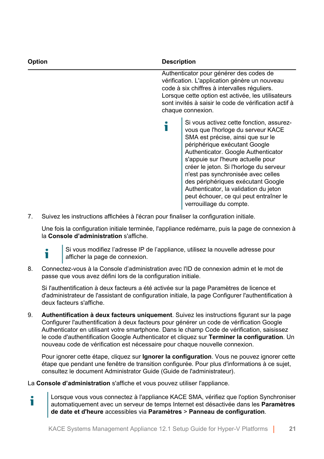| <b>Option</b> | <b>Description</b> |                                                                                                                                                                                                                                                                                                                                                                                                                                                                        |
|---------------|--------------------|------------------------------------------------------------------------------------------------------------------------------------------------------------------------------------------------------------------------------------------------------------------------------------------------------------------------------------------------------------------------------------------------------------------------------------------------------------------------|
|               |                    | Authenticator pour générer des codes de<br>vérification. L'application génère un nouveau<br>code à six chiffres à intervalles réguliers.<br>Lorsque cette option est activée, les utilisateurs<br>sont invités à saisir le code de vérification actif à<br>chaque connexion.                                                                                                                                                                                           |
|               |                    | Si vous activez cette fonction, assurez-<br>vous que l'horloge du serveur KACE<br>SMA est précise, ainsi que sur le<br>périphérique exécutant Google<br>Authenticator. Google Authenticator<br>s'appuie sur l'heure actuelle pour<br>créer le jeton. Si l'horloge du serveur<br>n'est pas synchronisée avec celles<br>des périphériques exécutant Google<br>Authenticator, la validation du jeton<br>peut échouer, ce qui peut entraîner le<br>verrouillage du compte. |

7. Suivez les instructions affichées à l'écran pour finaliser la configuration initiale.

Une fois la configuration initiale terminée, l'appliance redémarre, puis la page de connexion à la **Console d'administration** s'affiche.



Si vous modifiez l'adresse IP de l'appliance, utilisez la nouvelle adresse pour afficher la page de connexion.

8. Connectez-vous à la Console d'administration avec l'ID de connexion admin et le mot de passe que vous avez défini lors de la configuration initiale.

Si l'authentification à deux facteurs a été activée sur la page Paramètres de licence et d'administrateur de l'assistant de configuration initiale, la page Configurer l'authentification à deux facteurs s'affiche.

9. **Authentification à deux facteurs uniquement**. Suivez les instructions figurant sur la page Configurer l'authentification à deux facteurs pour générer un code de vérification Google Authenticator en utilisant votre smartphone. Dans le champ Code de vérification, saisissez le code d'authentification Google Authenticator et cliquez sur **Terminer la configuration**. Un nouveau code de vérification est nécessaire pour chaque nouvelle connexion.

Pour ignorer cette étape, cliquez sur **Ignorer la configuration**. Vous ne pouvez ignorer cette étape que pendant une fenêtre de transition configurée. Pour plus d'informations à ce sujet, consultez le document Administrator Guide (Guide de l'administrateur).

La **Console d'administration** s'affiche et vous pouvez utiliser l'appliance.

Lorsque vous vous connectez à l'appliance KACE SMA, vérifiez que l'option Synchroniser Ť automatiquement avec un serveur de temps Internet est désactivée dans les **Paramètres de date et d'heure** accessibles via **Paramètres** > **Panneau de configuration**.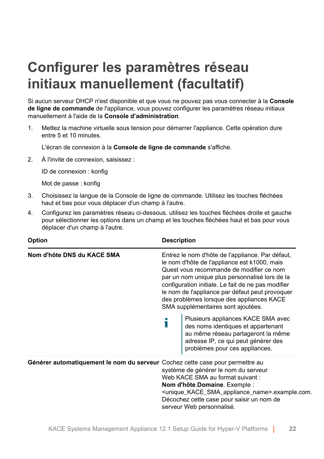### <span id="page-21-0"></span>**Configurer les paramètres réseau initiaux manuellement (facultatif)**

Si aucun serveur DHCP n'est disponible et que vous ne pouvez pas vous connecter à la **Console de ligne de commande** de l'appliance, vous pouvez configurer les paramètres réseau initiaux manuellement à l'aide de la **Console d'administration**.

1. Mettez la machine virtuelle sous tension pour démarrer l'appliance. Cette opération dure entre 5 et 10 minutes.

L'écran de connexion à la **Console de ligne de commande** s'affiche.

2. À l'invite de connexion, saisissez :

ID de connexion : konfig

Mot de passe : konfig

- 3. Choisissez la langue de la Console de ligne de commande. Utilisez les touches fléchées haut et bas pour vous déplacer d'un champ à l'autre.
- 4. Configurez les paramètres réseau ci-dessous. utilisez les touches fléchées droite et gauche pour sélectionner les options dans un champ et les touches fléchées haut et bas pour vous déplacer d'un champ à l'autre.

| <b>Option</b>                                                                 | <b>Description</b>                                                                                                                                                                                                                                                                                                                                                                                                                                                                                                                                                                    |  |
|-------------------------------------------------------------------------------|---------------------------------------------------------------------------------------------------------------------------------------------------------------------------------------------------------------------------------------------------------------------------------------------------------------------------------------------------------------------------------------------------------------------------------------------------------------------------------------------------------------------------------------------------------------------------------------|--|
| Nom d'hôte DNS du KACE SMA                                                    | Entrez le nom d'hôte de l'appliance. Par défaut,<br>le nom d'hôte de l'appliance est k1000, mais<br>Quest vous recommande de modifier ce nom<br>par un nom unique plus personnalisé lors de la<br>configuration initiale. Le fait de ne pas modifier<br>le nom de l'appliance par défaut peut provoquer<br>des problèmes lorsque des appliances KACE<br>SMA supplémentaires sont ajoutées.<br>Plusieurs appliances KACE SMA avec<br>des noms identiques et appartenant<br>au même réseau partageront la même<br>adresse IP, ce qui peut générer des<br>problèmes pour ces appliances. |  |
| Générer automatiquement le nom du serveur Cochez cette case pour permettre au | système de générer le nom du serveur<br>Web KACE SMA au format suivant:<br>Nom d'hôte Domaine. Exemple :<br><unique_kace_sma_appliance_name>.example.com.<br/>Décochez cette case pour saisir un nom de<br/>serveur Web personnalisé.</unique_kace_sma_appliance_name>                                                                                                                                                                                                                                                                                                                |  |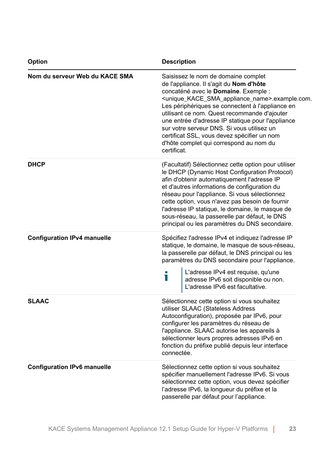| Option                             | <b>Description</b>                                                                                                                                                                                                                                                                                                                                                                                                                                                                                                              |  |  |
|------------------------------------|---------------------------------------------------------------------------------------------------------------------------------------------------------------------------------------------------------------------------------------------------------------------------------------------------------------------------------------------------------------------------------------------------------------------------------------------------------------------------------------------------------------------------------|--|--|
| Nom du serveur Web du KACE SMA     | Saisissez le nom de domaine complet<br>de l'appliance. Il s'agit du Nom d'hôte<br>concaténé avec le Domaine. Exemple :<br><unique_kace_sma_appliance_name>.example.com.<br/>Les périphériques se connectent à l'appliance en<br/>utilisant ce nom. Quest recommande d'ajouter<br/>une entrée d'adresse IP statique pour l'appliance<br/>sur votre serveur DNS. Si vous utilisez un<br/>certificat SSL, vous devez spécifier un nom<br/>d'hôte complet qui correspond au nom du<br/>certificat.</unique_kace_sma_appliance_name> |  |  |
| <b>DHCP</b>                        | (Facultatif) Sélectionnez cette option pour utiliser<br>le DHCP (Dynamic Host Configuration Protocol)<br>afin d'obtenir automatiquement l'adresse IP<br>et d'autres informations de configuration du<br>réseau pour l'appliance. Si vous sélectionnez<br>cette option, vous n'avez pas besoin de fournir<br>l'adresse IP statique, le domaine, le masque de<br>sous-réseau, la passerelle par défaut, le DNS<br>principal ou les paramètres du DNS secondaire.                                                                  |  |  |
| <b>Configuration IPv4 manuelle</b> | Spécifiez l'adresse IPv4 et indiquez l'adresse IP<br>statique, le domaine, le masque de sous-réseau,<br>la passerelle par défaut, le DNS principal ou les<br>paramètres du DNS secondaire pour l'appliance.<br>L'adresse IPv4 est requise, qu'une<br>adresse IPv6 soit disponible ou non.<br>L'adresse IPv6 est facultative.                                                                                                                                                                                                    |  |  |
| <b>SLAAC</b>                       | Sélectionnez cette option si vous souhaitez<br>utiliser SLAAC (Stateless Address<br>Autoconfiguration), proposée par IPv6, pour<br>configurer les paramètres du réseau de<br>l'appliance. SLAAC autorise les appareils à<br>sélectionner leurs propres adresses IPv6 en<br>fonction du préfixe publié depuis leur interface<br>connectée.                                                                                                                                                                                       |  |  |
| <b>Configuration IPv6 manuelle</b> | Sélectionnez cette option si vous souhaitez<br>spécifier manuellement l'adresse IPv6. Si vous<br>sélectionnez cette option, vous devez spécifier<br>l'adresse IPv6, la longueur du préfixe et la<br>passerelle par défaut pour l'appliance.                                                                                                                                                                                                                                                                                     |  |  |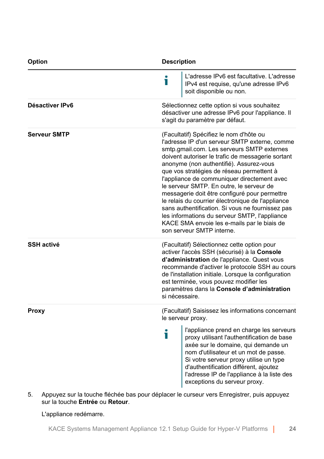| Option              | <b>Description</b>                                                                                                                                                                                                                                                                                                                                                                                                                                                                                                                                                                                                                                                    |  |  |
|---------------------|-----------------------------------------------------------------------------------------------------------------------------------------------------------------------------------------------------------------------------------------------------------------------------------------------------------------------------------------------------------------------------------------------------------------------------------------------------------------------------------------------------------------------------------------------------------------------------------------------------------------------------------------------------------------------|--|--|
|                     | L'adresse IPv6 est facultative. L'adresse<br>i<br>IPv4 est requise, qu'une adresse IPv6<br>soit disponible ou non.                                                                                                                                                                                                                                                                                                                                                                                                                                                                                                                                                    |  |  |
| Désactiver IPv6     | Sélectionnez cette option si vous souhaitez<br>désactiver une adresse IPv6 pour l'appliance. Il<br>s'agit du paramètre par défaut.                                                                                                                                                                                                                                                                                                                                                                                                                                                                                                                                    |  |  |
| <b>Serveur SMTP</b> | (Facultatif) Spécifiez le nom d'hôte ou<br>l'adresse IP d'un serveur SMTP externe, comme<br>smtp.gmail.com. Les serveurs SMTP externes<br>doivent autoriser le trafic de messagerie sortant<br>anonyme (non authentifié). Assurez-vous<br>que vos stratégies de réseau permettent à<br>l'appliance de communiquer directement avec<br>le serveur SMTP. En outre, le serveur de<br>messagerie doit être configuré pour permettre<br>le relais du courrier électronique de l'appliance<br>sans authentification. Si vous ne fournissez pas<br>les informations du serveur SMTP, l'appliance<br>KACE SMA envoie les e-mails par le biais de<br>son serveur SMTP interne. |  |  |
| <b>SSH activé</b>   | (Facultatif) Sélectionnez cette option pour<br>activer l'accès SSH (sécurisé) à la Console<br>d'administration de l'appliance. Quest vous<br>recommande d'activer le protocole SSH au cours<br>de l'installation initiale. Lorsque la configuration<br>est terminée, vous pouvez modifier les<br>paramètres dans la Console d'administration<br>si nécessaire.                                                                                                                                                                                                                                                                                                        |  |  |
| Proxy               | (Facultatif) Saisissez les informations concernant<br>le serveur proxy.<br>l'appliance prend en charge les serveurs<br>i<br>proxy utilisant l'authentification de base<br>axée sur le domaine, qui demande un<br>nom d'utilisateur et un mot de passe.<br>Si votre serveur proxy utilise un type<br>d'authentification différent, ajoutez<br>l'adresse IP de l'appliance à la liste des<br>exceptions du serveur proxy.                                                                                                                                                                                                                                               |  |  |

5. Appuyez sur la touche fléchée bas pour déplacer le curseur vers Enregistrer, puis appuyez sur la touche **Entrée** ou **Retour**.

#### L'appliance redémarre.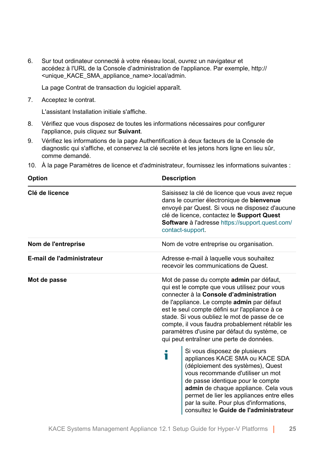6. Sur tout ordinateur connecté à votre réseau local, ouvrez un navigateur et accédez à l'URL de la Console d'administration de l'appliance. Par exemple, http:// <unique\_KACE\_SMA\_appliance\_name>.local/admin.

La page Contrat de transaction du logiciel apparaît.

7. Acceptez le contrat.

L'assistant Installation initiale s'affiche.

- 8. Vérifiez que vous disposez de toutes les informations nécessaires pour configurer l'appliance, puis cliquez sur **Suivant**.
- 9. Vérifiez les informations de la page Authentification à deux facteurs de la Console de diagnostic qui s'affiche, et conservez la clé secrète et les jetons hors ligne en lieu sûr, comme demandé.

|  |  |  | 10. À la page Paramètres de licence et d'administrateur, fournissez les informations suivantes : |
|--|--|--|--------------------------------------------------------------------------------------------------|
|--|--|--|--------------------------------------------------------------------------------------------------|

|                                                                                                                                                                                                                                                                                                                                                                                                                                             | <b>Description</b>                                                                                                                                                                                                                                                                                                                                        |  |
|---------------------------------------------------------------------------------------------------------------------------------------------------------------------------------------------------------------------------------------------------------------------------------------------------------------------------------------------------------------------------------------------------------------------------------------------|-----------------------------------------------------------------------------------------------------------------------------------------------------------------------------------------------------------------------------------------------------------------------------------------------------------------------------------------------------------|--|
| Saisissez la clé de licence que vous avez reçue<br>dans le courrier électronique de bienvenue<br>envoyé par Quest. Si vous ne disposez d'aucune<br>clé de licence, contactez le Support Quest<br>Software à l'adresse https://support.quest.com/<br>contact-support.                                                                                                                                                                        |                                                                                                                                                                                                                                                                                                                                                           |  |
| Nom de votre entreprise ou organisation.                                                                                                                                                                                                                                                                                                                                                                                                    |                                                                                                                                                                                                                                                                                                                                                           |  |
| Adresse e-mail à laquelle vous souhaitez<br>recevoir les communications de Quest.                                                                                                                                                                                                                                                                                                                                                           |                                                                                                                                                                                                                                                                                                                                                           |  |
| Mot de passe du compte <b>admin</b> par défaut,<br>qui est le compte que vous utilisez pour vous<br>connecter à la Console d'administration<br>de l'appliance. Le compte admin par défaut<br>est le seul compte défini sur l'appliance à ce<br>stade. Si vous oubliez le mot de passe de ce<br>compte, il vous faudra probablement rétablir les<br>paramètres d'usine par défaut du système, ce<br>qui peut entraîner une perte de données. |                                                                                                                                                                                                                                                                                                                                                           |  |
| i                                                                                                                                                                                                                                                                                                                                                                                                                                           | Si vous disposez de plusieurs<br>appliances KACE SMA ou KACE SDA<br>(déploiement des systèmes), Quest<br>vous recommande d'utiliser un mot<br>de passe identique pour le compte<br>admin de chaque appliance. Cela vous<br>permet de lier les appliances entre elles<br>par la suite. Pour plus d'informations,<br>consultez le Guide de l'administrateur |  |
|                                                                                                                                                                                                                                                                                                                                                                                                                                             |                                                                                                                                                                                                                                                                                                                                                           |  |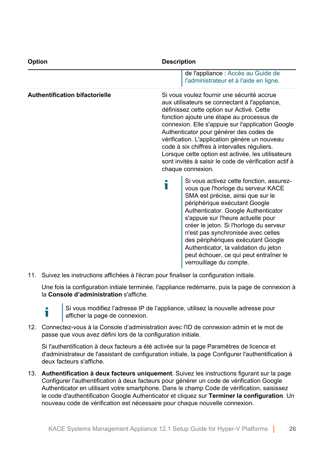| <b>Option</b>                         | <b>Description</b>                                                                                                                                                                                                                                                                                                                                                                                                                                                                                                         |  |  |
|---------------------------------------|----------------------------------------------------------------------------------------------------------------------------------------------------------------------------------------------------------------------------------------------------------------------------------------------------------------------------------------------------------------------------------------------------------------------------------------------------------------------------------------------------------------------------|--|--|
|                                       | de l'appliance : Accès au Guide de<br>l'administrateur et à l'aide en ligne.                                                                                                                                                                                                                                                                                                                                                                                                                                               |  |  |
| <b>Authentification bifactorielle</b> | Si vous voulez fournir une sécurité accrue<br>aux utilisateurs se connectant à l'appliance,<br>définissez cette option sur Activé. Cette<br>fonction ajoute une étape au processus de<br>connexion. Elle s'appuie sur l'application Google<br>Authenticator pour générer des codes de<br>vérification. L'application génère un nouveau<br>code à six chiffres à intervalles réguliers.<br>Lorsque cette option est activée, les utilisateurs<br>sont invités à saisir le code de vérification actif à<br>chaque connexion. |  |  |
|                                       | Si vous activez cette fonction, assurez-<br>i<br>vous que l'horloge du serveur KACE<br>SMA est précise, ainsi que sur le<br>périphérique exécutant Google<br>Authenticator. Google Authenticator<br>s'appuie sur l'heure actuelle pour<br>créer le jeton. Si l'horloge du serveur<br>n'est pas synchronisée avec celles<br>des périphériques exécutant Google<br>Authenticator, la validation du jeton<br>peut échouer, ce qui peut entraîner le<br>verrouillage du compte.                                                |  |  |

11. Suivez les instructions affichées à l'écran pour finaliser la configuration initiale.

Une fois la configuration initiale terminée, l'appliance redémarre, puis la page de connexion à la **Console d'administration** s'affiche.



Si vous modifiez l'adresse IP de l'appliance, utilisez la nouvelle adresse pour afficher la page de connexion.

12. Connectez-vous à la Console d'administration avec l'ID de connexion admin et le mot de passe que vous avez défini lors de la configuration initiale.

Si l'authentification à deux facteurs a été activée sur la page Paramètres de licence et d'administrateur de l'assistant de configuration initiale, la page Configurer l'authentification à deux facteurs s'affiche.

13. **Authentification à deux facteurs uniquement**. Suivez les instructions figurant sur la page Configurer l'authentification à deux facteurs pour générer un code de vérification Google Authenticator en utilisant votre smartphone. Dans le champ Code de vérification, saisissez le code d'authentification Google Authenticator et cliquez sur **Terminer la configuration**. Un nouveau code de vérification est nécessaire pour chaque nouvelle connexion.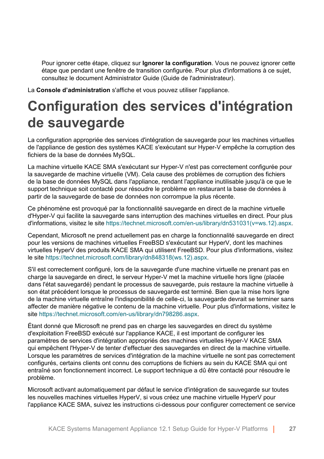Pour ignorer cette étape, cliquez sur **Ignorer la configuration**. Vous ne pouvez ignorer cette étape que pendant une fenêtre de transition configurée. Pour plus d'informations à ce sujet, consultez le document Administrator Guide (Guide de l'administrateur).

La **Console d'administration** s'affiche et vous pouvez utiliser l'appliance.

### <span id="page-26-0"></span>**Configuration des services d'intégration de sauvegarde**

La configuration appropriée des services d'intégration de sauvegarde pour les machines virtuelles de l'appliance de gestion des systèmes KACE s'exécutant sur Hyper-V empêche la corruption des fichiers de la base de données MySQL.

La machine virtuelle KACE SMA s'exécutant sur Hyper-V n'est pas correctement configurée pour la sauvegarde de machine virtuelle (VM). Cela cause des problèmes de corruption des fichiers de la base de données MySQL dans l'appliance, rendant l'appliance inutilisable jusqu'à ce que le support technique soit contacté pour résoudre le problème en restaurant la base de données à partir de la sauvegarde de base de données non corrompue la plus récente.

Ce phénomène est provoqué par la fonctionnalité sauvegarde en direct de la machine virtuelle d'Hyper-V qui facilite la sauvegarde sans interruption des machines virtuelles en direct. Pour plus d'informations, visitez le site [https://technet.microsoft.com/en-us/library/dn531031\(v=ws.12\).aspx.](https://technet.microsoft.com/en-us/library/dn531031(v=ws.12).aspx)

Cependant, Microsoft ne prend actuellement pas en charge la fonctionnalité sauvegarde en direct pour les versions de machines virtuelles FreeBSD s'exécutant sur HyperV, dont les machines virtuelles HyperV des produits KACE SMA qui utilisent FreeBSD. Pour plus d'informations, visitez le site [https://technet.microsoft.com/library/dn848318\(ws.12\).aspx](https://technet.microsoft.com/library/dn848318(ws.12).aspx).

S'il est correctement configuré, lors de la sauvegarde d'une machine virtuelle ne prenant pas en charge la sauvegarde en direct, le serveur Hyper-V met la machine virtuelle hors ligne (placée dans l'état sauvegardé) pendant le processus de sauvegarde, puis restaure la machine virtuelle à son état précédent lorsque le processus de sauvegarde est terminé. Bien que la mise hors ligne de la machine virtuelle entraîne l'indisponibilité de celle-ci, la sauvegarde devrait se terminer sans affecter de manière négative le contenu de la machine virtuelle. Pour plus d'informations, visitez le site [https://technet.microsoft.com/en-us/library/dn798286.aspx.](https://technet.microsoft.com/en-us/library/dn798286.aspx)

Étant donné que Microsoft ne prend pas en charge les sauvegardes en direct du système d'exploitation FreeBSD exécuté sur l'appliance KACE, il est important de configurer les paramètres de services d'intégration appropriés des machines virtuelles Hyper-V KACE SMA qui empêchent l'Hyper-V de tenter d'effectuer des sauvegardes en direct de la machine virtuelle. Lorsque les paramètres de services d'intégration de la machine virtuelle ne sont pas correctement configurés, certains clients ont connu des corruptions de fichiers au sein du KACE SMA qui ont entraîné son fonctionnement incorrect. Le support technique a dû être contacté pour résoudre le problème.

Microsoft activant automatiquement par défaut le service d'intégration de sauvegarde sur toutes les nouvelles machines virtuelles HyperV, si vous créez une machine virtuelle HyperV pour l'appliance KACE SMA, suivez les instructions ci-dessous pour configurer correctement ce service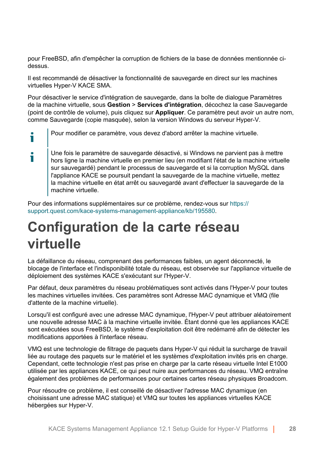pour FreeBSD, afin d'empêcher la corruption de fichiers de la base de données mentionnée cidessus.

Il est recommandé de désactiver la fonctionnalité de sauvegarde en direct sur les machines virtuelles Hyper-V KACE SMA.

Pour désactiver le service d'intégration de sauvegarde, dans la boîte de dialogue Paramètres de la machine virtuelle, sous **Gestion** > **Services d'intégration**, décochez la case Sauvegarde (point de contrôle de volume), puis cliquez sur **Appliquer**. Ce paramètre peut avoir un autre nom, comme Sauvegarde (copie masquée), selon la version Windows du serveur Hyper-V.

Pour modifier ce paramètre, vous devez d'abord arrêter la machine virtuelle.

i

Ť

Une fois le paramètre de sauvegarde désactivé, si Windows ne parvient pas à mettre hors ligne la machine virtuelle en premier lieu (en modifiant l'état de la machine virtuelle sur sauvegardé) pendant le processus de sauvegarde et si la corruption MySQL dans l'appliance KACE se poursuit pendant la sauvegarde de la machine virtuelle, mettez la machine virtuelle en état arrêt ou sauvegardé avant d'effectuer la sauvegarde de la machine virtuelle.

Pour des informations supplémentaires sur ce problème, rendez-vous sur [https://](https://support.quest.com/kace-systems-management-appliance/kb/195580) [support.quest.com/kace-systems-management-appliance/kb/195580.](https://support.quest.com/kace-systems-management-appliance/kb/195580)

### <span id="page-27-0"></span>**Configuration de la carte réseau virtuelle**

La défaillance du réseau, comprenant des performances faibles, un agent déconnecté, le blocage de l'interface et l'indisponibilité totale du réseau, est observée sur l'appliance virtuelle de déploiement des systèmes KACE s'exécutant sur l'Hyper-V.

Par défaut, deux paramètres du réseau problématiques sont activés dans l'Hyper-V pour toutes les machines virtuelles invitées. Ces paramètres sont Adresse MAC dynamique et VMQ (file d'attente de la machine virtuelle).

Lorsqu'il est configuré avec une adresse MAC dynamique, l'Hyper-V peut attribuer aléatoirement une nouvelle adresse MAC à la machine virtuelle invitée. Étant donné que les appliances KACE sont exécutées sous FreeBSD, le système d'exploitation doit être redémarré afin de détecter les modifications apportées à l'interface réseau.

VMQ est une technologie de filtrage de paquets dans Hyper-V qui réduit la surcharge de travail liée au routage des paquets sur le matériel et les systèmes d'exploitation invités pris en charge. Cependant, cette technologie n'est pas prise en charge par la carte réseau virtuelle Intel E1000 utilisée par les appliances KACE, ce qui peut nuire aux performances du réseau. VMQ entraîne également des problèmes de performances pour certaines cartes réseau physiques Broadcom.

Pour résoudre ce problème, il est conseillé de désactiver l'adresse MAC dynamique (en choisissant une adresse MAC statique) et VMQ sur toutes les appliances virtuelles KACE hébergées sur Hyper-V.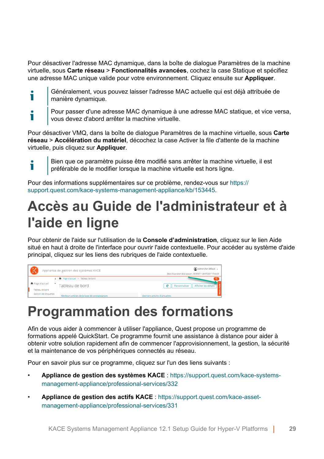Pour désactiver l'adresse MAC dynamique, dans la boîte de dialogue Paramètres de la machine virtuelle, sous **Carte réseau** > **Fonctionnalités avancées**, cochez la case Statique et spécifiez une adresse MAC unique valide pour votre environnement. Cliquez ensuite sur **Appliquer**.

- Généralement, vous pouvez laisser l'adresse MAC actuelle qui est déjà attribuée de Ť manière dynamique.
- Pour passer d'une adresse MAC dynamique à une adresse MAC statique, et vice versa, т vous devez d'abord arrêter la machine virtuelle.

Pour désactiver VMQ, dans la boîte de dialogue Paramètres de la machine virtuelle, sous **Carte réseau** > **Accélération du matériel**, décochez la case Activer la file d'attente de la machine virtuelle, puis cliquez sur **Appliquer**.

Bien que ce paramètre puisse être modifié sans arrêter la machine virtuelle, il est ٦ préférable de le modifier lorsque la machine virtuelle est hors ligne.

Pour des informations supplémentaires sur ce problème, rendez-vous sur [https://](https://support.quest.com/kace-systems-management-appliance/kb/153445) [support.quest.com/kace-systems-management-appliance/kb/153445.](https://support.quest.com/kace-systems-management-appliance/kb/153445)

### <span id="page-28-0"></span>**Accès au Guide de l'administrateur et à l'aide en ligne**

Pour obtenir de l'aide sur l'utilisation de la **Console d'administration**, cliquez sur le lien Aide situé en haut à droite de l'interface pour ouvrir l'aide contextuelle. Pour accéder au système d'aide principal, cliquez sur les liens des rubriques de l'aide contextuelle.



### <span id="page-28-1"></span>**Programmation des formations**

Afin de vous aider à commencer à utiliser l'appliance, Quest propose un programme de formations appelé QuickStart. Ce programme fournit une assistance à distance pour aider à obtenir votre solution rapidement afin de commencer l'approvisionnement, la gestion, la sécurité et la maintenance de vos périphériques connectés au réseau.

Pour en savoir plus sur ce programme, cliquez sur l'un des liens suivants :

- **Appliance de gestion des systèmes KACE** : [https://support.quest.com/kace-systems](https://support.quest.com/kace-systems-management-appliance/professional-services/332)[management-appliance/professional-services/332](https://support.quest.com/kace-systems-management-appliance/professional-services/332)
- **Appliance de gestion des actifs KACE** : [https://support.quest.com/kace-asset](https://support.quest.com/kace-asset-management-appliance/professional-services/331)[management-appliance/professional-services/331](https://support.quest.com/kace-asset-management-appliance/professional-services/331)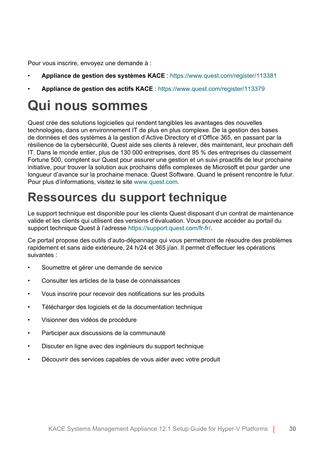Pour vous inscrire, envoyez une demande à :

- **Appliance de gestion des systèmes KACE** : <https://www.quest.com/register/113381>
- **Appliance de gestion des actifs KACE** : <https://www.quest.com/register/113379>

### <span id="page-29-0"></span>**Qui nous sommes**

Quest crée des solutions logicielles qui rendent tangibles les avantages des nouvelles technologies, dans un environnement IT de plus en plus complexe. De la gestion des bases de données et des systèmes à la gestion d'Active Directory et d'Office 365, en passant par la résilience de la cybersécurité, Quest aide ses clients à relever, dès maintenant, leur prochain défi IT. Dans le monde entier, plus de 130 000 entreprises, dont 95 % des entreprises du classement Fortune 500, comptent sur Quest pour assurer une gestion et un suivi proactifs de leur prochaine initiative, pour trouver la solution aux prochains défis complexes de Microsoft et pour garder une longueur d'avance sur la prochaine menace. Quest Software. Quand le présent rencontre le futur. Pour plus d'informations, visitez le site [www.quest.com](https://www.quest.com/company/contact-us.aspx).

### <span id="page-29-1"></span>**Ressources du support technique**

Le support technique est disponible pour les clients Quest disposant d'un contrat de maintenance valide et les clients qui utilisent des versions d'évaluation. Vous pouvez accéder au portail du support technique Quest à l'adresse [https://support.quest.com/fr-fr/.](https://support.quest.com/)

Ce portail propose des outils d'auto-dépannage qui vous permettront de résoudre des problèmes rapidement et sans aide extérieure, 24 h/24 et 365 j/an. Il permet d'effectuer les opérations suivantes :

- Soumettre et gérer une demande de service
- Consulter les articles de la base de connaissances
- Vous inscrire pour recevoir des notifications sur les produits
- Télécharger des logiciels et de la documentation technique
- Visionner des vidéos de procédure
- Participer aux discussions de la communauté
- Discuter en ligne avec des ingénieurs du support technique
- Découvrir des services capables de vous aider avec votre produit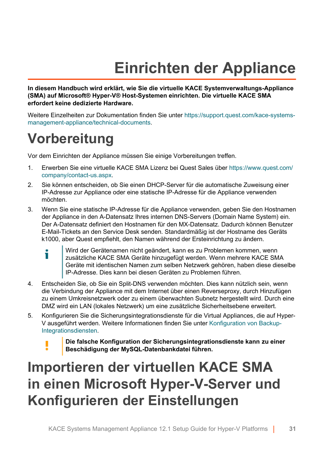## **Einrichten der Appliance**

<span id="page-30-0"></span>**In diesem Handbuch wird erklärt, wie Sie die virtuelle KACE Systemverwaltungs-Appliance (SMA) auf Microsoft® Hyper-V® Host-Systemen einrichten. Die virtuelle KACE SMA erfordert keine dedizierte Hardware.**

Weitere Einzelheiten zur Dokumentation finden Sie unter [https://support.quest.com/kace-systems](https://support.quest.com/kace-systems-management-appliance/technical-documents)[management-appliance/technical-documents](https://support.quest.com/kace-systems-management-appliance/technical-documents).

### <span id="page-30-1"></span>**Vorbereitung**

Vor dem Einrichten der Appliance müssen Sie einige Vorbereitungen treffen.

- 1. Erwerben Sie eine virtuelle KACE SMA Lizenz bei Quest Sales über [https://www.quest.com/](https://www.quest.com/company/contact-us.aspx) [company/contact-us.aspx.](https://www.quest.com/company/contact-us.aspx)
- 2. Sie können entscheiden, ob Sie einen DHCP-Server für die automatische Zuweisung einer IP-Adresse zur Appliance oder eine statische IP-Adresse für die Appliance verwenden möchten.
- 3. Wenn Sie eine statische IP-Adresse für die Appliance verwenden, geben Sie den Hostnamen der Appliance in den A-Datensatz Ihres internen DNS-Servers (Domain Name System) ein. Der A-Datensatz definiert den Hostnamen für den MX-Datensatz. Dadurch können Benutzer E-Mail-Tickets an den Service Desk senden. Standardmäßig ist der Hostname des Geräts k1000, aber Quest empfiehlt, den Namen während der Ersteinrichtung zu ändern.
	- Wird der Gerätenamen nicht geändert, kann es zu Problemen kommen, wenn i zusätzliche KACE SMA Geräte hinzugefügt werden. Wenn mehrere KACE SMA Geräte mit identischen Namen zum selben Netzwerk gehören, haben diese dieselbe IP-Adresse. Dies kann bei diesen Geräten zu Problemen führen.
- 4. Entscheiden Sie, ob Sie ein Split-DNS verwenden möchten. Dies kann nützlich sein, wenn die Verbindung der Appliance mit dem Internet über einen Reverseproxy, durch Hinzufügen zu einem Umkreisnetzwerk oder zu einem überwachten Subnetz hergestellt wird. Durch eine DMZ wird ein LAN (lokales Netzwerk) um eine zusätzliche Sicherheitsebene erweitert.
- 5. Konfigurieren Sie die Sicherungsintegrationsdienste für die Virtual Appliances, die auf Hyper-V ausgeführt werden. Weitere Informationen finden Sie unter [Konfiguration von Backup-](#page-40-0)[Integrationsdiensten](#page-40-0).
	- **Die falsche Konfiguration der Sicherungsintegrationsdienste kann zu einer Beschädigung der MySQL-Datenbankdatei führen.**

### <span id="page-30-2"></span>**Importieren der virtuellen KACE SMA in einen Microsoft Hyper-V-Server und Konfigurieren der Einstellungen**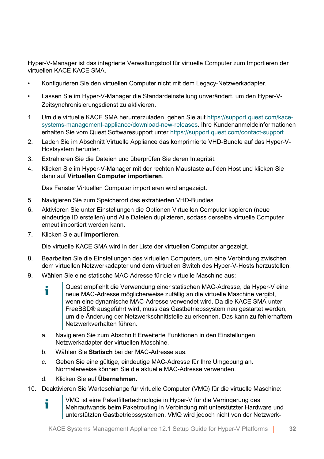Hyper-V-Manager ist das integrierte Verwaltungstool für virtuelle Computer zum Importieren der virtuellen KACE KACE SMA.

- Konfigurieren Sie den virtuellen Computer nicht mit dem Legacy-Netzwerkadapter.
- Lassen Sie im Hyper-V-Manager die Standardeinstellung unverändert, um den Hyper-V-Zeitsynchronisierungsdienst zu aktivieren.
- 1. Um die virtuelle KACE SMA herunterzuladen, gehen Sie auf [https://support.quest.com/kace](https://support.quest.com/kace-systems-management-appliance/download-new-releases)[systems-management-appliance/download-new-releases](https://support.quest.com/kace-systems-management-appliance/download-new-releases). Ihre Kundenanmeldeinformationen erhalten Sie vom Quest Softwaresupport unter [https://support.quest.com/contact-support.](https://support.quest.com/contact-support)
- 2. Laden Sie im Abschnitt Virtuelle Appliance das komprimierte VHD-Bundle auf das Hyper-V-Hostsystem herunter.
- 3. Extrahieren Sie die Dateien und überprüfen Sie deren Integrität.
- 4. Klicken Sie im Hyper-V-Manager mit der rechten Maustaste auf den Host und klicken Sie dann auf **Virtuellen Computer importieren**.

Das Fenster Virtuellen Computer importieren wird angezeigt.

- 5. Navigieren Sie zum Speicherort des extrahierten VHD-Bundles.
- 6. Aktivieren Sie unter Einstellungen die Optionen Virtuellen Computer kopieren (neue eindeutige ID erstellen) und Alle Dateien duplizieren, sodass derselbe virtuelle Computer erneut importiert werden kann.
- 7. Klicken Sie auf **Importieren**.

Die virtuelle KACE SMA wird in der Liste der virtuellen Computer angezeigt.

- 8. Bearbeiten Sie die Einstellungen des virtuellen Computers, um eine Verbindung zwischen dem virtuellen Netzwerkadapter und dem virtuellen Switch des Hyper-V-Hosts herzustellen.
- 9. Wählen Sie eine statische MAC-Adresse für die virtuelle Maschine aus:
	- Quest empfiehlt die Verwendung einer statischen MAC-Adresse, da Hyper-V eine Ť neue MAC-Adresse möglicherweise zufällig an die virtuelle Maschine vergibt, wenn eine dynamische MAC-Adresse verwendet wird. Da die KACE SMA unter FreeBSD® ausgeführt wird, muss das Gastbetriebssystem neu gestartet werden, um die Änderung der Netzwerkschnittstelle zu erkennen. Das kann zu fehlerhaftem Netzwerkverhalten führen.
	- a. Navigieren Sie zum Abschnitt Erweiterte Funktionen in den Einstellungen Netzwerkadapter der virtuellen Maschine.
	- b. Wählen Sie **Statisch** bei der MAC-Adresse aus.
	- c. Geben Sie eine gültige, eindeutige MAC-Adresse für Ihre Umgebung an. Normalerweise können Sie die aktuelle MAC-Adresse verwenden.
	- d. Klicken Sie auf **Übernehmen**.
- 10. Deaktivieren Sie Warteschlange für virtuelle Computer (VMQ) für die virtuelle Maschine:
	- VMQ ist eine Paketfiltertechnologie in Hyper-V für die Verringerung des Ť. Mehraufwands beim Paketrouting in Verbindung mit unterstützter Hardware und unterstützten Gastbetriebssystemen. VMQ wird jedoch nicht von der Netzwerk-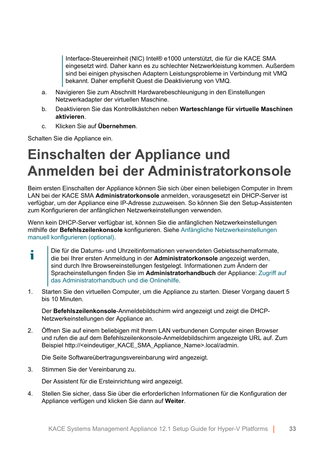Interface-Steuereinheit (NIC) Intel® e1000 unterstützt, die für die KACE SMA eingesetzt wird. Daher kann es zu schlechter Netzwerkleistung kommen. Außerdem sind bei einigen physischen Adaptern Leistungsprobleme in Verbindung mit VMQ bekannt. Daher empfiehlt Quest die Deaktivierung von VMQ.

- a. Navigieren Sie zum Abschnitt Hardwarebeschleunigung in den Einstellungen Netzwerkadapter der virtuellen Maschine.
- b. Deaktivieren Sie das Kontrollkästchen neben **Warteschlange für virtuelle Maschinen aktivieren**.
- c. Klicken Sie auf **Übernehmen**.

Schalten Sie die Appliance ein.

### <span id="page-32-0"></span>**Einschalten der Appliance und Anmelden bei der Administratorkonsole**

Beim ersten Einschalten der Appliance können Sie sich über einen beliebigen Computer in Ihrem LAN bei der KACE SMA **Administratorkonsole** anmelden, vorausgesetzt ein DHCP-Server ist verfügbar, um der Appliance eine IP-Adresse zuzuweisen. So können Sie den Setup-Assistenten zum Konfigurieren der anfänglichen Netzwerkeinstellungen verwenden.

Wenn kein DHCP-Server verfügbar ist, können Sie die anfänglichen Netzwerkeinstellungen mithilfe der **Befehlszeilenkonsole** konfigurieren. Siehe [Anfängliche Netzwerkeinstellungen](#page-35-0) [manuell konfigurieren \(optional\)](#page-35-0).

- Die für die Datums- und Uhrzeitinformationen verwendeten Gebietsschemaformate, т die bei Ihrer ersten Anmeldung in der **Administratorkonsole** angezeigt werden, sind durch Ihre Browsereinstellungen festgelegt. Informationen zum Ändern der Spracheinstellungen finden Sie im **Administratorhandbuch** der Appliance: [Zugriff auf](#page-42-0) [das Administratorhandbuch und die Onlinehilfe.](#page-42-0)
- 1. Starten Sie den virtuellen Computer, um die Appliance zu starten. Dieser Vorgang dauert 5 bis 10 Minuten.

Der **Befehlszeilenkonsole**-Anmeldebildschirm wird angezeigt und zeigt die DHCP-Netzwerkeinstellungen der Appliance an.

2. Öffnen Sie auf einem beliebigen mit Ihrem LAN verbundenen Computer einen Browser und rufen die auf dem Befehlszeilenkonsole-Anmeldebildschirm angezeigte URL auf. Zum Beispiel http://<eindeutiger\_KACE\_SMA\_Appliance\_Name>.local/admin.

Die Seite Softwareübertragungsvereinbarung wird angezeigt.

3. Stimmen Sie der Vereinbarung zu.

Der Assistent für die Ersteinrichtung wird angezeigt.

4. Stellen Sie sicher, dass Sie über die erforderlichen Informationen für die Konfiguration der Appliance verfügen und klicken Sie dann auf **Weiter**.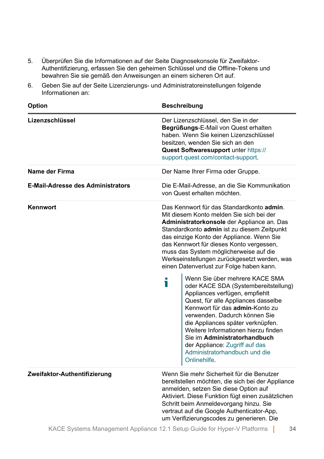- 5. Überprüfen Sie die Informationen auf der Seite Diagnosekonsole für Zweifaktor-Authentifizierung, erfassen Sie den geheimen Schlüssel und die Offline-Tokens und bewahren Sie sie gemäß den Anweisungen an einem sicheren Ort auf.
- 6. Geben Sie auf der Seite Lizenzierungs- und Administratoreinstellungen folgende Informationen an:

| Option                                   | <b>Beschreibung</b><br>Der Lizenzschlüssel, den Sie in der<br>Begrüßungs-E-Mail von Quest erhalten<br>haben. Wenn Sie keinen Lizenzschlüssel<br>besitzen. wenden Sie sich an den<br>Quest Softwaresupport unter https://<br>support.quest.com/contact-support.                                                                                                                                                                                                                                                                                                                                                                                                                                                                                                                                                                               |  |  |
|------------------------------------------|----------------------------------------------------------------------------------------------------------------------------------------------------------------------------------------------------------------------------------------------------------------------------------------------------------------------------------------------------------------------------------------------------------------------------------------------------------------------------------------------------------------------------------------------------------------------------------------------------------------------------------------------------------------------------------------------------------------------------------------------------------------------------------------------------------------------------------------------|--|--|
| Lizenzschlüssel                          |                                                                                                                                                                                                                                                                                                                                                                                                                                                                                                                                                                                                                                                                                                                                                                                                                                              |  |  |
| Name der Firma                           | Der Name Ihrer Firma oder Gruppe.                                                                                                                                                                                                                                                                                                                                                                                                                                                                                                                                                                                                                                                                                                                                                                                                            |  |  |
| <b>E-Mail-Adresse des Administrators</b> | Die E-Mail-Adresse, an die Sie Kommunikation<br>von Quest erhalten möchten.                                                                                                                                                                                                                                                                                                                                                                                                                                                                                                                                                                                                                                                                                                                                                                  |  |  |
| Kennwort                                 | Das Kennwort für das Standardkonto admin.<br>Mit diesem Konto melden Sie sich bei der<br>Administratorkonsole der Appliance an. Das<br>Standardkonto admin ist zu diesem Zeitpunkt<br>das einzige Konto der Appliance. Wenn Sie<br>das Kennwort für dieses Konto vergessen,<br>muss das System möglicherweise auf die<br>Werkseinstellungen zurückgesetzt werden, was<br>einen Datenverlust zur Folge haben kann.<br>Wenn Sie über mehrere KACE SMA<br>T<br>oder KACE SDA (Systembereitstellung)<br>Appliances verfügen, empfiehlt<br>Quest, für alle Appliances dasselbe<br>Kennwort für das admin-Konto zu<br>verwenden. Dadurch können Sie<br>die Appliances später verknüpfen.<br>Weitere Informationen hierzu finden<br>Sie im Administratorhandbuch<br>der Appliance: Zugriff auf das<br>Administratorhandbuch und die<br>Onlinehilfe. |  |  |
| Zweifaktor-Authentifizierung             | Wenn Sie mehr Sicherheit für die Benutzer<br>bereitstellen möchten, die sich bei der Appliance<br>anmelden, setzen Sie diese Option auf<br>Aktiviert. Diese Funktion fügt einen zusätzlichen<br>Schritt beim Anmeldevorgang hinzu. Sie<br>vertraut auf die Google Authenticator-App,<br>um Verifizierungscodes zu generieren. Die                                                                                                                                                                                                                                                                                                                                                                                                                                                                                                            |  |  |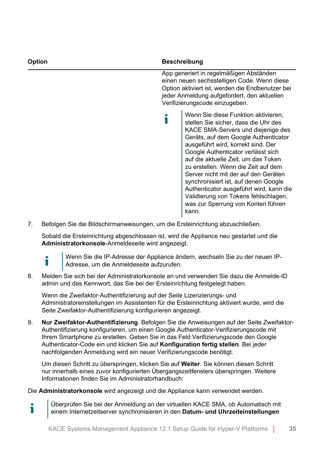| Option | <b>Beschreibung</b>                                                                                                                                                                                                                                                                                                                                                                                                                                                                                                                   |  |
|--------|---------------------------------------------------------------------------------------------------------------------------------------------------------------------------------------------------------------------------------------------------------------------------------------------------------------------------------------------------------------------------------------------------------------------------------------------------------------------------------------------------------------------------------------|--|
|        | App generiert in regelmäßigen Abständen<br>einen neuen sechsstelligen Code. Wenn diese<br>Option aktiviert ist, werden die Endbenutzer bei<br>jeder Anmeldung aufgefordert, den aktuellen<br>Verifizierungscode einzugeben.                                                                                                                                                                                                                                                                                                           |  |
|        | Wenn Sie diese Funktion aktivieren,<br>stellen Sie sicher, dass die Uhr des<br>KACE SMA-Servers und diejenige des<br>Geräts, auf dem Google Authenticator<br>ausgeführt wird, korrekt sind. Der<br>Google Authenticator verlässt sich<br>auf die aktuelle Zeit, um das Token<br>zu erstellen. Wenn die Zeit auf dem<br>Server nicht mit der auf den Geräten<br>synchronisiert ist, auf denen Google<br>Authenticator ausgeführt wird, kann die<br>Validierung von Tokens fehlschlagen,<br>was zur Sperrung von Konten führen<br>kann. |  |

7. Befolgen Sie die Bildschirmanweisungen, um die Ersteinrichtung abzuschließen.

Sobald die Ersteinrichtung abgeschlossen ist, wird die Appliance neu gestartet und die **Administratorkonsole**-Anmeldeseite wird angezeigt.

Т

Wenn Sie die IP-Adresse der Appliance ändern, wechseln Sie zu der neuen IP-Adresse, um die Anmeldeseite aufzurufen.

8. Melden Sie sich bei der Administratorkonsole an und verwenden Sie dazu die Anmelde-ID admin und das Kennwort, das Sie bei der Ersteinrichtung festgelegt haben.

Wenn die Zweifaktor-Authentifizierung auf der Seite Lizenzierungs- und Administratoreinstellungen im Assistenten für die Ersteinrichtung aktiviert wurde, wird die Seite Zweifaktor-Authentifizierung konfigurieren angezeigt.

9. **Nur Zweifaktor-Authentifizierung**. Befolgen Sie die Anweisungen auf der Seite Zweifaktor-Authentifizierung konfigurieren, um einen Google Authenticator-Verifizierungscode mit Ihrem Smartphone zu erstellen. Geben Sie in das Feld Verifizierungscode den Google Authenticator-Code ein und klicken Sie auf **Konfiguration fertig stellen**. Bei jeder nachfolgenden Anmeldung wird ein neuer Verifizierungscode benötigt.

Um diesen Schritt zu überspringen, klicken Sie auf **Weiter**. Sie können diesen Schritt nur innerhalb eines zuvor konfigurierten Übergangszeitfensters überspringen. Weitere Informationen finden Sie im Administratorhandbuch:

Die **Administratorkonsole** wird angezeigt und die Appliance kann verwendet werden.

Überprüfen Sie bei der Anmeldung an der virtuellen KACE SMA, ob Automatisch mit i einem Internetzeitserver synchronisieren in den **Datum- und Uhrzeiteinstellungen**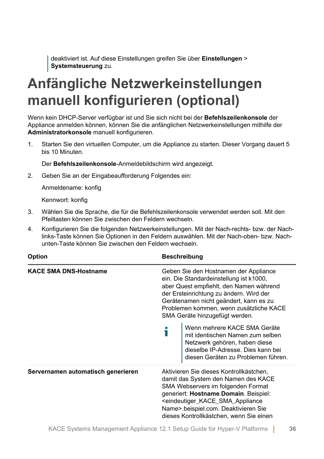deaktiviert ist. Auf diese Einstellungen greifen Sie über **Einstellungen** > **Systemsteuerung** zu.

### <span id="page-35-0"></span>**Anfängliche Netzwerkeinstellungen manuell konfigurieren (optional)**

Wenn kein DHCP-Server verfügbar ist und Sie sich nicht bei der **Befehlszeilenkonsole** der Appliance anmelden können, können Sie die anfänglichen Netzwerkeinstellungen mithilfe der **Administratorkonsole** manuell konfigurieren.

1. Starten Sie den virtuellen Computer, um die Appliance zu starten. Dieser Vorgang dauert 5 bis 10 Minuten.

Der **Befehlszeilenkonsole**-Anmeldebildschirm wird angezeigt.

2. Geben Sie an der Eingabeaufforderung Folgendes ein:

Anmeldename: konfig

Kennwort: konfig

- 3. Wählen Sie die Sprache, die für die Befehlszeilenkonsole verwendet werden soll. Mit den Pfeiltasten können Sie zwischen den Feldern wechseln.
- 4. Konfigurieren Sie die folgenden Netzwerkeinstellungen. Mit der Nach-rechts- bzw. der Nachlinks-Taste können Sie Optionen in den Feldern auswählen. Mit der Nach-oben- bzw. Nachunten-Taste können Sie zwischen den Feldern wechseln.

| <b>Option</b>                      |                                                                                                                                                                                                                                                                                               | <b>Beschreibung</b>                                                                                                                                                                                                                                                                                                         |  |  |
|------------------------------------|-----------------------------------------------------------------------------------------------------------------------------------------------------------------------------------------------------------------------------------------------------------------------------------------------|-----------------------------------------------------------------------------------------------------------------------------------------------------------------------------------------------------------------------------------------------------------------------------------------------------------------------------|--|--|
| <b>KACE SMA DNS-Hostname</b>       | Geben Sie den Hostnamen der Appliance<br>ein. Die Standardeinstellung ist k1000,<br>aber Quest empfiehlt, den Namen während<br>der Ersteinrichtung zu ändern. Wird der<br>Gerätenamen nicht geändert, kann es zu<br>Problemen kommen, wenn zusätzliche KACE<br>SMA Geräte hinzugefügt werden. |                                                                                                                                                                                                                                                                                                                             |  |  |
|                                    |                                                                                                                                                                                                                                                                                               | Wenn mehrere KACE SMA Geräte<br>mit identischen Namen zum selben<br>Netzwerk gehören, haben diese<br>dieselbe IP-Adresse. Dies kann bei<br>diesen Geräten zu Problemen führen.                                                                                                                                              |  |  |
| Servernamen automatisch generieren |                                                                                                                                                                                                                                                                                               | Aktivieren Sie dieses Kontrollkästchen,<br>damit das System den Namen des KACE<br>SMA Webservers im folgenden Format<br>generiert: Hostname Domain. Beispiel:<br><eindeutiger_kace_sma_appliance<br>Name&gt;.beispiel.com. Deaktivieren Sie<br/>dieses Kontrollkästchen, wenn Sie einen</eindeutiger_kace_sma_appliance<br> |  |  |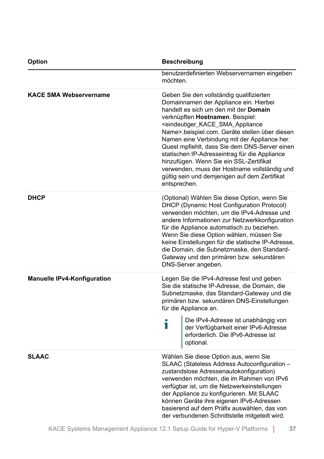| <b>Option</b>                      | <b>Beschreibung</b>                                                                                                                                                                                                                                                                                                                                                                                                                                                                                                                                                                                              |  |
|------------------------------------|------------------------------------------------------------------------------------------------------------------------------------------------------------------------------------------------------------------------------------------------------------------------------------------------------------------------------------------------------------------------------------------------------------------------------------------------------------------------------------------------------------------------------------------------------------------------------------------------------------------|--|
|                                    | benutzerdefinierten Webservernamen eingeben<br>möchten.                                                                                                                                                                                                                                                                                                                                                                                                                                                                                                                                                          |  |
| <b>KACE SMA Webservername</b>      | Geben Sie den vollständig qualifizierten<br>Domainnamen der Appliance ein. Hierbei<br>handelt es sich um den mit der Domain<br>verknüpften Hostnamen. Beispiel:<br><eindeutiger_kace_sma_appliance<br>Name&gt; beispiel.com. Geräte stellen über diesen<br/>Namen eine Verbindung mit der Appliance her.<br/>Quest mpfiehlt, dass Sie dem DNS-Server einen<br/>statischen IP-Adresseintrag für die Appliance<br/>hinzufügen. Wenn Sie ein SSL-Zertifikat<br/>verwenden, muss der Hostname vollständig und<br/>gültig sein und demjenigen auf dem Zertifikat<br/>entsprechen.</eindeutiger_kace_sma_appliance<br> |  |
| <b>DHCP</b>                        | (Optional) Wählen Sie diese Option, wenn Sie<br>DHCP (Dynamic Host Configuration Protocol)<br>verwenden möchten, um die IPv4-Adresse und<br>andere Informationen zur Netzwerkkonfiguration<br>für die Appliance automatisch zu beziehen.<br>Wenn Sie diese Option wählen, müssen Sie<br>keine Einstellungen für die statische IP-Adresse,<br>die Domain, die Subnetzmaske, den Standard-<br>Gateway und den primären bzw. sekundären<br>DNS-Server angeben.                                                                                                                                                      |  |
| <b>Manuelle IPv4-Konfiguration</b> | Legen Sie die IPv4-Adresse fest und geben<br>Sie die statische IP-Adresse, die Domain, die<br>Subnetzmaske, das Standard-Gateway und die<br>primären bzw. sekundären DNS-Einstellungen<br>für die Appliance an.                                                                                                                                                                                                                                                                                                                                                                                                  |  |
|                                    | Die IPv4-Adresse ist unabhängig von<br>Ť<br>der Verfügbarkeit einer IPv6-Adresse<br>erforderlich. Die IPv6-Adresse ist<br>optional.                                                                                                                                                                                                                                                                                                                                                                                                                                                                              |  |
| <b>SLAAC</b>                       | Wählen Sie diese Option aus, wenn Sie<br>SLAAC (Stateless Address Autoconfiguration -<br>zustandslose Adressenautokonfiguration)<br>verwenden möchten, die im Rahmen von IPv6<br>verfügbar ist, um die Netzwerkeinstellungen<br>der Appliance zu konfigurieren. Mit SLAAC<br>können Geräte ihre eigenen IPv6-Adressen<br>basierend auf dem Präfix auswählen, das von<br>der verbundenen Schnittstelle mitgeteilt wird.                                                                                                                                                                                           |  |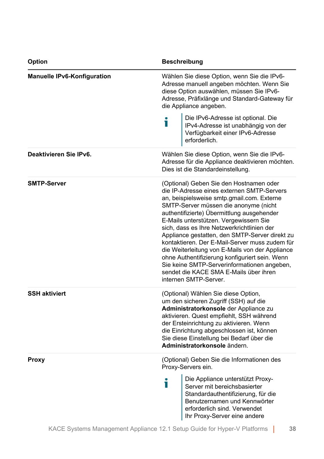| <b>Option</b>               | <b>Beschreibung</b>                                                                                                                                                                                                                                                                                                                                                                                                                                                                                                                                                                                                                           |  |
|-----------------------------|-----------------------------------------------------------------------------------------------------------------------------------------------------------------------------------------------------------------------------------------------------------------------------------------------------------------------------------------------------------------------------------------------------------------------------------------------------------------------------------------------------------------------------------------------------------------------------------------------------------------------------------------------|--|
| Manuelle IPv6-Konfiguration | Wählen Sie diese Option, wenn Sie die IPv6-<br>Adresse manuell angeben möchten. Wenn Sie<br>diese Option auswählen, müssen Sie IPv6-<br>Adresse, Präfixlänge und Standard-Gateway für<br>die Appliance angeben.                                                                                                                                                                                                                                                                                                                                                                                                                               |  |
|                             | Die IPv6-Adresse ist optional. Die<br>ñ<br>IPv4-Adresse ist unabhängig von der<br>Verfügbarkeit einer IPv6-Adresse<br>erforderlich.                                                                                                                                                                                                                                                                                                                                                                                                                                                                                                           |  |
| Deaktivieren Sie IPv6.      | Wählen Sie diese Option, wenn Sie die IPv6-<br>Adresse für die Appliance deaktivieren möchten.<br>Dies ist die Standardeinstellung.                                                                                                                                                                                                                                                                                                                                                                                                                                                                                                           |  |
| <b>SMTP-Server</b>          | (Optional) Geben Sie den Hostnamen oder<br>die IP-Adresse eines externen SMTP-Servers<br>an, beispielsweise smtp.gmail.com. Externe<br>SMTP-Server müssen die anonyme (nicht<br>authentifizierte) Übermittlung ausgehender<br>E-Mails unterstützen. Vergewissern Sie<br>sich, dass es Ihre Netzwerkrichtlinien der<br>Appliance gestatten, den SMTP-Server direkt zu<br>kontaktieren. Der E-Mail-Server muss zudem für<br>die Weiterleitung von E-Mails von der Appliance<br>ohne Authentifizierung konfiguriert sein. Wenn<br>Sie keine SMTP-Serverinformationen angeben,<br>sendet die KACE SMA E-Mails über ihren<br>internen SMTP-Server. |  |
| <b>SSH aktiviert</b>        | (Optional) Wählen Sie diese Option,<br>um den sicheren Zugriff (SSH) auf die<br>Administratorkonsole der Appliance zu<br>aktivieren. Quest empfiehlt, SSH während<br>der Ersteinrichtung zu aktivieren. Wenn<br>die Einrichtung abgeschlossen ist, können<br>Sie diese Einstellung bei Bedarf über die<br>Administratorkonsole ändern.                                                                                                                                                                                                                                                                                                        |  |
| Proxy                       | (Optional) Geben Sie die Informationen des<br>Proxy-Servers ein.                                                                                                                                                                                                                                                                                                                                                                                                                                                                                                                                                                              |  |
|                             | Die Appliance unterstützt Proxy-<br>Т<br>Server mit bereichsbasierter<br>Standardauthentifizierung, für die<br>Benutzernamen und Kennwörter<br>erforderlich sind. Verwendet<br>Ihr Proxy-Server eine andere                                                                                                                                                                                                                                                                                                                                                                                                                                   |  |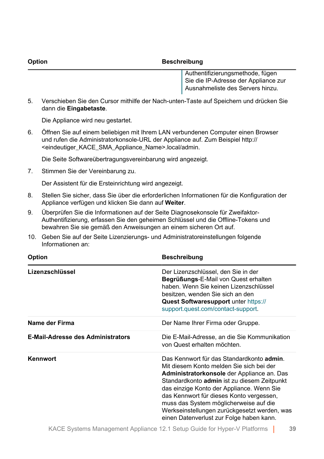#### **Option Beschreibung**

Authentifizierungsmethode, fügen Sie die IP-Adresse der Appliance zur Ausnahmeliste des Servers hinzu.

5. Verschieben Sie den Cursor mithilfe der Nach-unten-Taste auf Speichern und drücken Sie dann die **Eingabetaste**.

Die Appliance wird neu gestartet.

6. Öffnen Sie auf einem beliebigen mit Ihrem LAN verbundenen Computer einen Browser und rufen die Administratorkonsole-URL der Appliance auf. Zum Beispiel http:// <eindeutiger\_KACE\_SMA\_Appliance\_Name>.local/admin.

Die Seite Softwareübertragungsvereinbarung wird angezeigt.

7. Stimmen Sie der Vereinbarung zu.

Der Assistent für die Ersteinrichtung wird angezeigt.

- 8. Stellen Sie sicher, dass Sie über die erforderlichen Informationen für die Konfiguration der Appliance verfügen und klicken Sie dann auf **Weiter**.
- 9. Überprüfen Sie die Informationen auf der Seite Diagnosekonsole für Zweifaktor-Authentifizierung, erfassen Sie den geheimen Schlüssel und die Offline-Tokens und bewahren Sie sie gemäß den Anweisungen an einem sicheren Ort auf.
- 10. Geben Sie auf der Seite Lizenzierungs- und Administratoreinstellungen folgende Informationen an:

| Option                                   | <b>Beschreibung</b>                                                                                                                                                                                                                                                                                                                                                                                               |
|------------------------------------------|-------------------------------------------------------------------------------------------------------------------------------------------------------------------------------------------------------------------------------------------------------------------------------------------------------------------------------------------------------------------------------------------------------------------|
| Lizenzschlüssel                          | Der Lizenzschlüssel, den Sie in der<br>Begrüßungs-E-Mail von Quest erhalten<br>haben. Wenn Sie keinen Lizenzschlüssel<br>besitzen, wenden Sie sich an den<br>Quest Softwaresupport unter https://<br>support.quest.com/contact-support.                                                                                                                                                                           |
| Name der Firma                           | Der Name Ihrer Firma oder Gruppe.                                                                                                                                                                                                                                                                                                                                                                                 |
| <b>E-Mail-Adresse des Administrators</b> | Die E-Mail-Adresse, an die Sie Kommunikation<br>von Quest erhalten möchten.                                                                                                                                                                                                                                                                                                                                       |
| Kennwort                                 | Das Kennwort für das Standardkonto admin.<br>Mit diesem Konto melden Sie sich bei der<br>Administratorkonsole der Appliance an. Das<br>Standardkonto admin ist zu diesem Zeitpunkt<br>das einzige Konto der Appliance. Wenn Sie<br>das Kennwort für dieses Konto vergessen,<br>muss das System möglicherweise auf die<br>Werkseinstellungen zurückgesetzt werden, was<br>einen Datenverlust zur Folge haben kann. |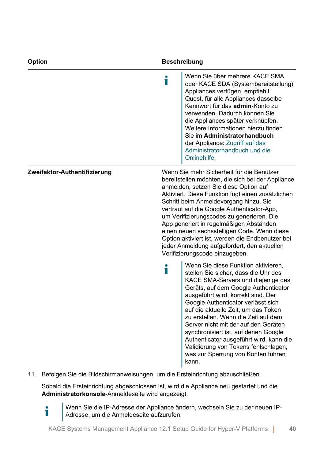| Option                       | <b>Beschreibung</b>                                                                                                                                                                                                                                                                                                                                                                                                                                                                                                                                              |                                                                                                                                                                                                                                                                                                                                                                                                                                                                                                                                       |
|------------------------------|------------------------------------------------------------------------------------------------------------------------------------------------------------------------------------------------------------------------------------------------------------------------------------------------------------------------------------------------------------------------------------------------------------------------------------------------------------------------------------------------------------------------------------------------------------------|---------------------------------------------------------------------------------------------------------------------------------------------------------------------------------------------------------------------------------------------------------------------------------------------------------------------------------------------------------------------------------------------------------------------------------------------------------------------------------------------------------------------------------------|
|                              | Т                                                                                                                                                                                                                                                                                                                                                                                                                                                                                                                                                                | Wenn Sie über mehrere KACE SMA<br>oder KACE SDA (Systembereitstellung)<br>Appliances verfügen, empfiehlt<br>Quest, für alle Appliances dasselbe<br>Kennwort für das admin-Konto zu<br>verwenden. Dadurch können Sie<br>die Appliances später verknüpfen.<br>Weitere Informationen hierzu finden<br>Sie im Administratorhandbuch<br>der Appliance: Zugriff auf das<br>Administratorhandbuch und die<br>Onlinehilfe.                                                                                                                    |
| Zweifaktor-Authentifizierung | Wenn Sie mehr Sicherheit für die Benutzer<br>bereitstellen möchten, die sich bei der Appliance<br>anmelden, setzen Sie diese Option auf<br>Aktiviert. Diese Funktion fügt einen zusätzlichen<br>Schritt beim Anmeldevorgang hinzu. Sie<br>vertraut auf die Google Authenticator-App,<br>um Verifizierungscodes zu generieren. Die<br>App generiert in regelmäßigen Abständen<br>einen neuen sechsstelligen Code. Wenn diese<br>Option aktiviert ist, werden die Endbenutzer bei<br>jeder Anmeldung aufgefordert, den aktuellen<br>Verifizierungscode einzugeben. |                                                                                                                                                                                                                                                                                                                                                                                                                                                                                                                                       |
|                              | т                                                                                                                                                                                                                                                                                                                                                                                                                                                                                                                                                                | Wenn Sie diese Funktion aktivieren.<br>stellen Sie sicher, dass die Uhr des<br>KACE SMA-Servers und diejenige des<br>Geräts, auf dem Google Authenticator<br>ausgeführt wird, korrekt sind. Der<br>Google Authenticator verlässt sich<br>auf die aktuelle Zeit, um das Token<br>zu erstellen. Wenn die Zeit auf dem<br>Server nicht mit der auf den Geräten<br>synchronisiert ist, auf denen Google<br>Authenticator ausgeführt wird, kann die<br>Validierung von Tokens fehlschlagen,<br>was zur Sperrung von Konten führen<br>kann. |

11. Befolgen Sie die Bildschirmanweisungen, um die Ersteinrichtung abzuschließen.

i

Sobald die Ersteinrichtung abgeschlossen ist, wird die Appliance neu gestartet und die **Administratorkonsole**-Anmeldeseite wird angezeigt.

Wenn Sie die IP-Adresse der Appliance ändern, wechseln Sie zu der neuen IP-Adresse, um die Anmeldeseite aufzurufen.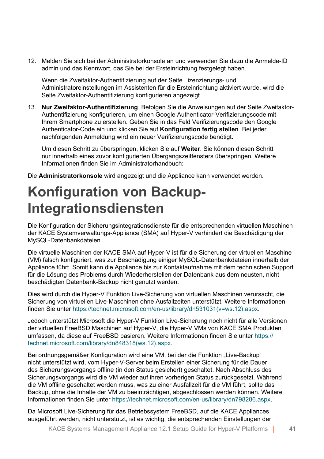12. Melden Sie sich bei der Administratorkonsole an und verwenden Sie dazu die Anmelde-ID admin und das Kennwort, das Sie bei der Ersteinrichtung festgelegt haben.

Wenn die Zweifaktor-Authentifizierung auf der Seite Lizenzierungs- und Administratoreinstellungen im Assistenten für die Ersteinrichtung aktiviert wurde, wird die Seite Zweifaktor-Authentifizierung konfigurieren angezeigt.

13. **Nur Zweifaktor-Authentifizierung**. Befolgen Sie die Anweisungen auf der Seite Zweifaktor-Authentifizierung konfigurieren, um einen Google Authenticator-Verifizierungscode mit Ihrem Smartphone zu erstellen. Geben Sie in das Feld Verifizierungscode den Google Authenticator-Code ein und klicken Sie auf **Konfiguration fertig stellen**. Bei jeder nachfolgenden Anmeldung wird ein neuer Verifizierungscode benötigt.

Um diesen Schritt zu überspringen, klicken Sie auf **Weiter**. Sie können diesen Schritt nur innerhalb eines zuvor konfigurierten Übergangszeitfensters überspringen. Weitere Informationen finden Sie im Administratorhandbuch:

Die **Administratorkonsole** wird angezeigt und die Appliance kann verwendet werden.

### **Konfiguration von Backup-Integrationsdiensten**

Die Konfiguration der Sicherungsintegrationsdienste für die entsprechenden virtuellen Maschinen der KACE Systemverwaltungs-Appliance (SMA) auf Hyper-V verhindert die Beschädigung der MySQL-Datenbankdateien.

Die virtuelle Maschinen der KACE SMA auf Hyper-V ist für die Sicherung der virtuellen Maschine (VM) falsch konfiguriert, was zur Beschädigung einiger MySQL-Datenbankdateien innerhalb der Appliance führt. Somit kann die Appliance bis zur Kontaktaufnahme mit dem technischen Support für die Lösung des Problems durch Wiederherstellen der Datenbank aus dem neusten, nicht beschädigten Datenbank-Backup nicht genutzt werden.

Dies wird durch die Hyper-V Funktion Live-Sicherung von virtuellen Maschinen verursacht, die Sicherung von virtuellen Live-Maschinen ohne Ausfallzeiten unterstützt. Weitere Informationen finden Sie unter [https://technet.microsoft.com/en-us/library/dn531031\(v=ws.12\).aspx](https://technet.microsoft.com/en-us/library/dn531031(v=ws.12).aspx).

Jedoch unterstützt Microsoft die Hyper-V Funktion Live-Sicherung noch nicht für alle Versionen der virtuellen FreeBSD Maschinen auf Hyper-V, die Hyper-V VMs von KACE SMA Produkten umfassen, da diese auf FreeBSD basieren. Weitere Informationen finden Sie unter [https://](https://technet.microsoft.com/library/dn848318(ws.12).aspx) [technet.microsoft.com/library/dn848318\(ws.12\).aspx](https://technet.microsoft.com/library/dn848318(ws.12).aspx).

Bei ordnungsgemäßer Konfiguration wird eine VM, bei der die Funktion "Live-Backup" nicht unterstützt wird, vom Hyper-V-Server beim Erstellen einer Sicherung für die Dauer des Sicherungsvorgangs offline (in den Status gesichert) geschaltet. Nach Abschluss des Sicherungsvorgangs wird die VM wieder auf ihren vorherigen Status zurückgesetzt. Während die VM offline geschaltet werden muss, was zu einer Ausfallzeit für die VM führt, sollte das Backup, ohne die Inhalte der VM zu beeinträchtigen, abgeschlossen werden können. Weitere Informationen finden Sie unter [https://technet.microsoft.com/en-us/library/dn798286.aspx.](https://technet.microsoft.com/en-us/library/dn798286.aspx)

Da Microsoft Live-Sicherung für das Betriebssystem FreeBSD, auf die KACE Appliances ausgeführt werden, nicht unterstützt, ist es wichtig, die entsprechenden Einstellungen der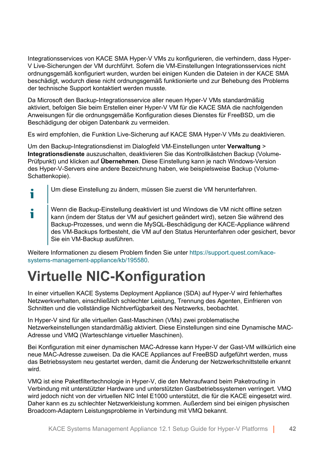Integrationsservices von KACE SMA Hyper-V VMs zu konfigurieren, die verhindern, dass Hyper-V Live-Sicherungen der VM durchführt. Sofern die VM-Einstellungen Integrationsservices nicht ordnungsgemäß konfiguriert wurden, wurden bei einigen Kunden die Dateien in der KACE SMA beschädigt, wodurch diese nicht ordnungsgemäß funktionierte und zur Behebung des Problems der technische Support kontaktiert werden musste.

Da Microsoft den Backup-Integrationsservice aller neuen Hyper-V VMs standardmäßig aktiviert, befolgen Sie beim Erstellen einer Hyper-V VM für die KACE SMA die nachfolgenden Anweisungen für die ordnungsgemäße Konfiguration dieses Dienstes für FreeBSD, um die Beschädigung der obigen Datenbank zu vermeiden.

Es wird empfohlen, die Funktion Live-Sicherung auf KACE SMA Hyper-V VMs zu deaktivieren.

Um den Backup-Integrationsdienst im Dialogfeld VM-Einstellungen unter **Verwaltung** > **Integrationsdienste** auszuschalten, deaktivieren Sie das Kontrollkästchen Backup (Volume-Prüfpunkt) und klicken auf **Übernehmen**. Diese Einstellung kann je nach Windows-Version des Hyper-V-Servers eine andere Bezeichnung haben, wie beispielsweise Backup (Volume-Schattenkopie).

- Um diese Einstellung zu ändern, müssen Sie zuerst die VM herunterfahren. т
- Wenn die Backup-Einstellung deaktiviert ist und Windows die VM nicht offline setzen i kann (indem der Status der VM auf gesichert geändert wird), setzen Sie während des Backup-Prozesses, und wenn die MySQL-Beschädigung der KACE-Appliance während des VM-Backups fortbesteht, die VM auf den Status Herunterfahren oder gesichert, bevor Sie ein VM-Backup ausführen.

Weitere Informationen zu diesem Problem finden Sie unter [https://support.quest.com/kace](https://support.quest.com/kace-systems-management-appliance/kb/195580)[systems-management-appliance/kb/195580](https://support.quest.com/kace-systems-management-appliance/kb/195580).

# **Virtuelle NIC-Konfiguration**

In einer virtuellen KACE Systems Deployment Appliance (SDA) auf Hyper-V wird fehlerhaftes Netzwerkverhalten, einschließlich schlechter Leistung, Trennung des Agenten, Einfrieren von Schnitten und die vollständige Nichtverfügbarkeit des Netzwerks, beobachtet.

In Hyper-V sind für alle virtuellen Gast-Maschinen (VMs) zwei problematische Netzwerkeinstellungen standardmäßig aktiviert. Diese Einstellungen sind eine Dynamische MAC-Adresse und VMQ (Warteschlange virtueller Maschinen).

Bei Konfiguration mit einer dynamischen MAC-Adresse kann Hyper-V der Gast-VM willkürlich eine neue MAC-Adresse zuweisen. Da die KACE Appliances auf FreeBSD aufgeführt werden, muss das Betriebssystem neu gestartet werden, damit die Änderung der Netzwerkschnittstelle erkannt wird.

VMQ ist eine Paketfiltertechnologie in Hyper-V, die den Mehraufwand beim Paketrouting in Verbindung mit unterstützter Hardware und unterstützten Gastbetriebssystemen verringert. VMQ wird jedoch nicht von der virtuellen NIC Intel E1000 unterstützt, die für die KACE eingesetzt wird. Daher kann es zu schlechter Netzwerkleistung kommen. Außerdem sind bei einigen physischen Broadcom-Adaptern Leistungsprobleme in Verbindung mit VMQ bekannt.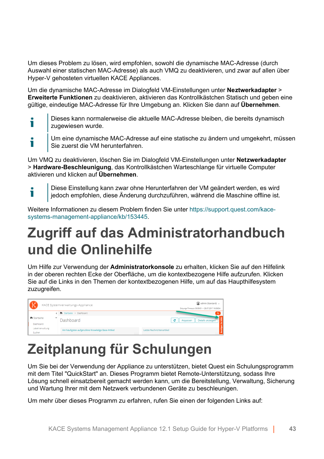Um dieses Problem zu lösen, wird empfohlen, sowohl die dynamische MAC-Adresse (durch Auswahl einer statischen MAC-Adresse) als auch VMQ zu deaktivieren, und zwar auf allen über Hyper-V gehosteten virtuellen KACE Appliances.

Um die dynamische MAC-Adresse im Dialogfeld VM-Einstellungen unter **Neztwerkadapter** > **Erweiterte Funktionen** zu deaktivieren, aktivieren das Kontrollkästchen Statisch und geben eine gültige, eindeutige MAC-Adresse für Ihre Umgebung an. Klicken Sie dann auf **Übernehmen**.

- Dieses kann normalerweise die aktuelle MAC-Adresse bleiben, die bereits dynamisch Ť zugewiesen wurde.
- Um eine dynamische MAC-Adresse auf eine statische zu ändern und umgekehrt, müssen i Sie zuerst die VM herunterfahren.

Um VMQ zu deaktivieren, löschen Sie im Dialogfeld VM-Einstellungen unter **Netzwerkadapter** > **Hardware-Beschleunigung**, das Kontrollkästchen Warteschlange für virtuelle Computer aktivieren und klicken auf **Übernehmen**.

Diese Einstellung kann zwar ohne Herunterfahren der VM geändert werden, es wird Ť jedoch empfohlen, diese Änderung durchzuführen, während die Maschine offline ist.

Weitere Informationen zu diesem Problem finden Sie unter [https://support.quest.com/kace](https://support.quest.com/kace-systems-management-appliance/kb/153445)[systems-management-appliance/kb/153445](https://support.quest.com/kace-systems-management-appliance/kb/153445).

# <span id="page-42-0"></span>**Zugriff auf das Administratorhandbuch und die Onlinehilfe**

Um Hilfe zur Verwendung der **Administratorkonsole** zu erhalten, klicken Sie auf den Hilfelink in der oberen rechten Ecke der Oberfläche, um die kontextbezogene Hilfe aufzurufen. Klicken Sie auf die Links in den Themen der kontextbezogenen Hilfe, um auf das Haupthilfesystem zuzugreifen.

| (9, 9)<br>KACE Systemverwaltungs-Appliance |  |                                                  | admin (Standard) v<br>Sitzungs-Timeout: 00:59:51 + 28.07.2017 16:56:54 |
|--------------------------------------------|--|--------------------------------------------------|------------------------------------------------------------------------|
|                                            |  | < <sup>2</sup> Startseite > Dashboard            | $\circ$                                                                |
| h Startseite<br>Dashboard                  |  | Dashboard                                        | e<br>Details anzeigen<br>Anpassen                                      |
| Label-Verwaltung<br>Suchen                 |  | Am häufigsten aufgerufene Knowledge Base-Artikel | Letzte Nachrichtenartikel                                              |

# **Zeitplanung für Schulungen**

Um Sie bei der Verwendung der Appliance zu unterstützen, bietet Quest ein Schulungsprogramm mit dem Titel "QuickStart" an. Dieses Programm bietet Remote-Unterstützung, sodass Ihre Lösung schnell einsatzbereit gemacht werden kann, um die Bereitstellung, Verwaltung, Sicherung und Wartung Ihrer mit dem Netzwerk verbundenen Geräte zu beschleunigen.

Um mehr über dieses Programm zu erfahren, rufen Sie einen der folgenden Links auf: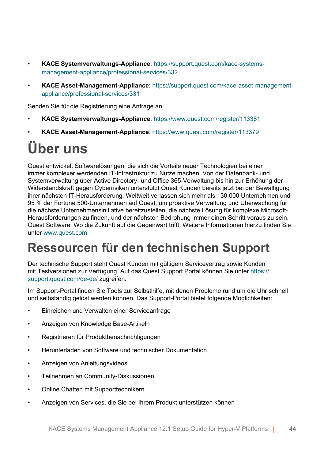- **KACE Systemverwaltungs-Appliance**: [https://support.quest.com/kace-systems](https://support.quest.com/kace-systems-management-appliance/professional-services/332)[management-appliance/professional-services/332](https://support.quest.com/kace-systems-management-appliance/professional-services/332)
- **KACE Asset-Management-Appliance**: [https://support.quest.com/kace-asset-management](https://support.quest.com/kace-asset-management-appliance/professional-services/331)[appliance/professional-services/331](https://support.quest.com/kace-asset-management-appliance/professional-services/331)

Senden Sie für die Registrierung eine Anfrage an:

- **KACE Systemverwaltungs-Appliance**:<https://www.quest.com/register/113381>
- **KACE Asset-Management-Appliance**:<https://www.quest.com/register/113379>

# **Über uns**

Quest entwickelt Softwarelösungen, die sich die Vorteile neuer Technologien bei einer immer komplexer werdenden IT-Infrastruktur zu Nutze machen. Von der Datenbank- und Systemverwaltung über Active Directory- und Office 365-Verwaltung bis hin zur Erhöhung der Widerstandskraft gegen Cyberrisiken unterstützt Quest Kunden bereits jetzt bei der Bewältigung ihrer nächsten IT-Herausforderung. Weltweit verlassen sich mehr als 130.000 Unternehmen und 95 % der Fortune 500-Unternehmen auf Quest, um proaktive Verwaltung und Überwachung für die nächste Unternehmensinitiative bereitzustellen, die nächste Lösung für komplexe Microsoft-Herausforderungen zu finden, und der nächsten Bedrohung immer einen Schritt voraus zu sein. Quest Software. Wo die Zukunft auf die Gegenwart trifft. Weitere Informationen hierzu finden Sie unter [www.quest.com.](https://www.quest.com/company/contact-us.aspx)

### **Ressourcen für den technischen Support**

Der technische Support steht Quest Kunden mit gültigem Servicevertrag sowie Kunden mit Testversionen zur Verfügung. Auf das Quest Support Portal können Sie unter [https://](https://support.quest.com/) [support.quest.com/de-de/](https://support.quest.com/) zugreifen.

Im Support-Portal finden Sie Tools zur Selbsthilfe, mit denen Probleme rund um die Uhr schnell und selbständig gelöst werden können. Das Support-Portal bietet folgende Möglichkeiten:

- Einreichen und Verwalten einer Serviceanfrage
- Anzeigen von Knowledge Base-Artikeln
- Registrieren für Produktbenachrichtigungen
- Herunterladen von Software und technischer Dokumentation
- Anzeigen von Anleitungsvideos
- Teilnehmen an Community-Diskussionen
- Online Chatten mit Supporttechnikern
- Anzeigen von Services, die Sie bei Ihrem Produkt unterstützen können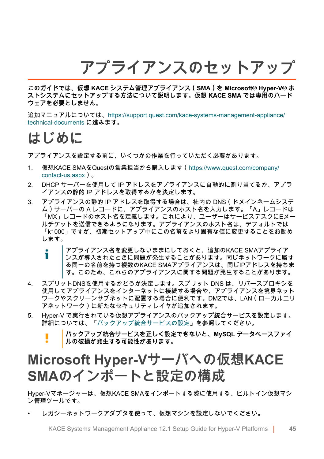**アプライアンスのセットアップ**

**このガイドでは、仮想 KACE システム管理アプライアンス(SMA)を Microsoft® Hyper-V® ホ ストシステムにセットアップする方法について説明します。仮想 KACE SMA では専用のハード ウェアを必要としません。**

追加マニュアルについては、[https://support.quest.com/kace-systems-management-appliance/](https://support.quest.com/kace-systems-management-appliance/technical-documents) [technical-documents](https://support.quest.com/kace-systems-management-appliance/technical-documents) に進みます。

### **はじめに**

アプライアンスを設定する前に、いくつかの作業を行っていただく必要があります。

- 1. 仮想KACE SMAをQuestの営業担当から購入します([https://www.quest.com/company/](https://www.quest.com/company/contact-us.aspx) [contact-us.aspx](https://www.quest.com/company/contact-us.aspx))。
- 2. DHCP サーバーを使用して IP アドレスをアプライアンスに自動的に割り当てるか、アプラ イアンスの静的 IP アドレスを取得するかを決定します。
- 3. アプライアンスの静的 IP アドレスを取得する場合は、社内の DNS(ドメインネームシステ ム)サーバーの A レコードに、アプライアンスのホスト名を入力します。「A」レコードは 「MX」レコードのホスト名を定義します。これにより、ユーザーはサービスデスクにEメー ルチケットを送信できるようになります。アプライアンスのホスト名は、デフォルトでは 「k1000」ですが、初期セットアップ中にこの名前をより固有な値に変更することをお勧め します。
	- アプライアンス名を変更しないままにしておくと、追加のKACE SMAアプライア Ť ンスが導入されたときに問題が発生することがあります。同じネットワークに属す る同一の名前を持つ複数のKACE SMAアプライアンスは、同じIPアドレスを持ちま す。このため、これらのアプライアンスに関する問題が発生することがあります。
- 4. スプリットDNSを使用するかどうか決定します。スプリット DNS は、リバースプロキシを 使用してアプライアンスをインターネットに接続する場合や、アプライアンスを境界ネット ワークやスクリーンサブネットに配置する場合に便利です。DMZでは、LAN(ローカルエリ アネットワーク)に新たなセキュリティレイヤが追加されます。
- 5. Hyper-V で実行されている仮想アプライアンスのバックアップ統合サービスを設定します。 詳細については、「[バックアップ統合サービスの設定](#page-53-0)」を参照してください。

**バックアップ統合サービスを正しく設定できないと、MySQL データベースファイ ルの破損が発生する可能性があります。**

### **Microsoft Hyper-Vサーバへの仮想KACE SMAのインポートと設定の構成**

Hyper-Vマネージャーは、仮想KACE SMAをインポートする際に使用する、ビルトイン仮想マシ ン管理ツールです。

• レガシーネットワークアダプタを使って、仮想マシンを設定しないでください。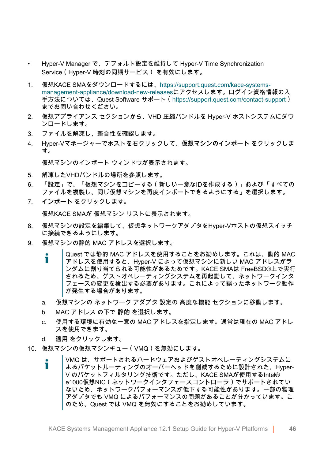- Hyper-V Manager で、デフォルト設定を維持して Hyper-V Time Synchronization Service(Hyper-V 時刻の同期サービス) を有効にします。
- 1. 仮想KACE SMAをダウンロードするには[、https://support.quest.com/kace-systems](https://support.quest.com/kace-systems-management-appliance/download-new-releases)[management-appliance/download-new-releases](https://support.quest.com/kace-systems-management-appliance/download-new-releases)にアクセスします。ログイン資格情報の入 手方法については、Quest Software サポート[\(https://support.quest.com/contact-support](https://support.quest.com/contact-support)) までお問い合わせください。
- 2. 仮想アプライアンス セクションから、VHD 圧縮バンドルを Hyper-V ホストシステムにダウ ンロードします。
- 3. ファイルを解凍し、整合性を確認します。
- 4. Hyper-Vマネージャーでホストを右クリックして、**仮想マシンのインポート** をクリックしま す。

仮想マシンのインポート ウィンドウが表示されます。

- 5. 解凍したVHDバンドルの場所を参照します。
- 6. 「設定」で、「仮想マシンをコピーする(新しい一意なIDを作成する)」および「すべての ファイルを複製し、同じ仮想マシンを再度インポートできるようにする」を選択します。
- 7. **インポート** をクリックします。

仮想KACE SMAが 仮想マシン リストに表示されます。

- 8. 仮想マシンの設定を編集して、仮想ネットワークアダプタをHyper-Vホストの仮想スイッチ に接続できるようにします。
- 9. 仮想マシンの静的 MAC アドレスを選択します。
	- Quest では静的 MAC アドレスを使用することをお勧めします。これは、動的 MAC Ť. アドレスを使用すると、Hyper-V によって仮想マシンに新しい MAC アドレスがラ ンダムに割り当てられる可能性があるためです。KACE SMAは FreeBSD®上で実行 されるため、ゲストオペレーティングシステムを再起動して、ネットワークインタ フェースの変更を検出する必要があります。これによって誤ったネットワーク動作 が発生する場合があります。
	- a. 仮想マシンの ネットワーク アダプタ 設定の 高度な機能 セクションに移動します。
	- b. MAC アドレス の下で **静的** を選択します。
	- c. 使用する環境に有効な一意の MAC アドレスを指定します。通常は現在の MAC アドレ スを使用できます。
	- d. **適用** をクリックします。
- 10. 仮想マシンの仮想マシンキュー(VMQ)を無効にします。
	- VMQ は、サポートされるハードウェアおよびゲストオペレーティングシステムに Ť よるパケットルーティングのオーバーヘッドを削減するために設計された、Hyper-V のパケットフィルタリング技術です。ただし、KACE SMAが使用するIntel® e1000仮想NIC(ネットワークインタフェースコントローラ)でサポートされてい ないため、ネットワークパフォーマンスが低下する可能性があります。一部の物理 アダプタでも VMQ によるパフォーマンスの問題があることが分かっています。こ のため、Quest では VMQ を無効にすることをお勧めしています。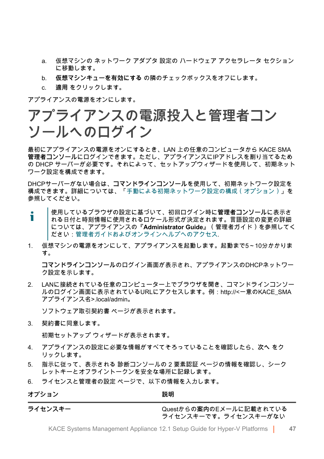- a. 仮想マシンの ネットワーク アダプタ 設定の ハードウェア アクセラレータ セクション に移動します。
- b. **仮想マシンキューを有効にする** の隣のチェックボックスをオフにします。
- c. **適用** をクリックします。

アプライアンスの電源をオンにします。

### **アプライアンスの電源投入と管理者コン ソールへのログイン**

最初にアプライアンスの電源をオンにするとき、LAN 上の任意のコンピュータから KACE SMA **管理者コンソール**にログインできます。ただし、アプライアンスにIPアドレスを割り当てるため の DHCP サーバーが必要です。それによって、セットアップウィザードを使用して、初期ネット ワーク設定を構成できます。

DHCPサーバーがない場合は、**コマンドラインコンソール**を使用して、初期ネットワーク設定を 構成できます。詳細については、「[手動による初期ネットワーク設定の構成\(オプション\)](#page-48-0)」を 参照してください。

- 使用しているブラウザの設定に基づいて、初回ログイン時に**管理者コンソール**に表示さ i れる日付と時刻情報に使用されるロケール形式が決定されます。言語設定の変更の詳細 については、アプライアンスの『**Administrator Guide**』(管理者ガイド)を参照してく ださい:[管理者ガイドおよびオンラインヘルプへのアクセス](#page-55-0).
- 1. 仮想マシンの電源をオンにして、アプライアンスを起動します。起動まで5~10分かかりま す。

**コマンドラインコンソール**のログイン画面が表示され、アプライアンスのDHCPネットワー ク設定を示します。

2. LANに接続されている任意のコンピューター上でブラウザを開き、コマンドラインコンソー ルのログイン画面に表示されているURLにアクセスします。例:http://<一意のKACE\_SMA アプライアンス名>.local/admin。

ソフトウェア取引契約書 ページが表示されます。

3. 契約書に同意します。

初期セットアップ ウィザードが表示されます。

- 4. アプライアンスの設定に必要な情報がすべてそろっていることを確認したら、**次へ** をク リックします。
- 5. 指示に従って、表示される 診断コンソールの 2 要素認証 ページの情報を確認し、シーク レットキーとオフライントークンを安全な場所に記録します。
- 6. ライセンスと管理者の設定 ページで、以下の情報を入力します。

**オプション おおおお おおおお おおおお 説明** 

**ライセンスキー** Questからの**案内**のEメールに記載されている ライセンスキーです。ライセンスキーがない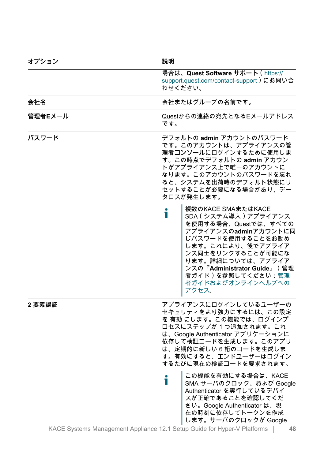| オフション   | 說明                                                                                                                                                                                                                                                                     |
|---------|------------------------------------------------------------------------------------------------------------------------------------------------------------------------------------------------------------------------------------------------------------------------|
|         | 場合は、Quest Software サポート (https://<br>support.quest.com/contact-support)にお問い合<br>わせください。                                                                                                                                                                                |
| 会社名     | 会社またはグループの名前です。                                                                                                                                                                                                                                                        |
| 管理者Eメール | Questからの連絡の宛先となるEメールアドレス<br>です。                                                                                                                                                                                                                                        |
| パスワード   | デフォルトの admin アカウントのパスワード<br>です。このアカウントは、アプライアンスの管<br>理者コンソールにログインするために使用しま<br>す。この時点でデフォルトの admin アカウン<br>トがアプライアンス上で唯一のアカウントに<br>なります。このアカウントのパスワードを忘れ<br>ると、システムを出荷時のデフォルト状態にリ<br>セットすることが必要になる場合があり、デー<br>タロスが発生します。                                                |
|         | 複数のKACE SMAまたはKACE<br>i<br>SDA (システム導入) アプライアンス<br>を使用する場合、Questでは、すべての<br>アプライアンスのadminアカウントに同<br>じパスワードを使用することをお勧め<br>します。これにより、後でアプライア<br>ンス同士をリンクすることが可能にな<br>ります。詳細については、アプライア<br>ンスの『Administrator Guide』 (管理<br>者ガイド)を参照してください:管理<br>者ガイドおよびオンラインヘルプへの<br>アクセス. |
| 2要素認証   | アプライアンスにログインしているユーザーの<br>セキュリティをより強力にするには、この設定<br>を 有効 にします。この機能では、ログインプ<br>ロセスにステップが1つ追加されます。これ<br>は、Google Authenticator アプリケーションに<br>依存して検証コードを生成します。このアプリ<br>は、定期的に新しい6桁のコードを生成しま<br>す。有効にすると、エンドユーザーはログイン<br>するたびに現在の検証コードを要求されます。                                |
|         | この機能を有効にする場合は、KACE<br>i<br>SMA サーバのクロック、および Google<br>Authenticator を実行しているデバイ<br>スが正確であることを確認してくだ<br>さい。Google Authenticator は、現<br>在の時刻に依存してトークンを作成<br>します。サーバのクロックが Google                                                                                          |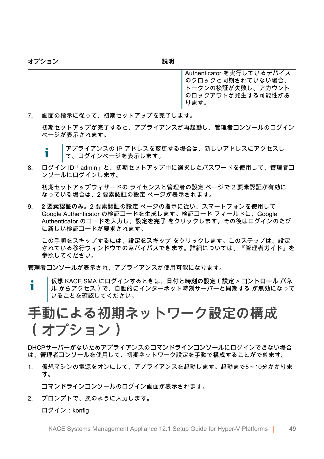**オプション おおおお おおおお おおおお 説明** 

Authenticator を実行しているデバイス のクロックと同期されていない場合、 トークンの検証が失敗し、アカウント のロックアウトが発生する可能性があ ります。

7. 画面の指示に従って、初期セットアップを完了します。

初期セットアップが完了すると、アプライアンスが再起動し、**管理者コンソール**のログイン ページが表示されます。

8. ログイン ID「admin」と、初期セットアップ中に選択したパスワードを使用して、管理者コ ンソールにログインします。

初期セットアップウィザードの ライセンスと管理者の設定 ページで 2 要素認証が有効に なっている場合は、2 要素認証の設定 ページが表示されます。

9. **2 要素認証のみ**。2 要素認証の設定 ページの指示に従い、スマートフォンを使用して Google Authenticator の検証コードを生成します。検証コード フィールドに、Google Authenticator のコードを入力し、**設定を完了** をクリックします。その後はログインのたび に新しい検証コードが要求されます。

この手順をスキップするには、**設定をスキップ** をクリックします。このステップは、設定 されている移行ウィンドウでのみバイパスできます。詳細については、『管理者ガイド』を 参照してください。

**管理者コンソール**が表示され、アプライアンスが使用可能になります。

仮想 KACE SMA にログインするときは、**日付と時刻の設定**(**設定** > **コントロール パネ** Т **ル** からアクセス)で、自動的にインターネット時刻サーバーと同期する が無効になって いることを確認してください。

### <span id="page-48-0"></span>**手動による初期ネットワーク設定の構成 (オプション)**

DHCPサーバーがないためアプライアンスの**コマンドラインコンソール**にログインできない場合 は、**管理者コンソール**を使用して、初期ネットワーク設定を手動で構成することができます。

1. 仮想マシンの電源をオンにして、アプライアンスを起動します。起動まで5~10分かかりま す。

**コマンドラインコンソール**のログイン画面が表示されます。

2. プロンプトで、次のように入力します。

ログイン:konfig

アプライアンスの IP アドレスを変更する場合は、新しいアドレスにアクセスし т て、ログインページを表示します。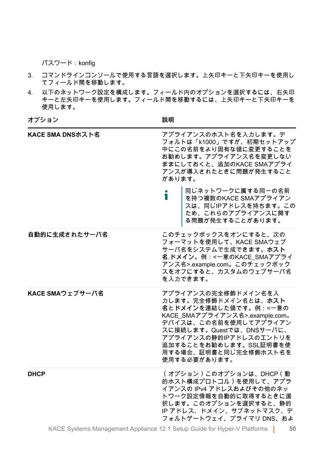パスワード:konfig

- 3. コマンドラインコンソールで使用する言語を選択します。上矢印キーと下矢印キーを使用し てフィールド間を移動します。
- 4. 以下のネットワーク設定を構成します。フィールド内のオプションを選択するには、右矢印 キーと左矢印キーを使用します。フィールド間を移動するには、上矢印キーと下矢印キーを 使用します。

| オプション | 説明 |
|-------|----|
|       |    |

| KACE SMA DNSホスト名 | アプライアンスのホスト名を入力します。デ<br>フォルトは「k1000」ですが、初期セットアップ<br>中にこの名前をより固有な値に変更することを<br>お勧めします。アプライアンス名を変更しない<br>ままにしておくと、追加のKACE SMAアプライ<br>アンスが導入されたときに問題が発生すること<br>があります。                                                                                        |
|------------------|----------------------------------------------------------------------------------------------------------------------------------------------------------------------------------------------------------------------------------------------------------|
|                  | 同じネットワークに属する同一の名前<br>т<br>を持つ複数のKACE SMAアプライアン<br>スは、同じIPアドレスを持ちます。この<br>ため、これらのアプライアンスに関す<br>る問題が発生することがあります。                                                                                                                                           |
| 自動的に生成されたサーバ名    | このチェックボックスをオンにすると、次の<br>フォーマットを使用して、KACE SMAウェブ<br>サーバ名をシステムで生成できます。ホスト<br>名 ドメイン。例:<一意のKACE_SMAアプライ<br>アンス名>.example.com。このチェックボック<br>スをオフにすると、カスタムのウェブサーバ名<br>を入力できます。                                                                                 |
| KACE SMAウェブサーバ名  | アプライアンスの完全修飾ドメイン名を入<br>力します。完全修飾ドメイン名とは、ホスト<br>名とドメインを連結した値です。例:<一意の<br>KACE_SMAアプライアンス名>.example.com。<br>デバイスは、この名前を使用してアプライアン<br>スに接続します。Questでは、DNSサーバに、<br>アプライアンスの静的IPアドレスのエントリを<br>追加することをお勧めします。SSL証明書を使<br>用する場合、証明書と同じ完全修飾ホスト名を<br>使用する必要があります。 |
| <b>DHCP</b>      | (オプション)このオプションは、DHCP (動<br>的ホスト構成プロトコル)を使用して、アプラ<br>イアンスの IPv4 アドレスおよびその他のネッ<br>トワーク設定情報を自動的に取得するときに選<br>択します。このオプションを選択すると、静的<br>IP アドレス、ドメイン、サブネットマスク、デ<br>フォルトゲートウェイ、プライマリ DNS、およ                                                                     |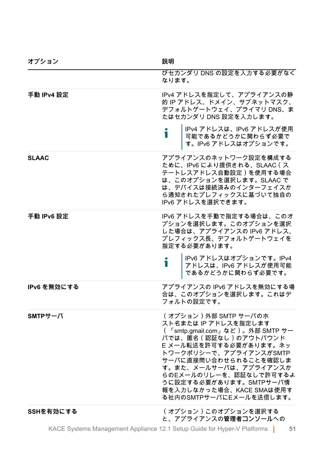| オフション        | 說明                                                                                                                                                                                                                                                                                                                       |
|--------------|--------------------------------------------------------------------------------------------------------------------------------------------------------------------------------------------------------------------------------------------------------------------------------------------------------------------------|
|              | びセカンダリ DNS の設定を入力する必要がなく<br>なります。                                                                                                                                                                                                                                                                                        |
| 手動 IPv4 設定   | IPv4 アドレスを指定して、アプライアンスの静<br>的IP アドレス、ドメイン、サブネットマスク、<br>デフォルトゲートウェイ、プライマリ DNS、ま<br>たはセカンダリ DNS 設定を入力します。                                                                                                                                                                                                                  |
|              | IPv4 アドレスは、IPv6 アドレスが使用<br>Т<br>可能であるかどうかに関わらず必要で<br>す。IPv6 アドレスはオプションです。                                                                                                                                                                                                                                                |
| <b>SLAAC</b> | アプライアンスのネットワーク設定を構成する<br>ために、IPv6 により提供される、SLAAC (ス<br>テートレスアドレス自動設定)を使用する場合<br>は、このオプションを選択します。SLAAC で<br>は、デバイスは接続済みのインターフェイスか<br>ら通知されたプレフィックスに基づいて独自の<br>IPv6 アドレスを選択できます。                                                                                                                                           |
| 手動 IPv6 設定   | IPv6 アドレスを手動で指定する場合は、このオ<br>プションを選択します。このオプションを選択<br>した場合は、アプライアンスの IPv6 アドレス、<br>プレフィックス長、デフォルトゲートウェイを<br>指定する必要があります。<br>IPv6 アドレスはオプションです。IPv4<br>Т<br>アドレスは、IPv6 アドレスが使用可能                                                                                                                                           |
| IPv6 を無効にする  | アプライアンスの IPv6 アドレスを無効にする場<br>合は、このオプションを選択します。これはデ<br>フォルトの設定です。                                                                                                                                                                                                                                                         |
| $SMTP H - N$ | (オプション)外部 SMTP サーバのホ<br>スト名または IP アドレスを指定します<br>(「smtp.gmail.com」など)。外部 SMTP サー<br>バでは、匿名(認証なし)のアウトバウンド<br>E メール転送を許可する必要があります。ネッ<br>トワークポリシーで、アプライアンスがSMTP<br>サーバに直接問い合わせられることを確認しま<br>す。また、メールサーバは、アプライアンスか<br>らのEメールのリレーを、認証なしで許可するよ<br>うに設定する必要があります。SMTPサーバ情<br>報を入力しなかった場合、KACE SMAは使用す<br>る社内のSMTPサーバにEメールを送信します。 |
| SSHを有効にする    | (オプション)このオプションを選択する<br>と、アプライアンスの管理者コンソールへの                                                                                                                                                                                                                                                                              |

KACE Systems Management Appliance 12.1 Setup Guide for Hyper-V Platforms **51**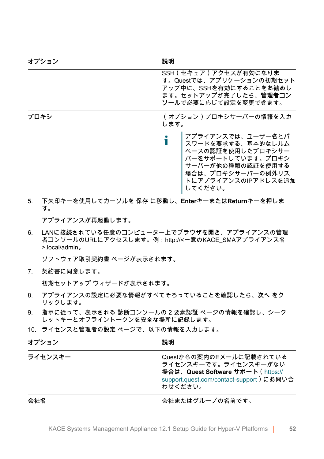| オプション | 説明                                                                                                                                                |
|-------|---------------------------------------------------------------------------------------------------------------------------------------------------|
|       | SSH (セキュア)アクセスが有効になりま<br>す。Questでは、アプリケーションの初期セット<br>アップ中に、SSHを有効にすることをお勧めし<br>ます。セットアップが完了したら、管理者コン<br>ソールで必要に応じて設定を変更できます。                      |
| プロキシ  | (オプション)プロキシサーバーの情報を入力<br>します。                                                                                                                     |
|       | アプライアンスでは、ユーザー名とパ<br>スワードを要求する、基本的なレルム<br>ベースの認証を使用したプロキシサー<br>バーをサポートしています。プロキシ<br>サーバーが他の種類の認証を使用する<br>場合は、プロキシサーバーの例外リス<br>トにアプライアンスのIPアドレスを追加 |

5. 下矢印キーを使用してカーソルを 保存 に移動し、**Enter**キーまたは**Return**キーを押しま す。

してください。

アプライアンスが再起動します。

6. LANに接続されている任意のコンピューター上でブラウザを開き、アプライアンスの管理 者コンソールのURLにアクセスします。例:http://<一意のKACE\_SMAアプライアンス名 >.local/admin。

ソフトウェア取引契約書 ページが表示されます。

7. 契約書に同意します。

初期セットアップ ウィザードが表示されます。

- 8. アプライアンスの設定に必要な情報がすべてそろっていることを確認したら、**次へ** をク リックします。
- 9. 指示に従って、表示される 診断コンソールの 2 要素認証 ページの情報を確認し、シーク レットキーとオフライントークンを安全な場所に記録します。
- 10. ライセンスと管理者の設定 ページで、以下の情報を入力します。

| オプション   | 説明                                                                                                                                         |
|---------|--------------------------------------------------------------------------------------------------------------------------------------------|
| ライセンスキー | Questからの案内のEメールに記載されている<br>ライセンスキーです。ライセンスキーがない<br>場合は、Quest Software サポート (https://<br>support.quest.com/contact-support)にお問い合<br>わせください。 |
| 会社名     | 会社またはグループの名前です。                                                                                                                            |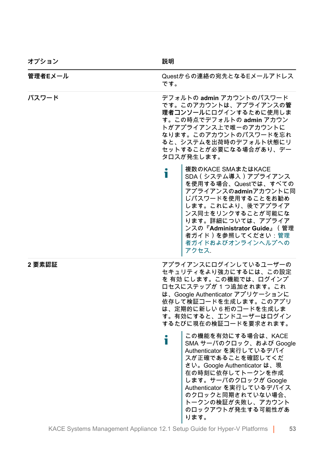| オプション   | 説明                                                                                                                                                                                                                                                                                |
|---------|-----------------------------------------------------------------------------------------------------------------------------------------------------------------------------------------------------------------------------------------------------------------------------------|
| 管理者Eメール | Questからの連絡の宛先となるEメールアドレス<br>です。                                                                                                                                                                                                                                                   |
| パスワード   | デフォルトの admin アカウントのパスワード<br>です。このアカウントは、アプライアンスの管<br>理者コンソールにログインするために使用しま<br>す。この時点でデフォルトの admin アカウン<br>トがアプライアンス上で唯一のアカウントに<br>なります。このアカウントのパスワードを忘れ<br>ると、システムを出荷時のデフォルト状態にリ<br>セットすることが必要になる場合があり、デー<br>タロスが発生します。                                                           |
|         | 複数のKACE SMAまたはKACE<br>i<br>SDA (システム導入) アプライアンス<br>を使用する場合、Questでは、すべての<br>アプライアンスのadminアカウントに同<br>じパスワードを使用することをお勧め<br>します。これにより、後でアプライア<br>ンス同士をリンクすることが可能にな<br>ります。詳細については、アプライア<br>ンスの『Administrator Guide』 (管理<br>者ガイド)を参照してください:管理<br>者ガイドおよびオンラインへルプへの<br>アクセス.            |
| 2要素認証   | アプライアンスにログインしているユーザーの<br>セキュリティをより強力にするには、この設定<br>を 有効 にします。この機能では、ログインプ<br>ロセスにステップが1つ追加されます。これ<br>は、Google Authenticator アプリケーションに<br>依存して検証コードを生成します。このアプリ<br>は、定期的に新しい6桁のコードを生成しま<br>す。有効にすると、エンドユーザーはログイン<br>するたびに現在の検証コードを要求されます。                                           |
|         | この機能を有効にする場合は、KACE<br>ñ<br>SMA サーバのクロック、および Google<br>Authenticator を実行しているデバイ<br>スが正確であることを確認してくだ<br>さい。Google Authenticator は、現<br>在の時刻に依存してトークンを作成<br>します。サーバのクロックが Google<br>Authenticator を実行しているデバイス<br>のクロックと同期されていない場合、<br>トークンの検証が失敗し、アカウント<br>のロックアウトが発生する可能性があ<br>ります。 |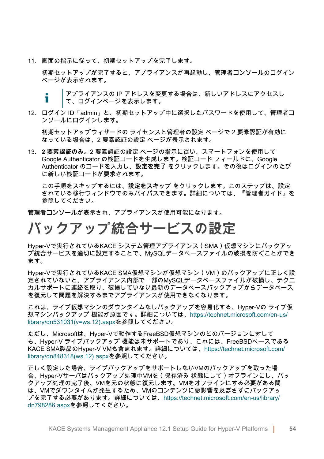11. 画面の指示に従って、初期セットアップを完了します。

初期セットアップが完了すると、アプライアンスが再起動し、**管理者コンソール**のログイン ページが表示されます。

アプライアンスの IP アドレスを変更する場合は、新しいアドレスにアクセスし i て、ログインページを表示します。

12. ログイン ID「admin」と、初期セットアップ中に選択したパスワードを使用して、管理者コ ンソールにログインします。

初期セットアップウィザードの ライセンスと管理者の設定 ページで 2 要素認証が有効に なっている場合は、2 要素認証の設定 ページが表示されます。

13. **2 要素認証のみ**。2 要素認証の設定 ページの指示に従い、スマートフォンを使用して Google Authenticator の検証コードを生成します。検証コード フィールドに、Google Authenticator のコードを入力し、**設定を完了** をクリックします。その後はログインのたび に新しい検証コードが要求されます。

この手順をスキップするには、**設定をスキップ** をクリックします。このステップは、設定 されている移行ウィンドウでのみバイパスできます。詳細については、『管理者ガイド』を 参照してください。

**管理者コンソール**が表示され、アプライアンスが使用可能になります。

# <span id="page-53-0"></span>**バックアップ統合サービスの設定**

Hyper-Vで実行されているKACE システム管理アプライアンス(SMA)仮想マシンにバックアッ プ統合サービスを適切に設定することで、MySQLデータベースファイルの破損を防ぐことができ ます。

Hyper-Vで実行されているKACE SMA仮想マシンが仮想マシン(VM)のバックアップに正しく設 定されていないと、アプライアンス内部で一部のMySQLデータベースファイルが破損し、テクニ カルサポートに連絡を取り、破損していない最新のデータベースバックアップからデータベース を復元して問題を解決するまでアプライアンスが使用できなくなります。

これは、ライブ仮想マシンのダウンタイムなしバックアップを容易化する、Hyper-Vの ライブ仮 想マシンバックアップ 機能が原因です。詳細については[、https://technet.microsoft.com/en-us/](https://technet.microsoft.com/en-us/library/dn531031(v=ws.12).aspx) [library/dn531031\(v=ws.12\).aspxを](https://technet.microsoft.com/en-us/library/dn531031(v=ws.12).aspx)参照してください。

ただし、Microsoftは、Hyper-Vで動作するFreeBSD仮想マシンのどのバージョンに対して も、Hyper-V ライブバックアップ 機能は未サポートであり、これには、FreeBSDベースである KACE SMA製品のHyper-V VMも含まれます。詳細については、[https://technet.microsoft.com/](https://technet.microsoft.com/library/dn848318(ws.12).aspx) [library/dn848318\(ws.12\).aspxを](https://technet.microsoft.com/library/dn848318(ws.12).aspx)参照してください。

正しく設定した場合、ライブバックアップをサポートしないVMのバックアップを取った場 合、Hyper-Vサーバはバックアップ処理中VMを(保存済み 状態にして)オフラインにし、バッ クアップ処理の完了後、VMを元の状態に復元します。VMをオフラインにする必要がある間 は、VMでダウンタイムが発生するため、VMのコンテンツに悪影響を及ぼさずにバックアッ プを完了する必要があります。詳細については、[https://technet.microsoft.com/en-us/library/](https://technet.microsoft.com/en-us/library/dn798286.aspx) [dn798286.aspxを](https://technet.microsoft.com/en-us/library/dn798286.aspx)参照してください。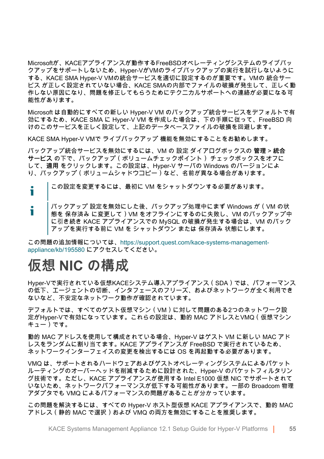Microsoftが、KACEアプライアンスが動作するFreeBSDオペレーティングシステムのライブバッ クアップをサポートしないため、Hyper-VがVMのライブバックアップの実行を試行しないように する、KACE SMA Hyper-V VMの統合サービスを適切に設定するのが重要です。VMの 統合サー ビス が正しく設定されていない場合、KACE SMAの内部でファイルの破損が発生して、正しく動 作しない原因になり、問題を修正してもらうためにテクニカルサポートへの連絡が必要になる可 能性があります。

Microsoft は自動的にすべての新しい Hyper-V VM のバックアップ統合サービスをデフォルトで有 効にするため、KACE SMA に Hyper-V VM を作成した場合は、下の手順に従って、FreeBSD 向 けのこのサービスを正しく設定して、上記のデータベースファイルの破損を回避します。

KACE SMA Hyper-V VMで ライブバックアップ 機能を無効にすることをお勧めします。

バックアップ統合サービスを無効にするには、VM の 設定 ダイアログボックスの **管理** > **統合 サービス** の下で、バックアップ(ボリュームチェックポイント) チェックボックスをオフに して、**適用** をクリックします。この設定は、Hyper-V サーバの Windows のバージョンによ り、バックアップ(ボリュームシャドウコピー)など、名前が異なる場合があります。

この設定を変更するには、最初に VM をシャットダウンする必要があります。 Ť

i バックアップ 設定を無効にした後、バックアップ処理中にまず Windows が(VM の状 態を 保存済み に変更して)VM をオフラインにするのに失敗し、VM のバックアップ中 に引き続き KACE アプライアンスでの MySQL の破損が発生する場合は、VM のバック アップを実行する前に VM を シャットダウン または 保存済み 状態にします。

この問題の追加情報については、[https://support.quest.com/kace-systems-management](https://support.quest.com/kace-systems-management-appliance/kb/195580)[appliance/kb/195580](https://support.quest.com/kace-systems-management-appliance/kb/195580) にアクセスしてください。

### **仮想 NIC の構成**

Hyper-Vで実行されている仮想KACEシステム導入アプライアンス(SDA)では、パフォーマンス の低下、エージェントの切断、インタフェースのフリーズ、およびネットワークが全く利用でき ないなど、不安定なネットワーク動作が確認されています。

デフォルトでは、すべてのゲスト仮想マシン(VM)に対して問題のある2つのネットワーク設 定がHyper-Vで有効になっています。これらの設定は、動的 MAC アドレスとVMQ(仮想マシン キュー)です。

動的 MAC アドレスを使用して構成されている場合、Hyper-V はゲスト VM に新しい MAC アド レスをランダムに割り当てます。KACE アプライアンスが FreeBSD で実行されているため、 ネットワークインターフェイスの変更を検出するには OS を再起動する必要があります。

VMQ は、サポートされるハードウェアおよびゲストオペレーティングシステムによるパケット ルーティングのオーバーヘッドを削減するために設計された、Hyper-V のパケットフィルタリン グ技術です。ただし、KACE アプライアンスが使用する Intel E1000 仮想 NIC でサポートされて いないため、ネットワークパフォーマンスが低下する可能性があります。一部の Broadcom 物理 アダプタでも VMQ によるパフォーマンスの問題があることが分かっています。

この問題を解決するには、すべての Hyper-V ホスト型仮想 KACE アプライアンスで、動的 MAC アドレス(静的 MAC で選択)および VMQ の両方を無効にすることを推奨します。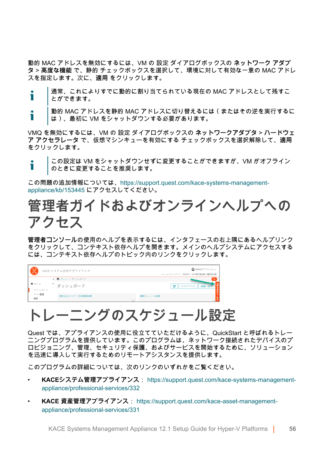動的 MAC アドレスを無効にするには、VM の 設定 ダイアログボックスの **ネットワーク アダプ タ** > **高度な機能** で、静的 チェックボックスを選択して、環境に対して有効な一意の MAC アドレ スを指定します。次に、**適用** をクリックします。

- 通常、これによりすでに動的に割り当てられている現在の MAC アドレスとして残すこ Ť とができます。
- 動的 MAC アドレスを静的 MAC アドレスに切り替えるには(またはその逆を実行するに Ť は)、最初に VM をシャットダウンする必要があります。

VMQ を無効にするには、VM の 設定 ダイアログボックスの **ネットワークアダプタ** > **ハードウェ ア アクセラレータ** で、仮想マシンキューを有効にする チェックボックスを選択解除して、**適用** をクリックします。

この設定は VM をシャットダウンせずに変更することができますが、VM がオフライン Ť のときに変更することを推奨します。

この問題の追加情報については、[https://support.quest.com/kace-systems-management](https://support.quest.com/kace-systems-management-appliance/kb/153445)[appliance/kb/153445](https://support.quest.com/kace-systems-management-appliance/kb/153445) にアクセスしてください。

### <span id="page-55-0"></span>**管理者ガイドおよびオンラインヘルプへの アクセス**

**管理者コンソール**の使用のヘルプを表示するには、インタフェースの右上隅にあるヘルプリンク をクリックして、コンテキスト依存ヘルプを開きます。メインのヘルプシステムにアクセスする には、コンテキスト依存ヘルプのトピック内のリンクをクリックします。

|                 | KACE システム管理アプライアンス           | <b>4 admin (デフォルト) 。</b><br>セッションタイムアワト: 00:59:51 · 2017年07月28日17時05分54秒 |
|-----------------|------------------------------|--------------------------------------------------------------------------|
| 作ホーム<br>ダッシュボード | ← 青 ホーム > ダッシュボード<br>ダッシュボード | $\alpha$<br>カスタマイズ<br>e                                                  |
| ラベル管理<br>検索     | 検索上位のサポート技術情報記事              | 最新のニュース記事                                                                |

# **トレーニングのスケジュール設定**

Quest では、アプライアンスの使用に役立てていただけるように、QuickStart と呼ばれるトレー ニングプログラムを提供しています。このプログラムは、ネットワーク接続されたデバイスのプ ロビジョニング、管理、セキュリティ保護、およびサービスを開始するために、ソリューション を迅速に導入して実行するためのリモートアシスタンスを提供します。

このプログラムの詳細については、次のリンクのいずれかをご覧ください。

- **KACEシステム管理アプライアンス**: [https://support.quest.com/kace-systems-management](https://support.quest.com/kace-systems-management-appliance/professional-services/332)[appliance/professional-services/332](https://support.quest.com/kace-systems-management-appliance/professional-services/332)
- **KACE 資産管理アプライアンス**: [https://support.quest.com/kace-asset-management](https://support.quest.com/kace-asset-management-appliance/professional-services/331)[appliance/professional-services/331](https://support.quest.com/kace-asset-management-appliance/professional-services/331)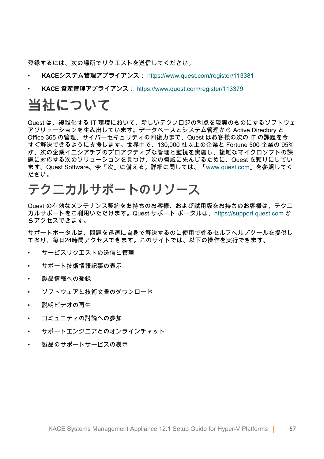登録するには、次の場所でリクエストを送信してください。

- **KACEシステム管理アプライアンス**: <https://www.quest.com/register/113381>
- **KACE 資産管理アプライアンス**:<https://www.quest.com/register/113379>

### **当社について**

Quest は、複雑化する IT 環境において、新しいテクノロジの利点を現実のものにするソフトウェ アソリューションを生み出しています。データベースとシステム管理から Active Directory と Office 365 の管理、サイバーセキュリティの回復力まで、Quest はお客様の次の IT の課題を今 すぐ解決できるように支援します。世界中で、130,000 社以上の企業と Fortune 500 企業の 95% が、次の企業イニシアチブのプロアクティブな管理と監視を実施し、複雑なマイクロソフトの課 題に対応する次のソリューションを見つけ、次の脅威に先んじるために、Quest を頼りにしてい ます。Quest Software。今「次」に備える。詳細に関しては、[「www.quest.com」](https://www.quest.com/company/contact-us.aspx)を参照してく ださい。

### **テクニカルサポートのリソース**

Quest の有効なメンテナンス契約をお持ちのお客様、および試用版をお持ちのお客様は、テクニ カルサポートをご利用いただけます。Quest サポート ポータルは、[https://support.quest.com](https://support.quest.com/) か らアクセスできます。

サポートポータルは、問題を迅速に自身で解決するのに使用できるセルフヘルプツールを提供し ており、毎日24時間アクセスできます。このサイトでは、以下の操作を実行できます。

- サービスリクエストの送信と管理
- サポート技術情報記事の表示
- 製品情報への登録
- ソフトウェアと技術文書のダウンロード
- 説明ビデオの再生
- コミュニティの討論への参加
- サポートエンジニアとのオンラインチャット
- 製品のサポートサービスの表示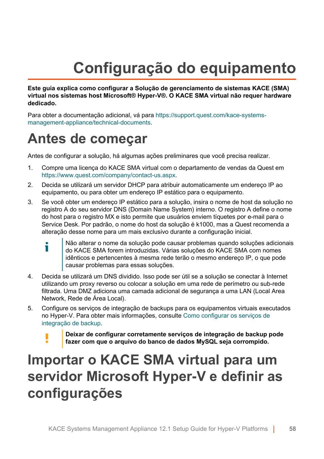# **Configuração do equipamento**

**Este guia explica como configurar a Solução de gerenciamento de sistemas KACE (SMA) virtual nos sistemas host Microsoft® Hyper-V®. O KACE SMA virtual não requer hardware dedicado.**

Para obter a documentação adicional, vá para [https://support.quest.com/kace-systems](https://support.quest.com/kace-systems-management-appliance/technical-documents)[management-appliance/technical-documents](https://support.quest.com/kace-systems-management-appliance/technical-documents).

### **Antes de começar**

Antes de configurar a solução, há algumas ações preliminares que você precisa realizar.

- 1. Compre uma licença do KACE SMA virtual com o departamento de vendas da Quest em <https://www.quest.com/company/contact-us.aspx>.
- 2. Decida se utilizará um servidor DHCP para atribuir automaticamente um endereço IP ao equipamento, ou para obter um endereço IP estático para o equipamento.
- 3. Se você obter um endereço IP estático para a solução, insira o nome de host da solução no registro A do seu servidor DNS (Domain Name System) interno. O registro A define o nome do host para o registro MX e isto permite que usuários enviem tíquetes por e-mail para o Service Desk. Por padrão, o nome do host da solução é k1000, mas a Quest recomenda a alteração desse nome para um mais exclusivo durante a configuração inicial.
	- Não alterar o nome da solução pode causar problemas quando soluções adicionais i do KACE SMA forem introduzidas. Várias soluções do KACE SMA com nomes idênticos e pertencentes à mesma rede terão o mesmo endereço IP, o que pode causar problemas para essas soluções.
- 4. Decida se utilizará um DNS dividido. Isso pode ser útil se a solução se conectar à Internet utilizando um proxy reverso ou colocar a solução em uma rede de perímetro ou sub-rede filtrada. Uma DMZ adiciona uma camada adicional de segurança a uma LAN (Local Area Network, Rede de Área Local).
- 5. Configure os serviços de integração de backups para os equipamentos virtuais executados no Hyper-V. Para obter mais informações, consulte [Como configurar os serviços de](#page-66-0) [integração de backup](#page-66-0).
	- **Deixar de configurar corretamente serviços de integração de backup pode fazer com que o arquivo do banco de dados MySQL seja corrompido.**

### **Importar o KACE SMA virtual para um servidor Microsoft Hyper-V e definir as configurações**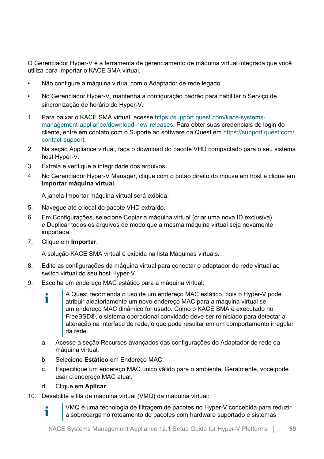O Gerenciador Hyper-V é a ferramenta de gerenciamento de máquina virtual integrada que você utiliza para importar o KACE SMA virtual.

- Não configure a máquina virtual com o Adaptador de rede legado.
- No Gerenciador Hyper-V, mantenha a configuração padrão para habilitar o Serviço de sincronização de horário do Hyper-V.
- 1. Para baixar o KACE SMA virtual, acesse [https://support.quest.com/kace-systems](https://support.quest.com/kace-systems-management-appliance/download-new-releases)[management-appliance/download-new-releases](https://support.quest.com/kace-systems-management-appliance/download-new-releases). Para obter suas credenciais de login do cliente, entre em contato com o Suporte ao software da Quest em [https://support.quest.com/](https://support.quest.com/contact-support) [contact-support](https://support.quest.com/contact-support).
- 2. Na seção Appliance virtual, faça o download do pacote VHD compactado para o seu sistema host Hyper-V.
- 3. Extraia e verifique a integridade dos arquivos.
- 4. No Gerenciador Hyper-V Manager, clique com o botão direito do mouse em host e clique em **Importar máquina virtual**.

A janela Importar máquina virtual será exibida.

- 5. Navegue até o local do pacote VHD extraído.
- 6. Em Configurações, selecione Copiar a máquina virtual (criar uma nova ID exclusiva) e Duplicar todos os arquivos de modo que a mesma máquina virtual seja novamente importada.
- 7. Clique em **Importar**.

A solução KACE SMA virtual é exibida na lista Máquinas virtuais.

- 8. Edite as configurações da máquina virtual para conectar o adaptador de rede virtual ao switch virtual do seu host Hyper-V.
- 9. Escolha um endereço MAC estático para a máquina virtual:
	- A Quest recomenda o uso de um endereço MAC estático, pois o Hyper-V pode Ť atribuir aleatoriamente um novo endereço MAC para a máquina virtual se um endereço MAC dinâmico for usado. Como o KACE SMA é executado no FreeBSD®, o sistema operacional convidado deve ser reiniciado para detectar a alteração na interface de rede, o que pode resultar em um comportamento irregular da rede.
	- a. Acesse a seção Recursos avançados das configurações do Adaptador de rede da máquina virtual.
	- b. Selecione **Estático** em Endereço MAC.
	- c. Especifique um endereço MAC único válido para o ambiente. Geralmente, você pode usar o endereço MAC atual.
	- d. Clique em **Aplicar**.

Ť

10. Desabilite a fila de máquina virtual (VMQ) da máquina virtual:

VMQ é uma tecnologia de filtragem de pacotes no Hyper-V concebida para reduzir a sobrecarga no roteamento de pacotes com hardware suportado e sistemas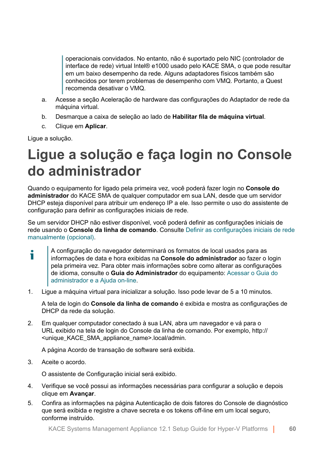operacionais convidados. No entanto, não é suportado pelo NIC (controlador de interface de rede) virtual Intel® e1000 usado pelo KACE SMA, o que pode resultar em um baixo desempenho da rede. Alguns adaptadores físicos também são conhecidos por terem problemas de desempenho com VMQ. Portanto, a Quest recomenda desativar o VMQ.

- a. Acesse a seção Aceleração de hardware das configurações do Adaptador de rede da máquina virtual.
- b. Desmarque a caixa de seleção ao lado de **Habilitar fila de máquina virtual**.
- c. Clique em **Aplicar**.

Ligue a solução.

### **Ligue a solução e faça login no Console do administrador**

Quando o equipamento for ligado pela primeira vez, você poderá fazer login no **Console do administrador** do KACE SMA de qualquer computador em sua LAN, desde que um servidor DHCP esteja disponível para atribuir um endereço IP a ele. Isso permite o uso do assistente de configuração para definir as configurações iniciais de rede.

Se um servidor DHCP não estiver disponível, você poderá definir as configurações iniciais de rede usando o **Console da linha de comando**. Consulte [Definir as configurações iniciais de rede](#page-61-0) [manualmente \(opcional\).](#page-61-0)

- A configuração do navegador determinará os formatos de local usados para as Ť informações de data e hora exibidas na **Console do administrador** ao fazer o login pela primeira vez. Para obter mais informações sobre como alterar as configurações de idioma, consulte o **Guia do Administrador** do equipamento: [Acessar o Guia do](#page-68-0) [administrador e a Ajuda on-line.](#page-68-0)
- 1. Ligue a máquina virtual para inicializar a solução. Isso pode levar de 5 a 10 minutos.

A tela de login do **Console da linha de comando** é exibida e mostra as configurações de DHCP da rede da solução.

2. Em qualquer computador conectado à sua LAN, abra um navegador e vá para o URL exibido na tela de login do Console da linha de comando. Por exemplo, http:// <unique\_KACE\_SMA\_appliance\_name>.local/admin.

A página Acordo de transação de software será exibida.

3. Aceite o acordo.

O assistente de Configuração inicial será exibido.

- 4. Verifique se você possui as informações necessárias para configurar a solução e depois clique em **Avançar**.
- 5. Confira as informações na página Autenticação de dois fatores do Console de diagnóstico que será exibida e registre a chave secreta e os tokens off-line em um local seguro, conforme instruído.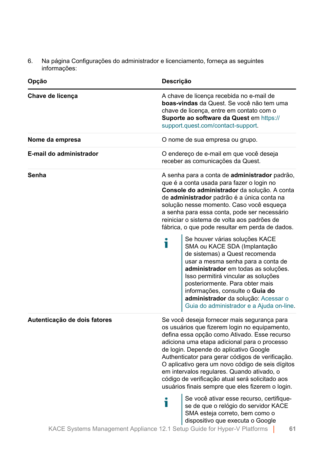6. Na página Configurações do administrador e licenciamento, forneça as seguintes informações:

| Opção                        | Descrição                                                                                                                                                                                                                                                                                                                                                                                                                                                                                           |  |  |  |
|------------------------------|-----------------------------------------------------------------------------------------------------------------------------------------------------------------------------------------------------------------------------------------------------------------------------------------------------------------------------------------------------------------------------------------------------------------------------------------------------------------------------------------------------|--|--|--|
| Chave de licença             | A chave de licença recebida no e-mail de<br>boas-vindas da Quest. Se você não tem uma<br>chave de licenca, entre em contato com o<br><b>Suporte ao software da Quest em https://</b><br>support.quest.com/contact-support.                                                                                                                                                                                                                                                                          |  |  |  |
| Nome da empresa              | O nome de sua empresa ou grupo.                                                                                                                                                                                                                                                                                                                                                                                                                                                                     |  |  |  |
| E-mail do administrador      | O endereço de e-mail em que você deseja<br>receber as comunicações da Quest.                                                                                                                                                                                                                                                                                                                                                                                                                        |  |  |  |
| Senha                        | A senha para a conta de <b>administrador</b> padrão,<br>que é a conta usada para fazer o login no<br>Console do administrador da solução. A conta<br>de administrador padrão é a única conta na<br>solução nesse momento. Caso você esqueça<br>a senha para essa conta, pode ser necessário<br>reiniciar o sistema de volta aos padrões de<br>fábrica, o que pode resultar em perda de dados.                                                                                                       |  |  |  |
|                              | Se houver várias soluções KACE<br>Ť<br>SMA ou KACE SDA (Implantação<br>de sistemas) a Quest recomenda<br>usar a mesma senha para a conta de<br>administrador em todas as soluções.<br>Isso permitirá vincular as soluções<br>posteriormente. Para obter mais<br>informações, consulte o Guia do<br>administrador da solução: Acessar o<br>Guia do administrador e a Ajuda on-line.                                                                                                                  |  |  |  |
| Autenticação de dois fatores | Se você deseja fornecer mais segurança para<br>os usuários que fizerem login no equipamento,<br>defina essa opção como Ativado. Esse recurso<br>adiciona uma etapa adicional para o processo<br>de login. Depende do aplicativo Google<br>Authenticator para gerar códigos de verificação.<br>O aplicativo gera um novo código de seis dígitos<br>em intervalos regulares. Quando ativado, o<br>código de verificação atual será solicitado aos<br>usuários finais sempre que eles fizerem o login. |  |  |  |
|                              | Se você ativar esse recurso, certifique-<br>П<br>se de que o relógio do servidor KACE<br>SMA esteja correto, bem como o<br>dispositivo que executa o Google<br>KACE Systems Management Appliance 12.1 Setup Guide for Hyper-V Platforms<br>61                                                                                                                                                                                                                                                       |  |  |  |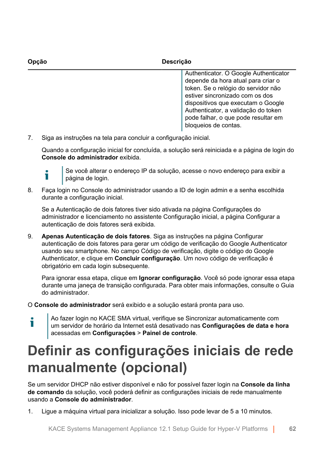| Opcão | <b>Descrição</b>                                                                                                                                                                                                                                                          |
|-------|---------------------------------------------------------------------------------------------------------------------------------------------------------------------------------------------------------------------------------------------------------------------------|
|       | Authenticator. O Google Authenticator<br>depende da hora atual para criar o<br>token. Se o relógio do servidor não<br>estiver sincronizado com os dos<br>dispositivos que executam o Google<br>Authenticator, a validação do token<br>pode falhar, o que pode resultar em |

7. Siga as instruções na tela para concluir a configuração inicial.

Quando a configuração inicial for concluída, a solução será reiniciada e a página de login do **Console do administrador** exibida.

bloqueios de contas.



Se você alterar o endereço IP da solução, acesse o novo endereço para exibir a página de login.

8. Faça login no Console do administrador usando a ID de login admin e a senha escolhida durante a configuração inicial.

Se a Autenticação de dois fatores tiver sido ativada na página Configurações do administrador e licenciamento no assistente Configuração inicial, a página Configurar a autenticação de dois fatores será exibida.

9. **Apenas Autenticação de dois fatores**. Siga as instruções na página Configurar autenticação de dois fatores para gerar um código de verificação do Google Authenticator usando seu smartphone. No campo Código de verificação, digite o código do Google Authenticator, e clique em **Concluir configuração**. Um novo código de verificação é obrigatório em cada login subsequente.

Para ignorar essa etapa, clique em **Ignorar configuração**. Você só pode ignorar essa etapa durante uma janeça de transição configurada. Para obter mais informações, consulte o Guia do administrador.

O **Console do administrador** será exibido e a solução estará pronta para uso.

Ao fazer login no KACE SMA virtual, verifique se Sincronizar automaticamente com т um servidor de horário da Internet está desativado nas **Configurações de data e hora** acessadas em **Configurações** > **Painel de controle**.

# <span id="page-61-0"></span>**Definir as configurações iniciais de rede manualmente (opcional)**

Se um servidor DHCP não estiver disponível e não for possível fazer login na **Console da linha de comando** da solução, você poderá definir as configurações iniciais de rede manualmente usando a **Console do administrador**.

1. Ligue a máquina virtual para inicializar a solução. Isso pode levar de 5 a 10 minutos.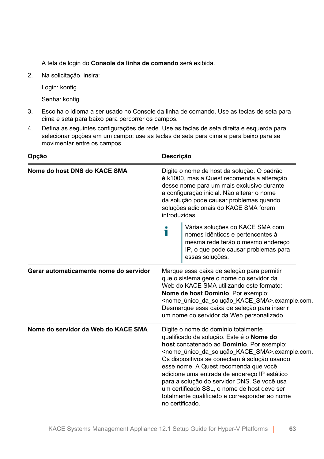A tela de login do **Console da linha de comando** será exibida.

2. Na solicitação, insira:

Login: konfig

Senha: konfig

- 3. Escolha o idioma a ser usado no Console da linha de comando. Use as teclas de seta para cima e seta para baixo para percorrer os campos.
- 4. Defina as seguintes configurações de rede. Use as teclas de seta direita e esquerda para selecionar opções em um campo; use as teclas de seta para cima e para baixo para se movimentar entre os campos.

| Opção                                  |                                                                                                                                                                                                                                                                                                                                                           | Descrição                                                                                                                                                                                                                                                                                                                                                                                                                                                                                                                        |  |  |
|----------------------------------------|-----------------------------------------------------------------------------------------------------------------------------------------------------------------------------------------------------------------------------------------------------------------------------------------------------------------------------------------------------------|----------------------------------------------------------------------------------------------------------------------------------------------------------------------------------------------------------------------------------------------------------------------------------------------------------------------------------------------------------------------------------------------------------------------------------------------------------------------------------------------------------------------------------|--|--|
| Nome do host DNS do KACE SMA           | Digite o nome de host da solução. O padrão<br>é k1000, mas a Quest recomenda a alteração<br>desse nome para um mais exclusivo durante<br>a configuração inicial. Não alterar o nome<br>da solução pode causar problemas quando<br>soluções adicionais do KACE SMA forem<br>introduzidas.                                                                  |                                                                                                                                                                                                                                                                                                                                                                                                                                                                                                                                  |  |  |
|                                        | i                                                                                                                                                                                                                                                                                                                                                         | Várias soluções do KACE SMA com<br>nomes idênticos e pertencentes à<br>mesma rede terão o mesmo endereço<br>IP, o que pode causar problemas para<br>essas soluções.                                                                                                                                                                                                                                                                                                                                                              |  |  |
| Gerar automaticamente nome do servidor | Marque essa caixa de seleção para permitir<br>que o sistema gere o nome do servidor da<br>Web do KACE SMA utilizando este formato:<br>Nome de host Domínio. Por exemplo:<br><nome_único_da_solução_kace_sma>.example.com.<br/>Desmarque essa caixa de seleção para inserir<br/>um nome do servidor da Web personalizado.</nome_único_da_solução_kace_sma> |                                                                                                                                                                                                                                                                                                                                                                                                                                                                                                                                  |  |  |
| Nome do servidor da Web do KACE SMA    |                                                                                                                                                                                                                                                                                                                                                           | Digite o nome do domínio totalmente<br>qualificado da solução. Este é o Nome do<br>host concatenado ao Domínio. Por exemplo:<br><nome_único_da_solução_kace_sma>.example.com.<br/>Os dispositivos se conectam à solução usando<br/>esse nome. A Quest recomenda que você<br/>adicione uma entrada de endereço IP estático<br/>para a solução do servidor DNS. Se você usa<br/>um certificado SSL, o nome de host deve ser<br/>totalmente qualificado e corresponder ao nome<br/>no certificado.</nome_único_da_solução_kace_sma> |  |  |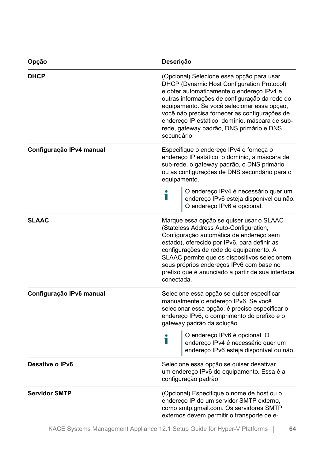| Opção                    | Descrição                                                                                                                                                                                                                                                                                                                                                                                          |  |  |
|--------------------------|----------------------------------------------------------------------------------------------------------------------------------------------------------------------------------------------------------------------------------------------------------------------------------------------------------------------------------------------------------------------------------------------------|--|--|
| <b>DHCP</b>              | (Opcional) Selecione essa opção para usar<br>DHCP (Dynamic Host Configuration Protocol)<br>e obter automaticamente o endereço IPv4 e<br>outras informações de configuração da rede do<br>equipamento. Se você selecionar essa opção,<br>você não precisa fornecer as configurações de<br>endereço IP estático, domínio, máscara de sub-<br>rede, gateway padrão, DNS primário e DNS<br>secundário. |  |  |
| Configuração IPv4 manual | Especifique o endereço IPv4 e forneça o<br>endereço IP estático, o domínio, a máscara de<br>sub-rede, o gateway padrão, o DNS primário<br>ou as configurações de DNS secundário para o<br>equipamento.                                                                                                                                                                                             |  |  |
|                          | O endereço IPv4 é necessário quer um<br>endereço IPv6 esteja disponível ou não.<br>O endereço IPv6 é opcional.                                                                                                                                                                                                                                                                                     |  |  |
| <b>SLAAC</b>             | Marque essa opção se quiser usar o SLAAC<br>(Stateless Address Auto-Configuration,<br>Configuração automática de endereço sem<br>estado), oferecido por IPv6, para definir as<br>configurações de rede do equipamento. A<br>SLAAC permite que os dispositivos selecionem<br>seus próprios endereços IPv6 com base no<br>prefixo que é anunciado a partir de sua interface<br>conectada.            |  |  |
| Configuração IPv6 manual | Selecione essa opção se quiser especificar<br>manualmente o endereço IPv6. Se você<br>selecionar essa opção, é preciso especificar o<br>endereço IPv6, o comprimento do prefixo e o<br>gateway padrão da solução.                                                                                                                                                                                  |  |  |
|                          | O endereço IPv6 é opcional. O<br>endereço IPv4 é necessário quer um<br>endereço IPv6 esteja disponível ou não.<br>i                                                                                                                                                                                                                                                                                |  |  |
| Desative o IPv6          | Selecione essa opção se quiser desativar<br>um endereço IPv6 do equipamento. Essa é a<br>configuração padrão.                                                                                                                                                                                                                                                                                      |  |  |
| <b>Servidor SMTP</b>     | (Opcional) Especifique o nome de host ou o<br>endereço IP de um servidor SMTP externo,<br>como smtp.gmail.com. Os servidores SMTP<br>externos devem permitir o transporte de e-                                                                                                                                                                                                                    |  |  |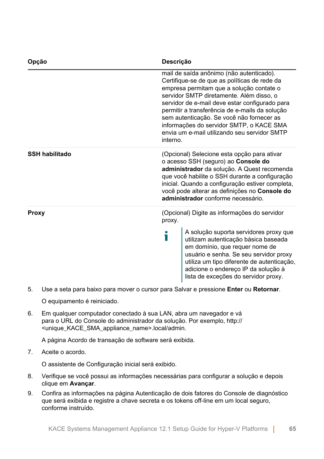| Opção                 | Descrição                                                                                                                                                                                                                                                                                                                      |                                                                                                                                                                                                                                                                                                                                                                                                                               |
|-----------------------|--------------------------------------------------------------------------------------------------------------------------------------------------------------------------------------------------------------------------------------------------------------------------------------------------------------------------------|-------------------------------------------------------------------------------------------------------------------------------------------------------------------------------------------------------------------------------------------------------------------------------------------------------------------------------------------------------------------------------------------------------------------------------|
| interno.              |                                                                                                                                                                                                                                                                                                                                | mail de saída anônimo (não autenticado).<br>Certifique-se de que as políticas de rede da<br>empresa permitam que a solução contate o<br>servidor SMTP diretamente. Além disso, o<br>servidor de e-mail deve estar configurado para<br>permitir a transferência de e-mails da solução<br>sem autenticação. Se você não fornecer as<br>informações do servidor SMTP, o KACE SMA<br>envia um e-mail utilizando seu servidor SMTP |
| <b>SSH habilitado</b> | (Opcional) Selecione esta opção para ativar<br>o acesso SSH (seguro) ao Console do<br>administrador da solução. A Quest recomenda<br>que você habilite o SSH durante a configuração<br>inicial. Quando a configuração estiver completa,<br>você pode alterar as definições no Console do<br>administrador conforme necessário. |                                                                                                                                                                                                                                                                                                                                                                                                                               |
| Proxy                 | (Opcional) Digite as informações do servidor<br>proxy.                                                                                                                                                                                                                                                                         |                                                                                                                                                                                                                                                                                                                                                                                                                               |
|                       | Т                                                                                                                                                                                                                                                                                                                              | A solução suporta servidores proxy que<br>utilizam autenticação básica baseada<br>em domínio, que requer nome de<br>usuário e senha. Se seu servidor proxy<br>utiliza um tipo diferente de autenticação,<br>adicione o endereço IP da solução à<br>lista de exceções do servidor proxy.                                                                                                                                       |

5. Use a seta para baixo para mover o cursor para Salvar e pressione **Enter** ou **Retornar**.

O equipamento é reiniciado.

6. Em qualquer computador conectado à sua LAN, abra um navegador e vá para o URL do Console do administrador da solução. Por exemplo, http:// <unique\_KACE\_SMA\_appliance\_name>.local/admin.

A página Acordo de transação de software será exibida.

7. Aceite o acordo.

O assistente de Configuração inicial será exibido.

- 8. Verifique se você possui as informações necessárias para configurar a solução e depois clique em **Avançar**.
- 9. Confira as informações na página Autenticação de dois fatores do Console de diagnóstico que será exibida e registre a chave secreta e os tokens off-line em um local seguro, conforme instruído.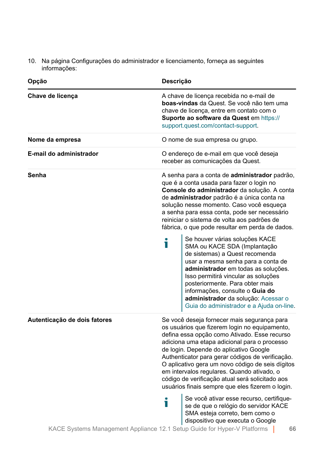10. Na página Configurações do administrador e licenciamento, forneça as seguintes informações:

| Opção                        | Descrição                                                                                                                                                                                                                                                                                                                                                                                                                                                                                           |
|------------------------------|-----------------------------------------------------------------------------------------------------------------------------------------------------------------------------------------------------------------------------------------------------------------------------------------------------------------------------------------------------------------------------------------------------------------------------------------------------------------------------------------------------|
| Chave de licença             | A chave de licença recebida no e-mail de<br>boas-vindas da Quest. Se você não tem uma<br>chave de licença, entre em contato com o<br>Suporte ao software da Quest em https://<br>support.quest.com/contact-support.                                                                                                                                                                                                                                                                                 |
| Nome da empresa              | O nome de sua empresa ou grupo.                                                                                                                                                                                                                                                                                                                                                                                                                                                                     |
| E-mail do administrador      | O endereço de e-mail em que você deseja<br>receber as comunicações da Quest.                                                                                                                                                                                                                                                                                                                                                                                                                        |
| Senha                        | A senha para a conta de <b>administrador</b> padrão,<br>que é a conta usada para fazer o login no<br>Console do administrador da solução. A conta<br>de administrador padrão é a única conta na<br>solução nesse momento. Caso você esqueça<br>a senha para essa conta, pode ser necessário<br>reiniciar o sistema de volta aos padrões de<br>fábrica, o que pode resultar em perda de dados.                                                                                                       |
|                              | Se houver várias soluções KACE<br>Ť<br>SMA ou KACE SDA (Implantação<br>de sistemas) a Quest recomenda<br>usar a mesma senha para a conta de<br>administrador em todas as soluções.<br>Isso permitirá vincular as soluções<br>posteriormente. Para obter mais<br>informações, consulte o Guia do<br>administrador da solução: Acessar o<br>Guia do administrador e a Ajuda on-line.                                                                                                                  |
| Autenticação de dois fatores | Se você deseja fornecer mais segurança para<br>os usuários que fizerem login no equipamento,<br>defina essa opção como Ativado. Esse recurso<br>adiciona uma etapa adicional para o processo<br>de login. Depende do aplicativo Google<br>Authenticator para gerar códigos de verificação.<br>O aplicativo gera um novo código de seis dígitos<br>em intervalos regulares. Quando ativado, o<br>código de verificação atual será solicitado aos<br>usuários finais sempre que eles fizerem o login. |
|                              | Se você ativar esse recurso, certifique-<br>Т<br>se de que o relógio do servidor KACE<br>SMA esteja correto, bem como o<br>dispositivo que executa o Google<br>KACE Systems Management Appliance 12.1 Setup Guide for Hyper-V Platforms<br>66                                                                                                                                                                                                                                                       |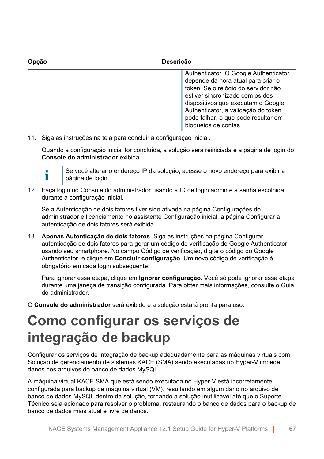| Opcão | <b>Descrição</b>                                                                                                                                                                                                                                                                                  |  |
|-------|---------------------------------------------------------------------------------------------------------------------------------------------------------------------------------------------------------------------------------------------------------------------------------------------------|--|
|       | Authenticator. O Google Authenticator<br>depende da hora atual para criar o<br>token. Se o relógio do servidor não<br>estiver sincronizado com os dos<br>dispositivos que executam o Google<br>Authenticator, a validação do token<br>pode falhar, o que pode resultar em<br>bloqueios de contas. |  |

11. Siga as instruções na tela para concluir a configuração inicial.

Quando a configuração inicial for concluída, a solução será reiniciada e a página de login do **Console do administrador** exibida.

Т

Se você alterar o endereço IP da solução, acesse o novo endereço para exibir a página de login.

12. Faça login no Console do administrador usando a ID de login admin e a senha escolhida durante a configuração inicial.

Se a Autenticação de dois fatores tiver sido ativada na página Configurações do administrador e licenciamento no assistente Configuração inicial, a página Configurar a autenticação de dois fatores será exibida.

13. **Apenas Autenticação de dois fatores**. Siga as instruções na página Configurar autenticação de dois fatores para gerar um código de verificação do Google Authenticator usando seu smartphone. No campo Código de verificação, digite o código do Google Authenticator, e clique em **Concluir configuração**. Um novo código de verificação é obrigatório em cada login subsequente.

Para ignorar essa etapa, clique em **Ignorar configuração**. Você só pode ignorar essa etapa durante uma janeça de transição configurada. Para obter mais informações, consulte o Guia do administrador.

O **Console do administrador** será exibido e a solução estará pronta para uso.

### <span id="page-66-0"></span>**Como configurar os serviços de integração de backup**

Configurar os serviços de integração de backup adequadamente para as máquinas virtuais com Solução de gerenciamento de sistemas KACE (SMA) sendo executadas no Hyper-V impede danos nos arquivos do banco de dados MySQL.

A máquina virtual KACE SMA que está sendo executada no Hyper-V está incorretamente configurada para backup de máquina virtual (VM), resultando em algum dano no arquivo de banco de dados MySQL dentro da solução, tornando a solução inutilizável até que o Suporte Técnico seja acionado para resolver o problema, restaurando o banco de dados para o backup de banco de dados mais atual e livre de danos.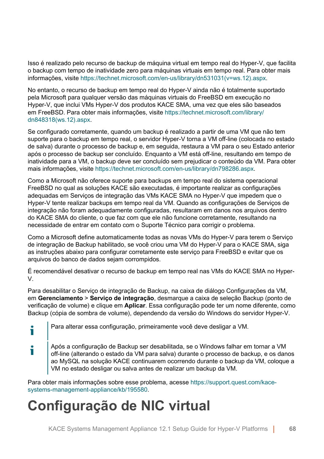Isso é realizado pelo recurso de backup de máquina virtual em tempo real do Hyper-V, que facilita o backup com tempo de inatividade zero para máquinas virtuais em tempo real. Para obter mais informações, visite [https://technet.microsoft.com/en-us/library/dn531031\(v=ws.12\).aspx.](https://technet.microsoft.com/en-us/library/dn531031(v=ws.12).aspx)

No entanto, o recurso de backup em tempo real do Hyper-V ainda não é totalmente suportado pela Microsoft para qualquer versão das máquinas virtuais do FreeBSD em execução no Hyper-V, que inclui VMs Hyper-V dos produtos KACE SMA, uma vez que eles são baseados em FreeBSD. Para obter mais informações, visite [https://technet.microsoft.com/library/](https://technet.microsoft.com/library/dn848318(ws.12).aspx) [dn848318\(ws.12\).aspx.](https://technet.microsoft.com/library/dn848318(ws.12).aspx)

Se configurado corretamente, quando um backup é realizado a partir de uma VM que não tem suporte para o backup em tempo real, o servidor Hyper-V torna a VM off-line (colocada no estado de salva) durante o processo de backup e, em seguida, restaura a VM para o seu Estado anterior após o processo de backup ser concluído. Enquanto a VM está off-line, resultando em tempo de inatividade para a VM, o backup deve ser concluído sem prejudicar o conteúdo da VM. Para obter mais informações, visite [https://technet.microsoft.com/en-us/library/dn798286.aspx.](https://technet.microsoft.com/en-us/library/dn798286.aspx)

Como a Microsoft não oferece suporte para backups em tempo real do sistema operacional FreeBSD no qual as soluções KACE são executadas, é importante realizar as configurações adequadas em Serviços de integração das VMs KACE SMA no Hyper-V que impedem que o Hyper-V tente realizar backups em tempo real da VM. Quando as configurações de Serviços de integração não foram adequadamente configuradas, resultaram em danos nos arquivos dentro do KACE SMA do cliente, o que faz com que ele não funcione corretamente, resultando na necessidade de entrar em contato com o Suporte Técnico para corrigir o problema.

Como a Microsoft define automaticamente todas as novas VMs do Hyper-V para terem o Serviço de integração de Backup habilitado, se você criou uma VM do Hyper-V para o KACE SMA, siga as instruções abaixo para configurar corretamente este serviço para FreeBSD e evitar que os arquivos do banco de dados sejam corrompidos.

É recomendável desativar o recurso de backup em tempo real nas VMs do KACE SMA no Hyper-V.

Para desabilitar o Serviço de integração de Backup, na caixa de diálogo Configurações da VM, em **Gerenciamento** > **Serviço de integração**, desmarque a caixa de seleção Backup (ponto de verificação de volume) e clique em **Aplicar**. Essa configuração pode ter um nome diferente, como Backup (cópia de sombra de volume), dependendo da versão do Windows do servidor Hyper-V.

Para alterar essa configuração, primeiramente você deve desligar a VM.

Após a configuração de Backup ser desabilitada, se o Windows falhar em tornar a VM i off-line (alterando o estado da VM para salva) durante o processo de backup, e os danos ao MySQL na solução KACE continuarem ocorrendo durante o backup da VM, coloque a VM no estado desligar ou salva antes de realizar um backup da VM.

Para obter mais informações sobre esse problema, acesse [https://support.quest.com/kace](https://support.quest.com/kace-systems-management-appliance/kb/195580)[systems-management-appliance/kb/195580](https://support.quest.com/kace-systems-management-appliance/kb/195580).

# **Configuração de NIC virtual**

i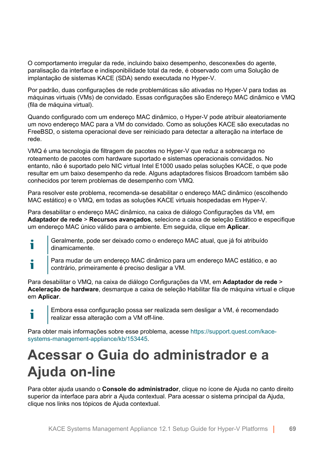O comportamento irregular da rede, incluindo baixo desempenho, desconexões do agente, paralisação da interface e indisponibilidade total da rede, é observado com uma Solução de implantação de sistemas KACE (SDA) sendo executada no Hyper-V.

Por padrão, duas configurações de rede problemáticas são ativadas no Hyper-V para todas as máquinas virtuais (VMs) de convidado. Essas configurações são Endereço MAC dinâmico e VMQ (fila de máquina virtual).

Quando configurado com um endereço MAC dinâmico, o Hyper-V pode atribuir aleatoriamente um novo endereço MAC para a VM do convidado. Como as soluções KACE são executadas no FreeBSD, o sistema operacional deve ser reiniciado para detectar a alteração na interface de rede.

VMQ é uma tecnologia de filtragem de pacotes no Hyper-V que reduz a sobrecarga no roteamento de pacotes com hardware suportado e sistemas operacionais convidados. No entanto, não é suportado pelo NIC virtual Intel E1000 usado pelas soluções KACE, o que pode resultar em um baixo desempenho da rede. Alguns adaptadores físicos Broadcom também são conhecidos por terem problemas de desempenho com VMQ.

Para resolver este problema, recomenda-se desabilitar o endereço MAC dinâmico (escolhendo MAC estático) e o VMQ, em todas as soluções KACE virtuais hospedadas em Hyper-V.

Para desabilitar o endereço MAC dinâmico, na caixa de diálogo Configurações da VM, em **Adaptador de rede** > **Recursos avançados**, selecione a caixa de seleção Estático e especifique um endereço MAC único válido para o ambiente. Em seguida, clique em **Aplicar**.

- Geralmente, pode ser deixado como o endereço MAC atual, que já foi atribuído Ť dinamicamente.
- Para mudar de um endereço MAC dinâmico para um endereço MAC estático, e ao i contrário, primeiramente é preciso desligar a VM.

Para desabilitar o VMQ, na caixa de diálogo Configurações da VM, em **Adaptador de rede** > **Aceleração de hardware**, desmarque a caixa de seleção Habilitar fila de máquina virtual e clique em **Aplicar**.



Embora essa configuração possa ser realizada sem desligar a VM, é recomendado realizar essa alteração com a VM off-line.

Para obter mais informações sobre esse problema, acesse [https://support.quest.com/kace](https://support.quest.com/kace-systems-management-appliance/kb/153445)[systems-management-appliance/kb/153445](https://support.quest.com/kace-systems-management-appliance/kb/153445).

### <span id="page-68-0"></span>**Acessar o Guia do administrador e a Ajuda on-line**

Para obter ajuda usando o **Console do administrador**, clique no ícone de Ajuda no canto direito superior da interface para abrir a Ajuda contextual. Para acessar o sistema principal da Ajuda, clique nos links nos tópicos de Ajuda contextual.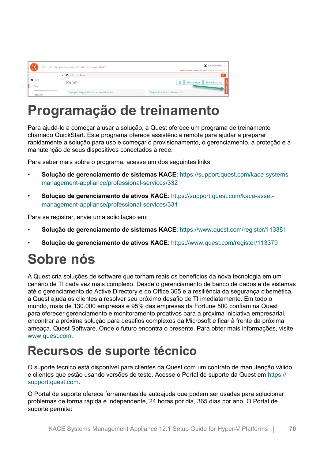| <b>COD</b><br>Solução de gerenciamento de sistemas KACE |  |                                            | admin (Padrão) v<br>Tempo limite da sessão: 00:59:38 + 28:07-2017 17:18:12 |
|---------------------------------------------------------|--|--------------------------------------------|----------------------------------------------------------------------------|
|                                                         |  | < nicio > Painel                           | $\alpha$                                                                   |
| n Início                                                |  | Painel                                     | e<br><b>Exibir detaihes</b><br>Personalizar                                |
| Painel                                                  |  |                                            |                                                                            |
| Gerenciamento de rótulo<br>Pesquisar                    |  | Principais artigos da base de conhecimento | Artigos de notícias mais recentes                                          |

### **Programação de treinamento**

Para ajudá-lo a começar a usar a solução, a Quest oferece um programa de treinamento chamado QuickStart. Este programa oferece assistência remota para ajudar a preparar rapidamente a solução para uso e começar o provisionamento, o gerenciamento, a proteção e a manutenção de seus dispositivos conectados à rede.

Para saber mais sobre o programa, acesse um dos seguintes links:

- **Solução de gerenciamento de sistemas KACE**: [https://support.quest.com/kace-systems](https://support.quest.com/kace-systems-management-appliance/professional-services/332)[management-appliance/professional-services/332](https://support.quest.com/kace-systems-management-appliance/professional-services/332)
- **Solução de gerenciamento de ativos KACE**: [https://support.quest.com/kace-asset](https://support.quest.com/kace-asset-management-appliance/professional-services/331)[management-appliance/professional-services/331](https://support.quest.com/kace-asset-management-appliance/professional-services/331)

Para se registrar, envie uma solicitação em:

- **Solução de gerenciamento de sistemas KACE**: <https://www.quest.com/register/113381>
- **Solução de gerenciamento de ativos KACE**: <https://www.quest.com/register/113379>

# **Sobre nós**

A Quest cria soluções de software que tornam reais os benefícios da nova tecnologia em um cenário de TI cada vez mais complexo. Desde o gerenciamento de banco de dados e de sistemas até o gerenciamento do Active Directory e do Office 365 e a resiliência da segurança cibernética, a Quest ajuda os clientes a resolver seu próximo desafio de TI imediatamente. Em todo o mundo, mais de 130.000 empresas e 95% das empresas da Fortune 500 confiam na Quest para oferecer gerenciamento e monitoramento proativos para a próxima iniciativa empresarial, encontrar a próxima solução para desafios complexos da Microsoft e ficar à frente da próxima ameaça. Quest Software. Onde o futuro encontra o presente. Para obter mais informações, visite [www.quest.com](https://www.quest.com/company/contact-us.aspx).

### **Recursos de suporte técnico**

O suporte técnico está disponível para clientes da Quest com um contrato de manutenção válido e clientes que estão usando versões de teste. Acesse o Portal de suporte da Quest em [https://](https://support.quest.com/) [support.quest.com.](https://support.quest.com/)

O Portal de suporte oferece ferramentas de autoajuda que podem ser usadas para solucionar problemas de forma rápida e independente, 24 horas por dia, 365 dias por ano. O Portal de suporte permite: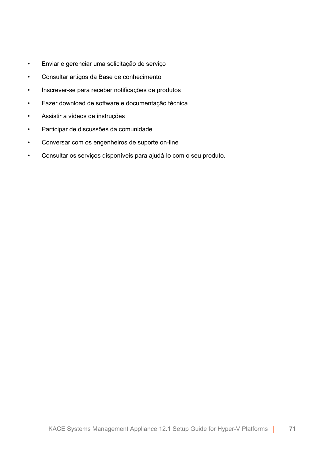- Enviar e gerenciar uma solicitação de serviço
- Consultar artigos da Base de conhecimento
- Inscrever-se para receber notificações de produtos
- Fazer download de software e documentação técnica
- Assistir a vídeos de instruções
- Participar de discussões da comunidade
- Conversar com os engenheiros de suporte on-line
- Consultar os serviços disponíveis para ajudá-lo com o seu produto.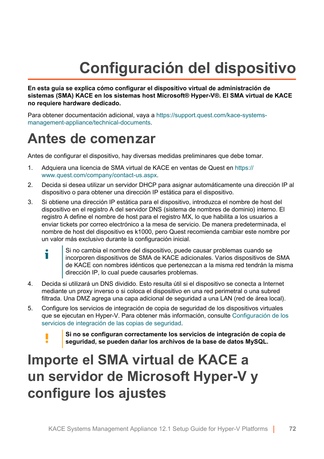# **Configuración del dispositivo**

**En esta guía se explica cómo configurar el dispositivo virtual de administración de sistemas (SMA) KACE en los sistemas host Microsoft® Hyper-V®. El SMA virtual de KACE no requiere hardware dedicado.**

Para obtener documentación adicional, vaya a [https://support.quest.com/kace-systems](https://support.quest.com/kace-systems-management-appliance/technical-documents)[management-appliance/technical-documents](https://support.quest.com/kace-systems-management-appliance/technical-documents).

### **Antes de comenzar**

Antes de configurar el dispositivo, hay diversas medidas preliminares que debe tomar.

- 1. Adquiera una licencia de SMA virtual de KACE en ventas de Quest en [https://](https://www.quest.com/company/contact-us.aspx) [www.quest.com/company/contact-us.aspx](https://www.quest.com/company/contact-us.aspx).
- 2. Decida si desea utilizar un servidor DHCP para asignar automáticamente una dirección IP al dispositivo o para obtener una dirección IP estática para el dispositivo.
- 3. Si obtiene una dirección IP estática para el dispositivo, introduzca el nombre de host del dispositivo en el registro A del servidor DNS (sistema de nombres de dominio) interno. El registro A define el nombre de host para el registro MX, lo que habilita a los usuarios a enviar tickets por correo electrónico a la mesa de servicio. De manera predeterminada, el nombre de host del dispositivo es k1000, pero Quest recomienda cambiar este nombre por un valor más exclusivo durante la configuración inicial.
	- Si no cambia el nombre del dispositivo, puede causar problemas cuando se Ť incorporen dispositivos de SMA de KACE adicionales. Varios dispositivos de SMA de KACE con nombres idénticos que pertenezcan a la misma red tendrán la misma dirección IP, lo cual puede causarles problemas.
- 4. Decida si utilizará un DNS dividido. Esto resulta útil si el dispositivo se conecta a Internet mediante un proxy inverso o si coloca el dispositivo en una red perimetral o una subred filtrada. Una DMZ agrega una capa adicional de seguridad a una LAN (red de área local).
- 5. Configure los servicios de integración de copia de seguridad de los dispositivos virtuales que se ejecutan en Hyper-V. Para obtener más información, consulte [Configuración de los](#page-80-0) [servicios de integración de las copias de seguridad.](#page-80-0)
	- **Si no se configuran correctamente los servicios de integración de copia de seguridad, se pueden dañar los archivos de la base de datos MySQL.**

### **Importe el SMA virtual de KACE a un servidor de Microsoft Hyper-V y configure los ajustes**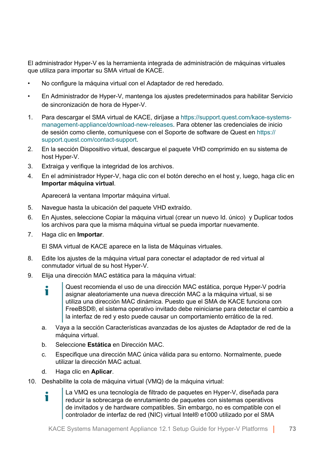El administrador Hyper-V es la herramienta integrada de administración de máquinas virtuales que utiliza para importar su SMA virtual de KACE.

- No configure la máquina virtual con el Adaptador de red heredado.
- En Administrador de Hyper-V, mantenga los ajustes predeterminados para habilitar Servicio de sincronización de hora de Hyper-V.
- 1. Para descargar el SMA virtual de KACE, diríjase a [https://support.quest.com/kace-systems](https://support.quest.com/kace-systems-management-appliance/download-new-releases)[management-appliance/download-new-releases](https://support.quest.com/kace-systems-management-appliance/download-new-releases). Para obtener las credenciales de inicio de sesión como cliente, comuníquese con el Soporte de software de Quest en [https://](https://support.quest.com/contact-support) [support.quest.com/contact-support](https://support.quest.com/contact-support).
- 2. En la sección Dispositivo virtual, descargue el paquete VHD comprimido en su sistema de host Hyper-V.
- 3. Extraiga y verifique la integridad de los archivos.
- 4. En el administrador Hyper-V, haga clic con el botón derecho en el host y, luego, haga clic en **Importar máquina virtual**.

Aparecerá la ventana Importar máquina virtual.

- 5. Navegue hasta la ubicación del paquete VHD extraído.
- 6. En Ajustes, seleccione Copiar la máquina virtual (crear un nuevo Id. único) y Duplicar todos los archivos para que la misma máquina virtual se pueda importar nuevamente.
- 7. Haga clic en **Importar**.

El SMA virtual de KACE aparece en la lista de Máquinas virtuales.

- 8. Edite los ajustes de la máquina virtual para conectar el adaptador de red virtual al conmutador virtual de su host Hyper-V.
- 9. Elija una dirección MAC estática para la máquina virtual:
	- Quest recomienda el uso de una dirección MAC estática, porque Hyper-V podría Ť asignar aleatoriamente una nueva dirección MAC a la máquina virtual, si se utiliza una dirección MAC dinámica. Puesto que el SMA de KACE funciona con FreeBSD®, el sistema operativo invitado debe reiniciarse para detectar el cambio a la interfaz de red y esto puede causar un comportamiento errático de la red.
	- a. Vaya a la sección Características avanzadas de los ajustes de Adaptador de red de la máquina virtual.
	- b. Seleccione **Estática** en Dirección MAC.
	- c. Especifique una dirección MAC única válida para su entorno. Normalmente, puede utilizar la dirección MAC actual.
	- d. Haga clic en **Aplicar**.

i

10. Deshabilite la cola de máquina virtual (VMQ) de la máquina virtual:

La VMQ es una tecnología de filtrado de paquetes en Hyper-V, diseñada para reducir la sobrecarga de enrutamiento de paquetes con sistemas operativos de invitados y de hardware compatibles. Sin embargo, no es compatible con el controlador de interfaz de red (NIC) virtual Intel® e1000 utilizado por el SMA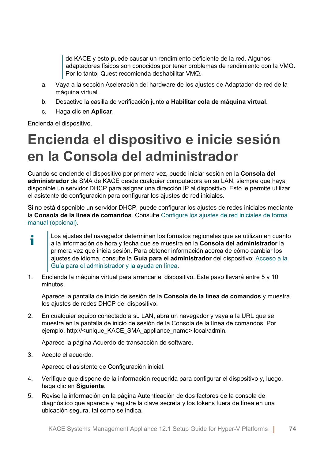de KACE y esto puede causar un rendimiento deficiente de la red. Algunos adaptadores físicos son conocidos por tener problemas de rendimiento con la VMQ. Por lo tanto, Quest recomienda deshabilitar VMQ.

- a. Vaya a la sección Aceleración del hardware de los ajustes de Adaptador de red de la máquina virtual.
- b. Desactive la casilla de verificación junto a **Habilitar cola de máquina virtual**.
- c. Haga clic en **Aplicar**.

Encienda el dispositivo.

## **Encienda el dispositivo e inicie sesión en la Consola del administrador**

Cuando se enciende el dispositivo por primera vez, puede iniciar sesión en la **Consola del administrador** de SMA de KACE desde cualquier computadora en su LAN, siempre que haya disponible un servidor DHCP para asignar una dirección IP al dispositivo. Esto le permite utilizar el asistente de configuración para configurar los ajustes de red iniciales.

Si no está disponible un servidor DHCP, puede configurar los ajustes de redes iniciales mediante la **Consola de la línea de comandos**. Consulte [Configure los ajustes de red iniciales de forma](#page-75-0) [manual \(opcional\).](#page-75-0)

Los ajustes del navegador determinan los formatos regionales que se utilizan en cuanto i a la información de hora y fecha que se muestra en la **Consola del administrador** la primera vez que inicia sesión. Para obtener información acerca de cómo cambiar los ajustes de idioma, consulte la **Guía para el administrador** del dispositivo: [Acceso a la](#page-83-0) [Guía para el administrador y la ayuda en línea.](#page-83-0)

1. Encienda la máquina virtual para arrancar el dispositivo. Este paso llevará entre 5 y 10 minutos.

Aparece la pantalla de inicio de sesión de la **Consola de la línea de comandos** y muestra los ajustes de redes DHCP del dispositivo.

2. En cualquier equipo conectado a su LAN, abra un navegador y vaya a la URL que se muestra en la pantalla de inicio de sesión de la Consola de la línea de comandos. Por ejemplo, http://<unique\_KACE\_SMA\_appliance\_name>.local/admin.

Aparece la página Acuerdo de transacción de software.

3. Acepte el acuerdo.

Aparece el asistente de Configuración inicial.

- 4. Verifique que dispone de la información requerida para configurar el dispositivo y, luego, haga clic en **Siguiente**.
- 5. Revise la información en la página Autenticación de dos factores de la consola de diagnóstico que aparece y registre la clave secreta y los tokens fuera de línea en una ubicación segura, tal como se indica.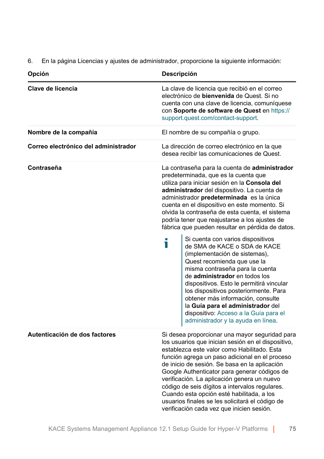6. En la página Licencias y ajustes de administrador, proporcione la siguiente información:

| Opción                               | Descripción                                                                                                                                                                                                                                                                                                                                                                                                                                                                                                                                                                                                                                                                                                                                                                                                                                                                                           |  |
|--------------------------------------|-------------------------------------------------------------------------------------------------------------------------------------------------------------------------------------------------------------------------------------------------------------------------------------------------------------------------------------------------------------------------------------------------------------------------------------------------------------------------------------------------------------------------------------------------------------------------------------------------------------------------------------------------------------------------------------------------------------------------------------------------------------------------------------------------------------------------------------------------------------------------------------------------------|--|
| Clave de licencia                    | La clave de licencia que recibió en el correo<br>electrónico de <b>bienvenida</b> de Quest. Si no<br>cuenta con una clave de licencia, comuníquese<br>con Soporte de software de Quest en https://<br>support.quest.com/contact-support.                                                                                                                                                                                                                                                                                                                                                                                                                                                                                                                                                                                                                                                              |  |
| Nombre de la compañía                | El nombre de su compañía o grupo.                                                                                                                                                                                                                                                                                                                                                                                                                                                                                                                                                                                                                                                                                                                                                                                                                                                                     |  |
| Correo electrónico del administrador | La dirección de correo electrónico en la que<br>desea recibir las comunicaciones de Quest.                                                                                                                                                                                                                                                                                                                                                                                                                                                                                                                                                                                                                                                                                                                                                                                                            |  |
| Contraseña                           | La contraseña para la cuenta de administrador<br>predeterminada, que es la cuenta que<br>utiliza para iniciar sesión en la Consola del<br>administrador del dispositivo. La cuenta de<br>administrador predeterminada es la única<br>cuenta en el dispositivo en este momento. Si<br>olvida la contraseña de esta cuenta, el sistema<br>podría tener que reajustarse a los ajustes de<br>fábrica que pueden resultar en pérdida de datos.<br>Si cuenta con varios dispositivos<br>i<br>de SMA de KACE o SDA de KACE<br>(implementación de sistemas),<br>Quest recomienda que use la<br>misma contraseña para la cuenta<br>de administrador en todos los<br>dispositivos. Esto le permitirá vincular<br>los dispositivos posteriormente. Para<br>obtener más información, consulte<br>la Guía para el administrador del<br>dispositivo: Acceso a la Guía para el<br>administrador y la ayuda en línea. |  |
| Autenticación de dos factores        | Si desea proporcionar una mayor seguridad para<br>los usuarios que inician sesión en el dispositivo,<br>establezca este valor como Habilitado. Esta<br>función agrega un paso adicional en el proceso<br>de inicio de sesión. Se basa en la aplicación<br>Google Authenticator para generar códigos de<br>verificación. La aplicación genera un nuevo<br>código de seis dígitos a intervalos regulares.<br>Cuando esta opción esté habilitada, a los<br>usuarios finales se les solicitará el código de<br>verificación cada vez que inicien sesión.                                                                                                                                                                                                                                                                                                                                                  |  |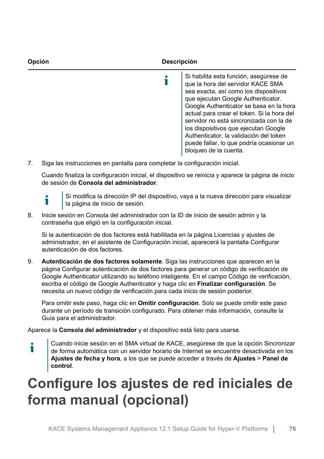

7. Siga las instrucciones en pantalla para completar la configuración inicial.

Cuando finaliza la configuración inicial, el dispositivo se reinicia y aparece la página de inicio de sesión de **Consola del administrador**.



Si modifica la dirección IP del dispositivo, vaya a la nueva dirección para visualizar la página de inicio de sesión.

8. Inicie sesión en Consola del administrador con la ID de inicio de sesión admin y la contraseña que eligió en la configuración inicial.

Si la autenticación de dos factores está habilitada en la página Licencias y ajustes de administrador, en el asistente de Configuración inicial, aparecerá la pantalla Configurar autenticación de dos factores.

9. **Autenticación de dos factores solamente**. Siga las instrucciones que aparecen en la página Configurar autenticación de dos factores para generar un código de verificación de Google Authenticator utilizando su teléfono inteligente. En el campo Código de verificación, escriba el código de Google Authenticator y haga clic en **Finalizar configuración**. Se necesita un nuevo código de verificación para cada inicio de sesión posterior.

Para omitir este paso, haga clic en **Omitir configuración**. Solo se puede omitir este paso durante un período de transición configurado. Para obtener más información, consulte la Guía para el administrador.

Aparece la **Consola del administrador** y el dispositivo está listo para usarse.

Cuando inicie sesión en el SMA virtual de KACE, asegúrese de que la opción Sincronizar i de forma automática con un servidor horario de Internet se encuentre desactivada en los **Ajustes de fecha y hora**, a los que se puede acceder a través de **Ajustes** > **Panel de control**.

## <span id="page-75-0"></span>**Configure los ajustes de red iniciales de forma manual (opcional)**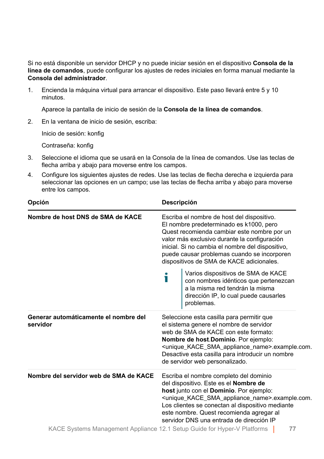Si no está disponible un servidor DHCP y no puede iniciar sesión en el dispositivo **Consola de la línea de comandos**, puede configurar los ajustes de redes iniciales en forma manual mediante la **Consola del administrador**.

1. Encienda la máquina virtual para arrancar el dispositivo. Este paso llevará entre 5 y 10 minutos.

Aparece la pantalla de inicio de sesión de la **Consola de la línea de comandos**.

2. En la ventana de inicio de sesión, escriba:

Inicio de sesión: konfig

Contraseña: konfig

- 3. Seleccione el idioma que se usará en la Consola de la línea de comandos. Use las teclas de flecha arriba y abajo para moverse entre los campos.
- 4. Configure los siguientes ajustes de redes. Use las teclas de flecha derecha e izquierda para seleccionar las opciones en un campo; use las teclas de flecha arriba y abajo para moverse entre los campos.

| Opción                                            | Descripción                                                                                                                                                                                                                                                                                                                                                                                                                                                                                                                                                                                                                                                                                                                                                |
|---------------------------------------------------|------------------------------------------------------------------------------------------------------------------------------------------------------------------------------------------------------------------------------------------------------------------------------------------------------------------------------------------------------------------------------------------------------------------------------------------------------------------------------------------------------------------------------------------------------------------------------------------------------------------------------------------------------------------------------------------------------------------------------------------------------------|
| Nombre de host DNS de SMA de KACE                 | Escriba el nombre de host del dispositivo.<br>El nombre predeterminado es k1000, pero<br>Quest recomienda cambiar este nombre por un<br>valor más exclusivo durante la configuración<br>inicial. Si no cambia el nombre del dispositivo,<br>puede causar problemas cuando se incorporen<br>dispositivos de SMA de KACE adicionales.                                                                                                                                                                                                                                                                                                                                                                                                                        |
|                                                   | Varios dispositivos de SMA de KACE<br>con nombres idénticos que pertenezcan<br>a la misma red tendrán la misma<br>dirección IP, lo cual puede causarles<br>problemas.                                                                                                                                                                                                                                                                                                                                                                                                                                                                                                                                                                                      |
| Generar automáticamente el nombre del<br>servidor | Seleccione esta casilla para permitir que<br>el sistema genere el nombre de servidor<br>web de SMA de KACE con este formato:<br>Nombre de host.Dominio. Por ejemplo:<br><unique_kace_sma_appliance_name>.example.com.<br/>Desactive esta casilla para introducir un nombre<br/>de servidor web personalizado.</unique_kace_sma_appliance_name>                                                                                                                                                                                                                                                                                                                                                                                                             |
| Nombre del servidor web de SMA de KACE            | Escriba el nombre completo del dominio<br>del dispositivo. Este es el Nombre de<br>host junto con el Dominio. Por ejemplo:<br><unique_kace_sma_appliance_name>.example.com.<br/>Los clientes se conectan al dispositivo mediante<br/>este nombre. Quest recomienda agregar al<br/>servidor DNS una entrada de dirección IP<br/><math>4.0 \cdot 1.0 \cdot 1.0 \cdot 1.0 \cdot 1.0 \cdot 1.0 \cdot 1.0 \cdot 1.0 \cdot 1.0 \cdot 1.0 \cdot 1.0 \cdot 1.0 \cdot 1.0 \cdot 1.0 \cdot 1.0 \cdot 1.0 \cdot 1.0 \cdot 1.0 \cdot 1.0 \cdot 1.0 \cdot 1.0 \cdot 1.0 \cdot 1.0 \cdot 1.0 \cdot 1.0 \cdot 1.0 \cdot 1.0 \cdot 1.0 \cdot 1.0 \cdot 1.0 \cdot 1.0 \cdot 1.0 \cdot 1.0 \cdot 1.0 \cdot 1.0 \cdot 1.0 \cdot 1.0 \</math></unique_kace_sma_appliance_name> |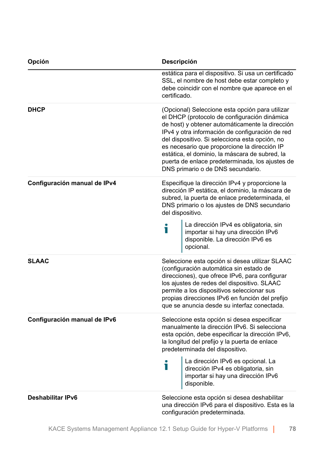| Opción                       | Descripción                                                                                                                                                                                                                                                                                                                                                                                                                                       |
|------------------------------|---------------------------------------------------------------------------------------------------------------------------------------------------------------------------------------------------------------------------------------------------------------------------------------------------------------------------------------------------------------------------------------------------------------------------------------------------|
|                              | estática para el dispositivo. Si usa un certificado<br>SSL, el nombre de host debe estar completo y<br>debe coincidir con el nombre que aparece en el<br>certificado.                                                                                                                                                                                                                                                                             |
| <b>DHCP</b>                  | (Opcional) Seleccione esta opción para utilizar<br>el DHCP (protocolo de configuración dinámica<br>de host) y obtener automáticamente la dirección<br>IPv4 y otra información de configuración de red<br>del dispositivo. Si selecciona esta opción, no<br>es necesario que proporcione la dirección IP<br>estática, el dominio, la máscara de subred, la<br>puerta de enlace predeterminada, los ajustes de<br>DNS primario o de DNS secundario. |
| Configuración manual de IPv4 | Especifique la dirección IPv4 y proporcione la<br>dirección IP estática, el dominio, la máscara de<br>subred, la puerta de enlace predeterminada, el<br>DNS primario o los ajustes de DNS secundario<br>del dispositivo.                                                                                                                                                                                                                          |
|                              | La dirección IPv4 es obligatoria, sin<br>Т<br>importar si hay una dirección IPv6<br>disponible. La dirección IPv6 es<br>opcional.                                                                                                                                                                                                                                                                                                                 |
| <b>SLAAC</b>                 | Seleccione esta opción si desea utilizar SLAAC<br>(configuración automática sin estado de<br>direcciones), que ofrece IPv6, para configurar<br>los ajustes de redes del dispositivo. SLAAC<br>permite a los dispositivos seleccionar sus<br>propias direcciones IPv6 en función del prefijo<br>que se anuncia desde su interfaz conectada.                                                                                                        |
| Configuración manual de IPv6 | Seleccione esta opción si desea especificar<br>manualmente la dirección IPv6. Si selecciona<br>esta opción, debe especificar la dirección IPv6,<br>la longitud del prefijo y la puerta de enlace<br>predeterminada del dispositivo.                                                                                                                                                                                                               |
|                              | La dirección IPv6 es opcional. La<br>T<br>dirección IPv4 es obligatoria, sin<br>importar si hay una dirección IPv6<br>disponible.                                                                                                                                                                                                                                                                                                                 |
| Deshabilitar IPv6            | Seleccione esta opción si desea deshabilitar<br>una dirección IPv6 para el dispositivo. Esta es la<br>configuración predeterminada.                                                                                                                                                                                                                                                                                                               |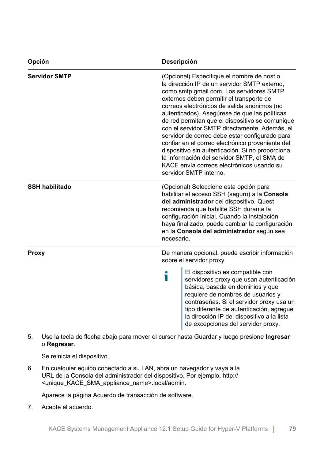| Opción                | Descripción                                                                                                                                                                                                                                                                                                                                                                                                                                                                                                                                                                                                                                                            |
|-----------------------|------------------------------------------------------------------------------------------------------------------------------------------------------------------------------------------------------------------------------------------------------------------------------------------------------------------------------------------------------------------------------------------------------------------------------------------------------------------------------------------------------------------------------------------------------------------------------------------------------------------------------------------------------------------------|
| <b>Servidor SMTP</b>  | (Opcional) Especifique el nombre de host o<br>la dirección IP de un servidor SMTP externo,<br>como smtp.gmail.com. Los servidores SMTP<br>externos deben permitir el transporte de<br>correos electrónicos de salida anónimos (no<br>autenticados). Asegúrese de que las políticas<br>de red permitan que el dispositivo se comunique<br>con el servidor SMTP directamente. Además, el<br>servidor de correo debe estar configurado para<br>confiar en el correo electrónico proveniente del<br>dispositivo sin autenticación. Si no proporciona<br>la información del servidor SMTP, el SMA de<br>KACE envía correos electrónicos usando su<br>servidor SMTP interno. |
| <b>SSH habilitado</b> | (Opcional) Seleccione esta opción para<br>habilitar el acceso SSH (seguro) a la Consola<br>del administrador del dispositivo. Quest<br>recomienda que habilite SSH durante la<br>configuración inicial. Cuando la instalación<br>haya finalizado, puede cambiar la configuración<br>en la Consola del administrador según sea<br>necesario.                                                                                                                                                                                                                                                                                                                            |
| <b>Proxy</b>          | De manera opcional, puede escribir información<br>sobre el servidor proxy.<br>El dispositivo es compatible con<br>i<br>servidores proxy que usan autenticación<br>básica, basada en dominios y que<br>requiere de nombres de usuarios y<br>contraseñas. Si el servidor proxy usa un<br>tipo diferente de autenticación, agregue<br>la dirección IP del dispositivo a la lista<br>de excepciones del servidor proxy.                                                                                                                                                                                                                                                    |

5. Use la tecla de flecha abajo para mover el cursor hasta Guardar y luego presione **Ingresar**  o **Regresar**.

Se reinicia el dispositivo.

6. En cualquier equipo conectado a su LAN, abra un navegador y vaya a la URL de la Consola del administrador del dispositivo. Por ejemplo, http:// <unique\_KACE\_SMA\_appliance\_name>.local/admin.

Aparece la página Acuerdo de transacción de software.

7. Acepte el acuerdo.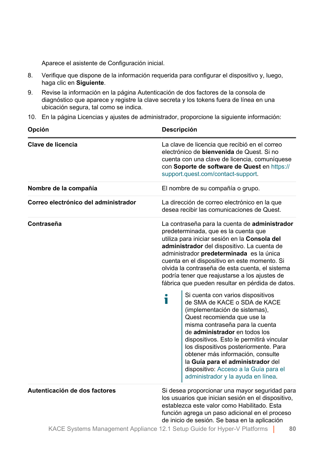Aparece el asistente de Configuración inicial.

- 8. Verifique que dispone de la información requerida para configurar el dispositivo y, luego, haga clic en **Siguiente**.
- 9. Revise la información en la página Autenticación de dos factores de la consola de diagnóstico que aparece y registre la clave secreta y los tokens fuera de línea en una ubicación segura, tal como se indica.
- 10. En la página Licencias y ajustes de administrador, proporcione la siguiente información:

| Opción                               | Descripción                                                                                                                                                                                                                                                                                                                                                                                                                                                                                                                                                                                                                                                                                                                                                                                                                                                                                           |
|--------------------------------------|-------------------------------------------------------------------------------------------------------------------------------------------------------------------------------------------------------------------------------------------------------------------------------------------------------------------------------------------------------------------------------------------------------------------------------------------------------------------------------------------------------------------------------------------------------------------------------------------------------------------------------------------------------------------------------------------------------------------------------------------------------------------------------------------------------------------------------------------------------------------------------------------------------|
| Clave de licencia                    | La clave de licencia que recibió en el correo<br>electrónico de <b>bienvenida</b> de Quest. Si no<br>cuenta con una clave de licencia, comuníquese<br>con Soporte de software de Quest en https://<br>support.quest.com/contact-support.                                                                                                                                                                                                                                                                                                                                                                                                                                                                                                                                                                                                                                                              |
| Nombre de la compañía                | El nombre de su compañía o grupo.                                                                                                                                                                                                                                                                                                                                                                                                                                                                                                                                                                                                                                                                                                                                                                                                                                                                     |
| Correo electrónico del administrador | La dirección de correo electrónico en la que<br>desea recibir las comunicaciones de Quest.                                                                                                                                                                                                                                                                                                                                                                                                                                                                                                                                                                                                                                                                                                                                                                                                            |
| Contraseña                           | La contraseña para la cuenta de administrador<br>predeterminada, que es la cuenta que<br>utiliza para iniciar sesión en la Consola del<br>administrador del dispositivo. La cuenta de<br>administrador predeterminada es la única<br>cuenta en el dispositivo en este momento. Si<br>olvida la contraseña de esta cuenta, el sistema<br>podría tener que reajustarse a los ajustes de<br>fábrica que pueden resultar en pérdida de datos.<br>Si cuenta con varios dispositivos<br>Т<br>de SMA de KACE o SDA de KACE<br>(implementación de sistemas),<br>Quest recomienda que use la<br>misma contraseña para la cuenta<br>de administrador en todos los<br>dispositivos. Esto le permitirá vincular<br>los dispositivos posteriormente. Para<br>obtener más información, consulte<br>la Guía para el administrador del<br>dispositivo: Acceso a la Guía para el<br>administrador y la ayuda en línea. |
| Autenticación de dos factores        | Si desea proporcionar una mayor seguridad para<br>los usuarios que inician sesión en el dispositivo,<br>establezca este valor como Habilitado. Esta<br>función agrega un paso adicional en el proceso<br>de inicio de sesión. Se basa en la aplicación                                                                                                                                                                                                                                                                                                                                                                                                                                                                                                                                                                                                                                                |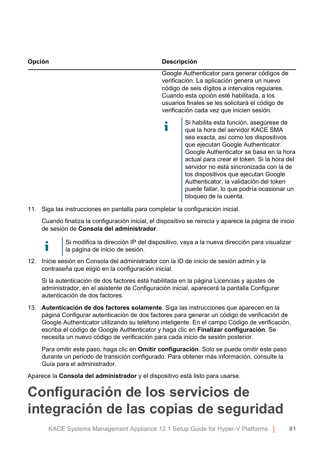| Opción | <b>Descripción</b>                                                                                                                                                                                                                                                                                                                                                                                                                                    |
|--------|-------------------------------------------------------------------------------------------------------------------------------------------------------------------------------------------------------------------------------------------------------------------------------------------------------------------------------------------------------------------------------------------------------------------------------------------------------|
|        | Google Authenticator para generar códigos de<br>verificación. La aplicación genera un nuevo<br>código de seis dígitos a intervalos regulares.<br>Cuando esta opción esté habilitada, a los<br>usuarios finales se les solicitará el código de<br>verificación cada vez que inicien sesión.                                                                                                                                                            |
|        | Si habilita esta función, asegúrese de<br>que la hora del servidor KACE SMA<br>sea exacta, así como los dispositivos<br>que ejecutan Google Authenticator.<br>Google Authenticator se basa en la hora<br>actual para crear el token. Si la hora del<br>servidor no está sincronizada con la de<br>los dispositivos que ejecutan Google<br>Authenticator, la validación del token<br>puede fallar, lo que podría ocasionar un<br>bloqueo de la cuenta. |

11. Siga las instrucciones en pantalla para completar la configuración inicial.

Cuando finaliza la configuración inicial, el dispositivo se reinicia y aparece la página de inicio de sesión de **Consola del administrador**.

i.

Si modifica la dirección IP del dispositivo, vaya a la nueva dirección para visualizar la página de inicio de sesión.

12. Inicie sesión en Consola del administrador con la ID de inicio de sesión admin y la contraseña que eligió en la configuración inicial.

Si la autenticación de dos factores está habilitada en la página Licencias y ajustes de administrador, en el asistente de Configuración inicial, aparecerá la pantalla Configurar autenticación de dos factores.

13. **Autenticación de dos factores solamente**. Siga las instrucciones que aparecen en la página Configurar autenticación de dos factores para generar un código de verificación de Google Authenticator utilizando su teléfono inteligente. En el campo Código de verificación, escriba el código de Google Authenticator y haga clic en **Finalizar configuración**. Se necesita un nuevo código de verificación para cada inicio de sesión posterior.

Para omitir este paso, haga clic en **Omitir configuración**. Solo se puede omitir este paso durante un período de transición configurado. Para obtener más información, consulte la Guía para el administrador.

Aparece la **Consola del administrador** y el dispositivo está listo para usarse.

# **Configuración de los servicios de integración de las copias de seguridad**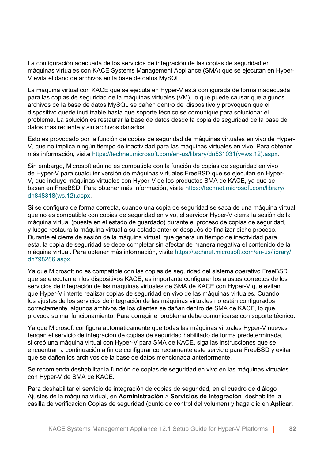La configuración adecuada de los servicios de integración de las copias de seguridad en máquinas virtuales con KACE Systems Management Appliance (SMA) que se ejecutan en Hyper-V evita el daño de archivos en la base de datos MySQL.

La máquina virtual con KACE que se ejecuta en Hyper-V está configurada de forma inadecuada para las copias de seguridad de la máquinas virtuales (VM), lo que puede causar que algunos archivos de la base de datos MySQL se dañen dentro del dispositivo y provoquen que el dispositivo quede inutilizable hasta que soporte técnico se comunique para solucionar el problema. La solución es restaurar la base de datos desde la copia de seguridad de la base de datos más reciente y sin archivos dañados.

Esto es provocado por la función de copias de seguridad de máquinas virtuales en vivo de Hyper-V, que no implica ningún tiempo de inactividad para las máquinas virtuales en vivo. Para obtener más información, visite [https://technet.microsoft.com/en-us/library/dn531031\(v=ws.12\).aspx.](https://technet.microsoft.com/en-us/library/dn531031(v=ws.12).aspx)

Sin embargo, Microsoft aún no es compatible con la función de copias de seguridad en vivo de Hyper-V para cualquier versión de máquinas virtuales FreeBSD que se ejecutan en Hyper-V, que incluye máquinas virtuales con Hyper-V de los productos SMA de KACE, ya que se basan en FreeBSD. Para obtener más información, visite [https://technet.microsoft.com/library/](https://technet.microsoft.com/library/dn848318(ws.12).aspx) [dn848318\(ws.12\).aspx.](https://technet.microsoft.com/library/dn848318(ws.12).aspx)

Si se configura de forma correcta, cuando una copia de seguridad se saca de una máquina virtual que no es compatible con copias de seguridad en vivo, el servidor Hyper-V cierra la sesión de la máquina virtual (puesta en el estado de guardado) durante el proceso de copias de seguridad, y luego restaura la máquina virtual a su estado anterior después de finalizar dicho proceso. Durante el cierre de sesión de la máquina virtual, que genera un tiempo de inactividad para esta, la copia de seguridad se debe completar sin afectar de manera negativa el contenido de la máquina virtual. Para obtener más información, visite [https://technet.microsoft.com/en-us/library/](https://technet.microsoft.com/en-us/library/dn798286.aspx) [dn798286.aspx.](https://technet.microsoft.com/en-us/library/dn798286.aspx)

Ya que Microsoft no es compatible con las copias de seguridad del sistema operativo FreeBSD que se ejecutan en los dispositivos KACE, es importante configurar los ajustes correctos de los servicios de integración de las máquinas virtuales de SMA de KACE con Hyper-V que evitan que Hyper-V intente realizar copias de seguridad en vivo de las máquinas virtuales. Cuando los ajustes de los servicios de integración de las máquinas virtuales no están configurados correctamente, algunos archivos de los clientes se dañan dentro de SMA de KACE, lo que provoca su mal funcionamiento. Para corregir el problema debe comunicarse con soporte técnico.

Ya que Microsoft configura automáticamente que todas las máquinas virtuales Hyper-V nuevas tengan el servicio de integración de copias de seguridad habilitado de forma predeterminada, si creó una máquina virtual con Hyper-V para SMA de KACE, siga las instrucciones que se encuentran a continuación a fin de configurar correctamente este servicio para FreeBSD y evitar que se dañen los archivos de la base de datos mencionada anteriormente.

Se recomienda deshabilitar la función de copias de seguridad en vivo en las máquinas virtuales con Hyper-V de SMA de KACE.

Para deshabilitar el servicio de integración de copias de seguridad, en el cuadro de diálogo Ajustes de la máquina virtual, en **Administración** > **Servicios de integración**, deshabilite la casilla de verificación Copias de seguridad (punto de control del volumen) y haga clic en **Aplicar**.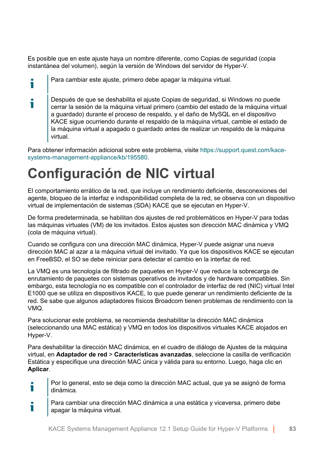Es posible que en este ajuste haya un nombre diferente, como Copias de seguridad (copia instantánea del volumen), según la versión de Windows del servidor de Hyper-V.

Para cambiar este ajuste, primero debe apagar la máquina virtual.

i

i Después de que se deshabilita el ajuste Copias de seguridad, si Windows no puede cerrar la sesión de la máquina virtual primero (cambio del estado de la máquina virtual a guardado) durante el proceso de respaldo, y el daño de MySQL en el dispositivo KACE sigue ocurriendo durante el respaldo de la máquina virtual, cambie el estado de la máquina virtual a apagado o guardado antes de realizar un respaldo de la máquina virtual.

Para obtener información adicional sobre este problema, visite [https://support.quest.com/kace](https://support.quest.com/kace-systems-management-appliance/kb/195580)[systems-management-appliance/kb/195580](https://support.quest.com/kace-systems-management-appliance/kb/195580).

## **Configuración de NIC virtual**

El comportamiento errático de la red, que incluye un rendimiento deficiente, desconexiones del agente, bloqueo de la interfaz e indisponibilidad completa de la red, se observa con un dispositivo virtual de implementación de sistemas (SDA) KACE que se ejecutan en Hyper-V.

De forma predeterminada, se habilitan dos ajustes de red problemáticos en Hyper-V para todas las máquinas virtuales (VM) de los invitados. Estos ajustes son dirección MAC dinámica y VMQ (cola de máquina virtual).

Cuando se configura con una dirección MAC dinámica, Hyper-V puede asignar una nueva dirección MAC al azar a la máquina virtual del invitado. Ya que los dispositivos KACE se ejecutan en FreeBSD, el SO se debe reiniciar para detectar el cambio en la interfaz de red.

La VMQ es una tecnología de filtrado de paquetes en Hyper-V que reduce la sobrecarga de enrutamiento de paquetes con sistemas operativos de invitados y de hardware compatibles. Sin embargo, esta tecnología no es compatible con el controlador de interfaz de red (NIC) virtual Intel E1000 que se utiliza en dispositivos KACE, lo que puede generar un rendimiento deficiente de la red. Se sabe que algunos adaptadores físicos Broadcom tienen problemas de rendimiento con la VMQ.

Para solucionar este problema, se recomienda deshabilitar la dirección MAC dinámica (seleccionando una MAC estática) y VMQ en todos los dispositivos virtuales KACE alojados en Hyper-V.

Para deshabilitar la dirección MAC dinámica, en el cuadro de diálogo de Ajustes de la máquina virtual, en **Adaptador de red** > **Características avanzadas**, seleccione la casilla de verificación Estática y especifique una dirección MAC única y válida para su entorno. Luego, haga clic en **Aplicar**.

- Por lo general, esto se deja como la dirección MAC actual, que ya se asignó de forma i dinámica.
- Para cambiar una dirección MAC dinámica a una estática y viceversa, primero debe Ť apagar la máquina virtual.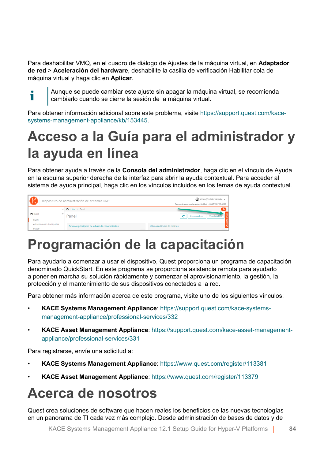Para deshabilitar VMQ, en el cuadro de diálogo de Ajustes de la máquina virtual, en **Adaptador de red** > **Aceleración del hardware**, deshabilite la casilla de verificación Habilitar cola de máquina virtual y haga clic en **Aplicar**.

т

Aunque se puede cambiar este ajuste sin apagar la máquina virtual, se recomienda cambiarlo cuando se cierre la sesión de la máquina virtual.

Para obtener información adicional sobre este problema, visite [https://support.quest.com/kace](https://support.quest.com/kace-systems-management-appliance/kb/153445)[systems-management-appliance/kb/153445](https://support.quest.com/kace-systems-management-appliance/kb/153445).

# <span id="page-83-0"></span>**Acceso a la Guía para el administrador y la ayuda en línea**

Para obtener ayuda a través de la **Consola del administrador**, haga clic en el vínculo de Ayuda en la esquina superior derecha de la interfaz para abrir la ayuda contextual. Para acceder al sistema de ayuda principal, haga clic en los vínculos incluidos en los temas de ayuda contextual.



## **Programación de la capacitación**

Para ayudarlo a comenzar a usar el dispositivo, Quest proporciona un programa de capacitación denominado QuickStart. En este programa se proporciona asistencia remota para ayudarlo a poner en marcha su solución rápidamente y comenzar el aprovisionamiento, la gestión, la protección y el mantenimiento de sus dispositivos conectados a la red.

Para obtener más información acerca de este programa, visite uno de los siguientes vínculos:

- **KACE Systems Management Appliance**: [https://support.quest.com/kace-systems](https://support.quest.com/kace-systems-management-appliance/professional-services/332)[management-appliance/professional-services/332](https://support.quest.com/kace-systems-management-appliance/professional-services/332)
- **KACE Asset Management Appliance**: [https://support.quest.com/kace-asset-management](https://support.quest.com/kace-asset-management-appliance/professional-services/331)[appliance/professional-services/331](https://support.quest.com/kace-asset-management-appliance/professional-services/331)

Para registrarse, envíe una solicitud a:

- **KACE Systems Management Appliance**: <https://www.quest.com/register/113381>
- **KACE Asset Management Appliance**: <https://www.quest.com/register/113379>

## **Acerca de nosotros**

Quest crea soluciones de software que hacen reales los beneficios de las nuevas tecnologías en un panorama de TI cada vez más complejo. Desde administración de bases de datos y de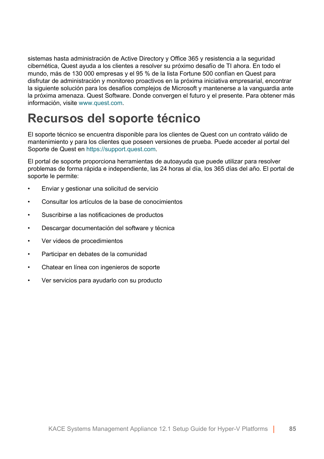sistemas hasta administración de Active Directory y Office 365 y resistencia a la seguridad cibernética, Quest ayuda a los clientes a resolver su próximo desafío de TI ahora. En todo el mundo, más de 130 000 empresas y el 95 % de la lista Fortune 500 confían en Quest para disfrutar de administración y monitoreo proactivos en la próxima iniciativa empresarial, encontrar la siguiente solución para los desafíos complejos de Microsoft y mantenerse a la vanguardia ante la próxima amenaza. Quest Software. Donde convergen el futuro y el presente. Para obtener más información, visite [www.quest.com.](https://www.quest.com/company/contact-us.aspx)

### **Recursos del soporte técnico**

El soporte técnico se encuentra disponible para los clientes de Quest con un contrato válido de mantenimiento y para los clientes que poseen versiones de prueba. Puede acceder al portal del Soporte de Quest en [https://support.quest.com.](https://support.quest.com/)

El portal de soporte proporciona herramientas de autoayuda que puede utilizar para resolver problemas de forma rápida e independiente, las 24 horas al día, los 365 días del año. El portal de soporte le permite:

- Enviar y gestionar una solicitud de servicio
- Consultar los artículos de la base de conocimientos
- Suscribirse a las notificaciones de productos
- Descargar documentación del software y técnica
- Ver videos de procedimientos
- Participar en debates de la comunidad
- Chatear en línea con ingenieros de soporte
- Ver servicios para ayudarlo con su producto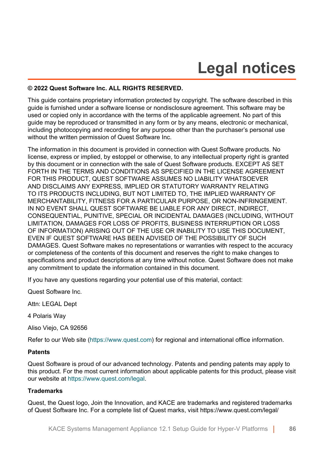# **Legal notices**

### **© 2022 Quest Software Inc. ALL RIGHTS RESERVED.**

This guide contains proprietary information protected by copyright. The software described in this guide is furnished under a software license or nondisclosure agreement. This software may be used or copied only in accordance with the terms of the applicable agreement. No part of this guide may be reproduced or transmitted in any form or by any means, electronic or mechanical, including photocopying and recording for any purpose other than the purchaser's personal use without the written permission of Quest Software Inc.

The information in this document is provided in connection with Quest Software products. No license, express or implied, by estoppel or otherwise, to any intellectual property right is granted by this document or in connection with the sale of Quest Software products. EXCEPT AS SET FORTH IN THE TERMS AND CONDITIONS AS SPECIFIED IN THE LICENSE AGREEMENT FOR THIS PRODUCT, QUEST SOFTWARE ASSUMES NO LIABILITY WHATSOEVER AND DISCLAIMS ANY EXPRESS, IMPLIED OR STATUTORY WARRANTY RELATING TO ITS PRODUCTS INCLUDING, BUT NOT LIMITED TO, THE IMPLIED WARRANTY OF MERCHANTABILITY, FITNESS FOR A PARTICULAR PURPOSE, OR NON-INFRINGEMENT. IN NO EVENT SHALL QUEST SOFTWARE BE LIABLE FOR ANY DIRECT, INDIRECT, CONSEQUENTIAL, PUNITIVE, SPECIAL OR INCIDENTAL DAMAGES (INCLUDING, WITHOUT LIMITATION, DAMAGES FOR LOSS OF PROFITS, BUSINESS INTERRUPTION OR LOSS OF INFORMATION) ARISING OUT OF THE USE OR INABILITY TO USE THIS DOCUMENT, EVEN IF QUEST SOFTWARE HAS BEEN ADVISED OF THE POSSIBILITY OF SUCH DAMAGES. Quest Software makes no representations or warranties with respect to the accuracy or completeness of the contents of this document and reserves the right to make changes to specifications and product descriptions at any time without notice. Quest Software does not make any commitment to update the information contained in this document.

If you have any questions regarding your potential use of this material, contact:

Quest Software Inc.

Attn: LEGAL Dept

4 Polaris Way

Aliso Viejo, CA 92656

Refer to our Web site [\(https://www.quest.com\)](https://www.quest.com) for regional and international office information.

#### **Patents**

Quest Software is proud of our advanced technology. Patents and pending patents may apply to this product. For the most current information about applicable patents for this product, please visit our website at [https://www.quest.com/legal.](https://www.quest.com/legal)

### **Trademarks**

Quest, the Quest logo, Join the Innovation, and KACE are trademarks and registered trademarks of Quest Software Inc. For a complete list of Quest marks, visit [https://www.quest.com/legal/](https://www.quest.com/legal/trademark-information.aspx)